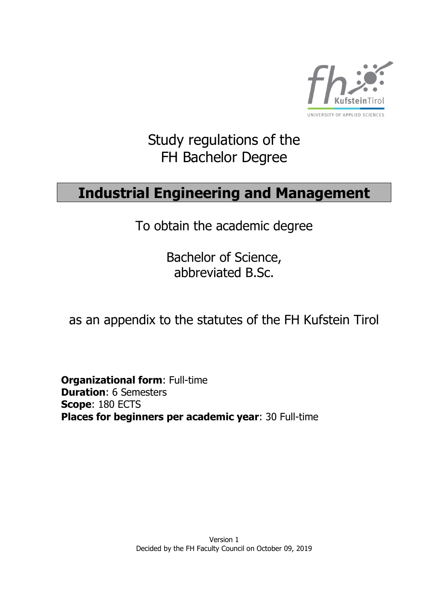

# Study regulations of the FH Bachelor Degree

# **Industrial Engineering and Management**

To obtain the academic degree

Bachelor of Science, abbreviated B.Sc.

as an appendix to the statutes of the FH Kufstein Tirol

**Organizational form**: Full-time **Duration**: 6 Semesters **Scope**: 180 ECTS **Places for beginners per academic year**: 30 Full-time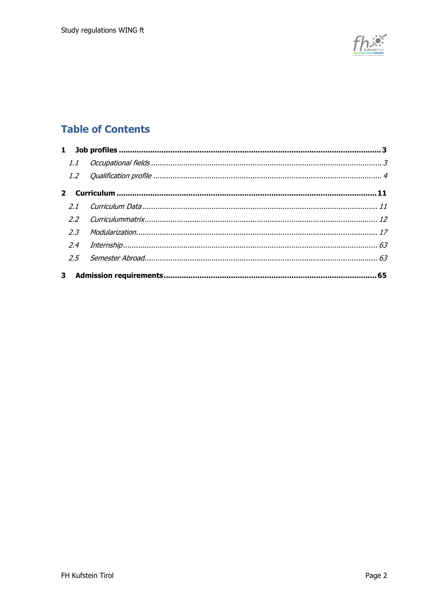

## **Table of Contents**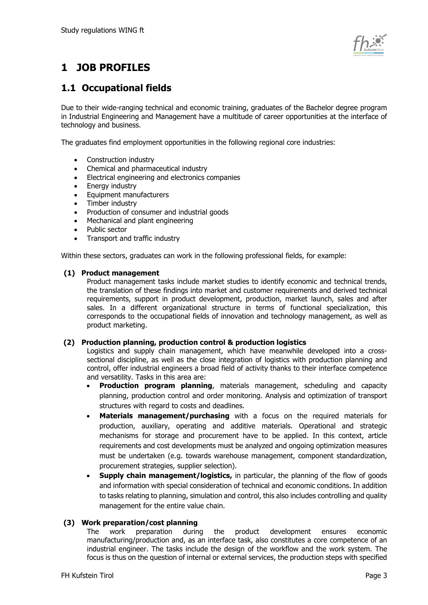

## <span id="page-2-0"></span>**1 JOB PROFILES**

## <span id="page-2-1"></span>**1.1 Occupational fields**

Due to their wide-ranging technical and economic training, graduates of the Bachelor degree program in Industrial Engineering and Management have a multitude of career opportunities at the interface of technology and business.

The graduates find employment opportunities in the following regional core industries:

- Construction industry
- Chemical and pharmaceutical industry
- Electrical engineering and electronics companies
- Energy industry
- Equipment manufacturers
- Timber industry
- Production of consumer and industrial goods
- Mechanical and plant engineering
- Public sector
- Transport and traffic industry

Within these sectors, graduates can work in the following professional fields, for example:

#### **(1) Product management**

Product management tasks include market studies to identify economic and technical trends, the translation of these findings into market and customer requirements and derived technical requirements, support in product development, production, market launch, sales and after sales. In a different organizational structure in terms of functional specialization, this corresponds to the occupational fields of innovation and technology management, as well as product marketing.

#### **(2) Production planning, production control & production logistics**

Logistics and supply chain management, which have meanwhile developed into a crosssectional discipline, as well as the close integration of logistics with production planning and control, offer industrial engineers a broad field of activity thanks to their interface competence and versatility. Tasks in this area are:

- **Production program planning**, materials management, scheduling and capacity planning, production control and order monitoring. Analysis and optimization of transport structures with regard to costs and deadlines.
- **Materials management/purchasing** with a focus on the required materials for production, auxiliary, operating and additive materials. Operational and strategic mechanisms for storage and procurement have to be applied. In this context, article requirements and cost developments must be analyzed and ongoing optimization measures must be undertaken (e.g. towards warehouse management, component standardization, procurement strategies, supplier selection).
- **Supply chain management/logistics,** in particular, the planning of the flow of goods and information with special consideration of technical and economic conditions. In addition to tasks relating to planning, simulation and control, this also includes controlling and quality management for the entire value chain.

#### **(3) Work preparation/cost planning**

The work preparation during the product development ensures economic manufacturing/production and, as an interface task, also constitutes a core competence of an industrial engineer. The tasks include the design of the workflow and the work system. The focus is thus on the question of internal or external services, the production steps with specified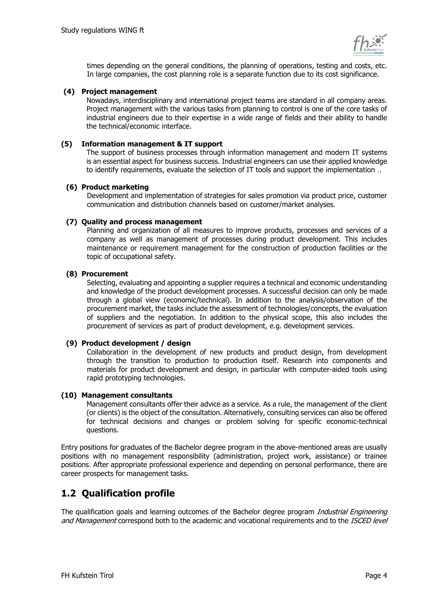

times depending on the general conditions, the planning of operations, testing and costs, etc. In large companies, the cost planning role is a separate function due to its cost significance.

#### **(4) Project management**

Nowadays, interdisciplinary and international project teams are standard in all company areas. Project management with the various tasks from planning to control is one of the core tasks of industrial engineers due to their expertise in a wide range of fields and their ability to handle the technical/economic interface.

#### **(5) Information management & IT support**

The support of business processes through information management and modern IT systems is an essential aspect for business success. Industrial engineers can use their applied knowledge to identify requirements, evaluate the selection of IT tools and support the implementation ..

#### **(6) Product marketing**

Development and implementation of strategies for sales promotion via product price, customer communication and distribution channels based on customer/market analyses.

#### **(7) Quality and process management**

Planning and organization of all measures to improve products, processes and services of a company as well as management of processes during product development. This includes maintenance or requirement management for the construction of production facilities or the topic of occupational safety.

#### **(8) Procurement**

Selecting, evaluating and appointing a supplier requires a technical and economic understanding and knowledge of the product development processes. A successful decision can only be made through a global view (economic/technical). In addition to the analysis/observation of the procurement market, the tasks include the assessment of technologies/concepts, the evaluation of suppliers and the negotiation. In addition to the physical scope, this also includes the procurement of services as part of product development, e.g. development services.

#### **(9) Product development / design**

Collaboration in the development of new products and product design, from development through the transition to production to production itself. Research into components and materials for product development and design, in particular with computer-aided tools using rapid prototyping technologies.

#### **(10) Management consultants**

Management consultants offer their advice as a service. As a rule, the management of the client (or clients) is the object of the consultation. Alternatively, consulting services can also be offered for technical decisions and changes or problem solving for specific economic-technical questions.

Entry positions for graduates of the Bachelor degree program in the above-mentioned areas are usually positions with no management responsibility (administration, project work, assistance) or trainee positions. After appropriate professional experience and depending on personal performance, there are career prospects for management tasks.

## <span id="page-3-0"></span>**1.2 Qualification profile**

The qualification goals and learning outcomes of the Bachelor degree program *Industrial Engineering* and Management correspond both to the academic and vocational requirements and to the ISCED level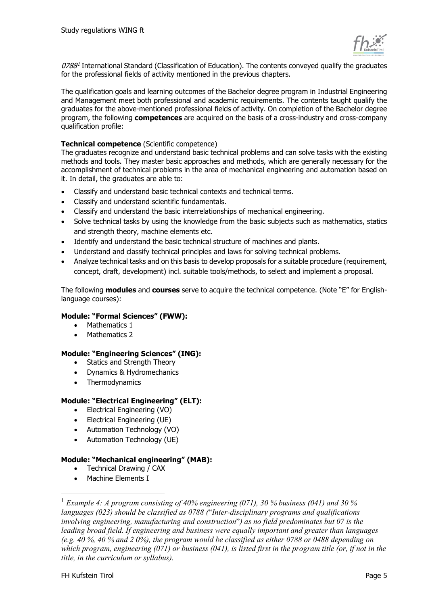

 $0788<sup>1</sup>$  International Standard (Classification of Education). The contents conveyed qualify the graduates for the professional fields of activity mentioned in the previous chapters.

The qualification goals and learning outcomes of the Bachelor degree program in Industrial Engineering and Management meet both professional and academic requirements. The contents taught qualify the graduates for the above-mentioned professional fields of activity. On completion of the Bachelor degree program, the following **competences** are acquired on the basis of a cross-industry and cross-company qualification profile:

#### **Technical competence** (Scientific competence)

The graduates recognize and understand basic technical problems and can solve tasks with the existing methods and tools. They master basic approaches and methods, which are generally necessary for the accomplishment of technical problems in the area of mechanical engineering and automation based on it. In detail, the graduates are able to:

- Classify and understand basic technical contexts and technical terms.
- Classify and understand scientific fundamentals.
- Classify and understand the basic interrelationships of mechanical engineering.
- Solve technical tasks by using the knowledge from the basic subjects such as mathematics, statics and strength theory, machine elements etc.
- Identify and understand the basic technical structure of machines and plants.
- Understand and classify technical principles and laws for solving technical problems.
- Analyze technical tasks and on this basis to develop proposals for a suitable procedure (requirement, concept, draft, development) incl. suitable tools/methods, to select and implement a proposal.

The following **modules** and **courses** serve to acquire the technical competence. (Note "E" for Englishlanguage courses):

#### **Module: "Formal Sciences" (FWW):**

- Mathematics 1
- Mathematics 2

#### **Module: "Engineering Sciences" (ING):**

- Statics and Strength Theory
- Dynamics & Hydromechanics
- Thermodynamics

#### **Module: "Electrical Engineering" (ELT):**

- Electrical Engineering (VO)
- Electrical Engineering (UE)
- Automation Technology (VO)
- Automation Technology (UE)

#### **Module: "Mechanical engineering" (MAB):**

- Technical Drawing / CAX
- Machine Elements I

<sup>1</sup> *Example 4: A program consisting of 40% engineering (071), 30 % business (041) and 30 % languages (023) should be classified as 0788 (*"*Inter-disciplinary programs and qualifications involving engineering, manufacturing and construction*"*) as no field predominates but 07 is the leading broad field. If engineering and business were equally important and greater than languages (e.g. 40 %, 40 % and 2 0%), the program would be classified as either 0788 or 0488 depending on which program, engineering (071) or business (041), is listed first in the program title (or, if not in the title, in the curriculum or syllabus).*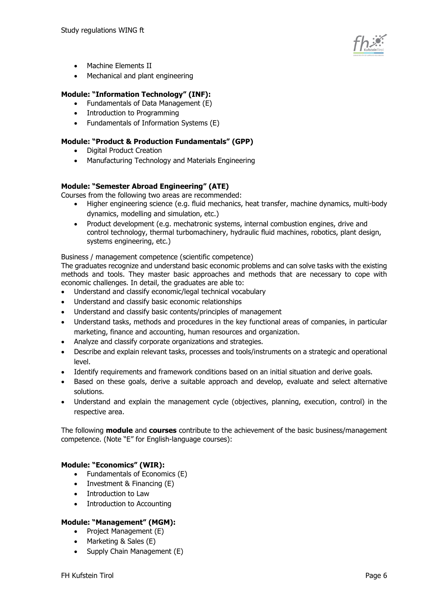

- Machine Elements II
- Mechanical and plant engineering

#### **Module: "Information Technology" (INF):**

- Fundamentals of Data Management (E)
- Introduction to Programming
- Fundamentals of Information Systems (E)

#### **Module: "Product & Production Fundamentals" (GPP)**

- Digital Product Creation
- Manufacturing Technology and Materials Engineering

#### **Module: "Semester Abroad Engineering" (ATE)**

Courses from the following two areas are recommended:

- Higher engineering science (e.g. fluid mechanics, heat transfer, machine dynamics, multi-body dynamics, modelling and simulation, etc.)
- Product development (e.g. mechatronic systems, internal combustion engines, drive and control technology, thermal turbomachinery, hydraulic fluid machines, robotics, plant design, systems engineering, etc.)

#### Business / management competence (scientific competence)

The graduates recognize and understand basic economic problems and can solve tasks with the existing methods and tools. They master basic approaches and methods that are necessary to cope with economic challenges. In detail, the graduates are able to:

- Understand and classify economic/legal technical vocabulary
- Understand and classify basic economic relationships
- Understand and classify basic contents/principles of management
- Understand tasks, methods and procedures in the key functional areas of companies, in particular marketing, finance and accounting, human resources and organization.
- Analyze and classify corporate organizations and strategies.
- Describe and explain relevant tasks, processes and tools/instruments on a strategic and operational level.
- Identify requirements and framework conditions based on an initial situation and derive goals.
- Based on these goals, derive a suitable approach and develop, evaluate and select alternative solutions.
- Understand and explain the management cycle (objectives, planning, execution, control) in the respective area.

The following **module** and **courses** contribute to the achievement of the basic business/management competence. (Note "E" for English-language courses):

#### **Module: "Economics" (WIR):**

- Fundamentals of Economics (E)
- Investment & Financing (E)
- Introduction to Law
- Introduction to Accounting

#### **Module: "Management" (MGM):**

- Project Management (E)
- Marketing & Sales (E)
- Supply Chain Management (E)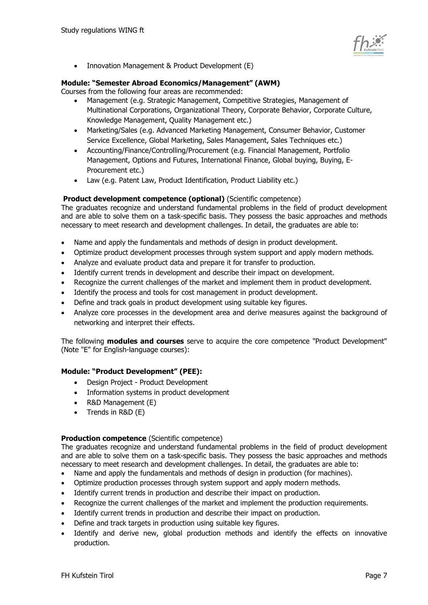

Innovation Management & Product Development (E)

#### **Module: "Semester Abroad Economics/Management" (AWM)**

Courses from the following four areas are recommended:

- Management (e.g. Strategic Management, Competitive Strategies, Management of Multinational Corporations, Organizational Theory, Corporate Behavior, Corporate Culture, Knowledge Management, Quality Management etc.)
- Marketing/Sales (e.g. Advanced Marketing Management, Consumer Behavior, Customer Service Excellence, Global Marketing, Sales Management, Sales Techniques etc.)
- Accounting/Finance/Controlling/Procurement (e.g. Financial Management, Portfolio Management, Options and Futures, International Finance, Global buying, Buying, E-Procurement etc.)
- Law (e.g. Patent Law, Product Identification, Product Liability etc.)

#### **Product development competence (optional)** (Scientific competence)

The graduates recognize and understand fundamental problems in the field of product development and are able to solve them on a task-specific basis. They possess the basic approaches and methods necessary to meet research and development challenges. In detail, the graduates are able to:

- Name and apply the fundamentals and methods of design in product development.
- Optimize product development processes through system support and apply modern methods.
- Analyze and evaluate product data and prepare it for transfer to production.
- Identify current trends in development and describe their impact on development.
- Recognize the current challenges of the market and implement them in product development.
- Identify the process and tools for cost management in product development.
- Define and track goals in product development using suitable key figures.
- Analyze core processes in the development area and derive measures against the background of networking and interpret their effects.

The following **modules and courses** serve to acquire the core competence "Product Development" (Note "E" for English-language courses):

#### **Module: "Product Development" (PEE):**

- Design Project Product Development
- Information systems in product development
- R&D Management (E)
- Trends in R&D (E)

#### **Production competence** (Scientific competence)

The graduates recognize and understand fundamental problems in the field of product development and are able to solve them on a task-specific basis. They possess the basic approaches and methods necessary to meet research and development challenges. In detail, the graduates are able to:

- Name and apply the fundamentals and methods of design in production (for machines).
- Optimize production processes through system support and apply modern methods.
- Identify current trends in production and describe their impact on production.
- Recognize the current challenges of the market and implement the production requirements.
- Identify current trends in production and describe their impact on production.
- Define and track targets in production using suitable key figures.
- Identify and derive new, global production methods and identify the effects on innovative production.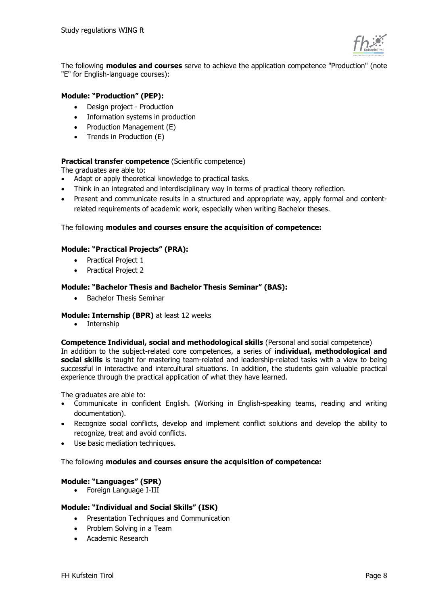

The following **modules and courses** serve to achieve the application competence "Production" (note "E" for English-language courses):

#### **Module: "Production" (PEP):**

- Design project Production
- Information systems in production
- Production Management (E)
- Trends in Production (E)

#### **Practical transfer competence** (Scientific competence)

The graduates are able to:

- Adapt or apply theoretical knowledge to practical tasks.
- Think in an integrated and interdisciplinary way in terms of practical theory reflection.
- Present and communicate results in a structured and appropriate way, apply formal and contentrelated requirements of academic work, especially when writing Bachelor theses.

#### The following **modules and courses ensure the acquisition of competence:**

#### **Module: "Practical Projects" (PRA):**

- Practical Project 1
- Practical Project 2

#### **Module: "Bachelor Thesis and Bachelor Thesis Seminar" (BAS):**

• Bachelor Thesis Seminar

#### **Module: Internship (BPR)** at least 12 weeks

• Internship

**Competence Individual, social and methodological skills** (Personal and social competence)

In addition to the subject-related core competences, a series of **individual, methodological and social skills** is taught for mastering team-related and leadership-related tasks with a view to being successful in interactive and intercultural situations. In addition, the students gain valuable practical experience through the practical application of what they have learned.

The graduates are able to:

- Communicate in confident English. (Working in English-speaking teams, reading and writing documentation).
- Recognize social conflicts, develop and implement conflict solutions and develop the ability to recognize, treat and avoid conflicts.
- Use basic mediation techniques.

#### The following **modules and courses ensure the acquisition of competence:**

#### **Module: "Languages" (SPR)**

• Foreign Language I-III

#### **Module: "Individual and Social Skills" (ISK)**

- Presentation Techniques and Communication
- Problem Solving in a Team
- Academic Research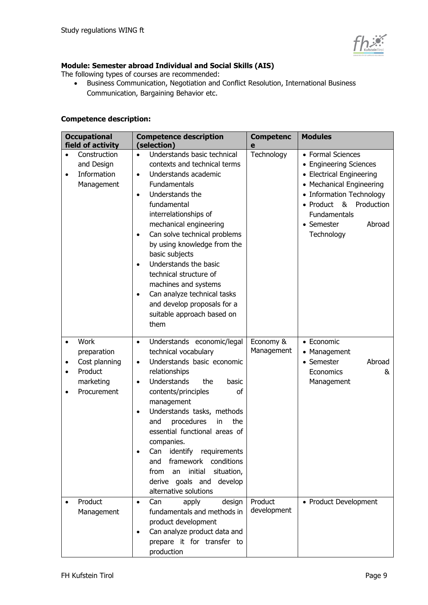

### **Module: Semester abroad Individual and Social Skills (AIS)**

The following types of courses are recommended:

• Business Communication, Negotiation and Conflict Resolution, International Business Communication, Bargaining Behavior etc.

#### **Competence description:**

| <b>Occupational</b><br>field of activity                                    | <b>Competence description</b><br>(selection)                                                                                                                                                                                                                                                                                                                                                                                                                                                                                           | <b>Competenc</b><br>e   | <b>Modules</b>                                                                                                                                                                                                          |
|-----------------------------------------------------------------------------|----------------------------------------------------------------------------------------------------------------------------------------------------------------------------------------------------------------------------------------------------------------------------------------------------------------------------------------------------------------------------------------------------------------------------------------------------------------------------------------------------------------------------------------|-------------------------|-------------------------------------------------------------------------------------------------------------------------------------------------------------------------------------------------------------------------|
| Construction<br>and Design<br>Information<br>$\bullet$<br>Management        | Understands basic technical<br>$\bullet$<br>contexts and technical terms<br>Understands academic<br>$\bullet$<br>Fundamentals<br>Understands the<br>$\bullet$<br>fundamental<br>interrelationships of<br>mechanical engineering<br>Can solve technical problems<br>$\bullet$<br>by using knowledge from the<br>basic subjects<br>Understands the basic<br>$\bullet$<br>technical structure of<br>machines and systems<br>Can analyze technical tasks<br>$\bullet$<br>and develop proposals for a<br>suitable approach based on<br>them | Technology              | • Formal Sciences<br><b>Engineering Sciences</b><br>• Electrical Engineering<br>• Mechanical Engineering<br>• Information Technology<br>• Product<br>& Production<br>Fundamentals<br>• Semester<br>Abroad<br>Technology |
| Work<br>preparation<br>Cost planning<br>Product<br>marketing<br>Procurement | Understands economic/legal<br>$\bullet$<br>technical vocabulary<br>Understands basic economic<br>$\bullet$<br>relationships<br>Understands<br>basic<br>the<br>$\bullet$<br>contents/principles<br>οf<br>management<br>Understands tasks, methods<br>$\bullet$<br>procedures<br>the<br>and<br>in<br>essential functional areas of<br>companies.<br>Can identify requirements<br>framework conditions<br>and<br>initial<br>situation,<br>from<br>an<br>derive goals and<br>develop<br>alternative solutions                              | Economy &<br>Management | • Economic<br>• Management<br>• Semester<br>Abroad<br>Economics<br>&<br>Management                                                                                                                                      |
| Product<br>$\bullet$<br>Management                                          | Can<br>design<br>apply<br>$\bullet$<br>fundamentals and methods in<br>product development<br>Can analyze product data and<br>$\bullet$<br>prepare it for transfer to<br>production                                                                                                                                                                                                                                                                                                                                                     | Product<br>development  | • Product Development                                                                                                                                                                                                   |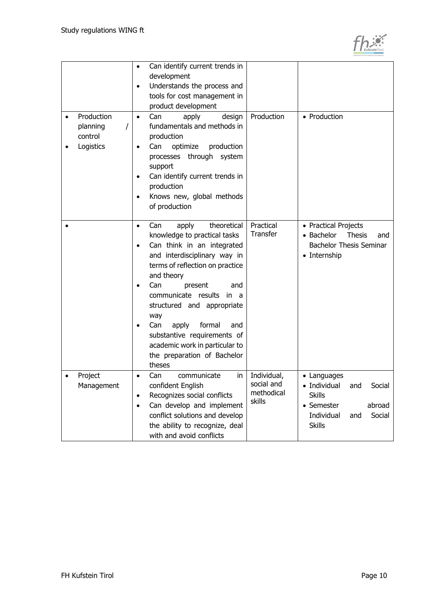

|           |                                                | Can identify current trends in<br>$\bullet$<br>development<br>Understands the process and<br>$\bullet$<br>tools for cost management in<br>product development                                                                                                                                                                                                                                                                                             |                                                   |                                                                                                                                       |
|-----------|------------------------------------------------|-----------------------------------------------------------------------------------------------------------------------------------------------------------------------------------------------------------------------------------------------------------------------------------------------------------------------------------------------------------------------------------------------------------------------------------------------------------|---------------------------------------------------|---------------------------------------------------------------------------------------------------------------------------------------|
|           | Production<br>planning<br>control<br>Logistics | design<br>Can<br>apply<br>$\bullet$<br>fundamentals and methods in<br>production<br>optimize<br>production<br>Can<br>٠<br>processes through system<br>support<br>Can identify current trends in<br>$\bullet$<br>production<br>Knows new, global methods<br>of production                                                                                                                                                                                  | Production                                        | • Production                                                                                                                          |
| $\bullet$ |                                                | theoretical<br>Can<br>apply<br>$\bullet$<br>knowledge to practical tasks<br>Can think in an integrated<br>$\bullet$<br>and interdisciplinary way in<br>terms of reflection on practice<br>and theory<br>Can<br>present<br>and<br>$\bullet$<br>communicate results<br>in a<br>structured and appropriate<br>way<br>formal<br>Can<br>apply<br>and<br>substantive requirements of<br>academic work in particular to<br>the preparation of Bachelor<br>theses | Practical<br>Transfer                             | • Practical Projects<br>• Bachelor<br><b>Thesis</b><br>and<br><b>Bachelor Thesis Seminar</b><br>• Internship                          |
|           | Project<br>Management                          | communicate<br>Can<br>in<br>٠<br>confident English<br>Recognizes social conflicts<br>$\bullet$<br>Can develop and implement<br>$\bullet$<br>conflict solutions and develop<br>the ability to recognize, deal<br>with and avoid conflicts                                                                                                                                                                                                                  | Individual,<br>social and<br>methodical<br>skills | • Languages<br>• Individual<br>Social<br>and<br><b>Skills</b><br>• Semester<br>abroad<br>Individual<br>Social<br>and<br><b>Skills</b> |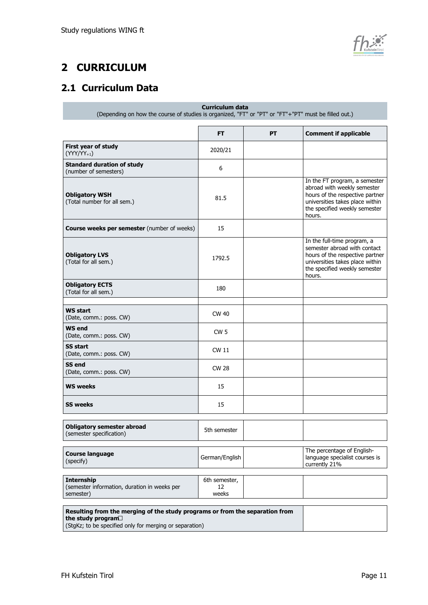

## <span id="page-10-0"></span>**2 CURRICULUM**

## <span id="page-10-1"></span>**2.1 Curriculum Data**

**Curriculum data** (Depending on how the course of studies is organized, "FT" or "PT" or "FT"+"PT" must be filled out.)

|                                                                                                   | <b>FT</b>                    | PT | <b>Comment if applicable</b>                                                                                                                                                  |
|---------------------------------------------------------------------------------------------------|------------------------------|----|-------------------------------------------------------------------------------------------------------------------------------------------------------------------------------|
| First year of study<br>$(YYY/YY_{+1})$                                                            | 2020/21                      |    |                                                                                                                                                                               |
| <b>Standard duration of study</b><br>(number of semesters)                                        | 6                            |    |                                                                                                                                                                               |
| <b>Obligatory WSH</b><br>(Total number for all sem.)                                              | 81.5                         |    | In the FT program, a semester<br>abroad with weekly semester<br>hours of the respective partner<br>universities takes place within<br>the specified weekly semester<br>hours. |
| <b>Course weeks per semester</b> (number of weeks)                                                | 15                           |    |                                                                                                                                                                               |
| <b>Obligatory LVS</b><br>(Total for all sem.)                                                     | 1792.5                       |    | In the full-time program, a<br>semester abroad with contact<br>hours of the respective partner<br>universities takes place within<br>the specified weekly semester<br>hours.  |
| <b>Obligatory ECTS</b><br>(Total for all sem.)                                                    | 180                          |    |                                                                                                                                                                               |
| <b>WS start</b><br>(Date, comm.: poss. CW)                                                        | CW 40                        |    |                                                                                                                                                                               |
| <b>WS end</b><br>(Date, comm.: poss. CW)                                                          | CW <sub>5</sub>              |    |                                                                                                                                                                               |
| <b>SS start</b><br>(Date, comm.: poss. CW)                                                        | <b>CW 11</b>                 |    |                                                                                                                                                                               |
| <b>SS end</b><br>(Date, comm.: poss. CW)                                                          | <b>CW 28</b>                 |    |                                                                                                                                                                               |
| <b>WS weeks</b>                                                                                   | 15                           |    |                                                                                                                                                                               |
| <b>SS weeks</b>                                                                                   | 15                           |    |                                                                                                                                                                               |
| <b>Obligatory semester abroad</b><br>(semester specification)                                     | 5th semester                 |    |                                                                                                                                                                               |
| <b>Course language</b><br>(specify)                                                               | German/English               |    | The percentage of English-<br>language specialist courses is<br>currently 21%                                                                                                 |
| <b>Internship</b><br>(semester information, duration in weeks per<br>semester)                    | 6th semester,<br>12<br>weeks |    |                                                                                                                                                                               |
| Resulting from the merging of the study programs or from the separation from<br>the study program |                              |    |                                                                                                                                                                               |

(StgKz; to be specified only for merging or separation)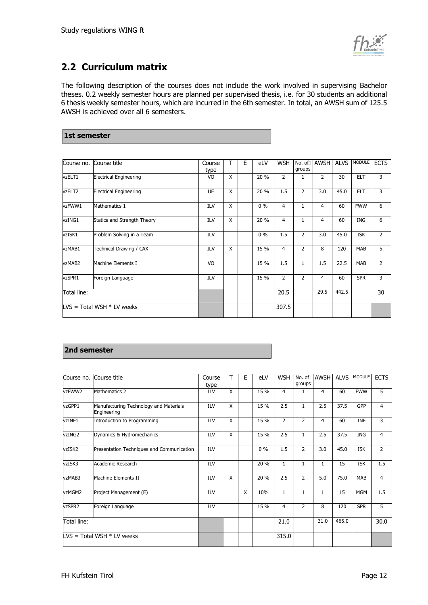

## <span id="page-11-0"></span>**2.2 Curriculum matrix**

The following description of the courses does not include the work involved in supervising Bachelor theses. 0.2 weekly semester hours are planned per supervised thesis, i.e. for 30 students an additional 6 thesis weekly semester hours, which are incurred in the 6th semester. In total, an AWSH sum of 125.5 AWSH is achieved over all 6 semesters.

| 1st semester |  |
|--------------|--|

| Course no.  | Course title                  | Course<br>type | т | Е | eLV   | <b>WSH</b>     | groups         | No. of AWSH    | <b>ALVS</b> | <b>MODULE</b> | <b>ECTS</b>    |
|-------------|-------------------------------|----------------|---|---|-------|----------------|----------------|----------------|-------------|---------------|----------------|
| vzELT1      | <b>Electrical Engineering</b> | VO             | X |   | 20 %  | $\overline{2}$ | 1              | $\overline{2}$ | 30          | <b>ELT</b>    | 3              |
| vzELT2      | <b>Electrical Engineering</b> | <b>UE</b>      | X |   | 20 %  | 1.5            | 2              | 3.0            | 45.0        | <b>ELT</b>    | 3              |
| vzFWW1      | Mathematics 1                 | ILV            | X |   | $0\%$ | 4              | $\mathbf{1}$   | 4              | 60          | <b>FWW</b>    | 6              |
| vzING1      | Statics and Strength Theory   | <b>ILV</b>     | X |   | 20 %  | 4              | 1              | 4              | 60          | <b>ING</b>    | 6              |
| vzISK1      | Problem Solving in a Team     | ILV            |   |   | $0\%$ | 1.5            | 2              | 3.0            | 45.0        | <b>ISK</b>    | $\overline{2}$ |
| vzMAB1      | Technical Drawing / CAX       | <b>ILV</b>     | X |   | 15 %  | $\overline{4}$ | $\overline{2}$ | 8              | 120         | <b>MAB</b>    | 5              |
| vzMAB2      | Machine Elements I            | VO             |   |   | 15 %  | 1.5            | $\mathbf{1}$   | 1.5            | 22.5        | <b>MAB</b>    | $\overline{2}$ |
| vzSPR1      | Foreign Language              | ILV            |   |   | 15 %  | $\overline{2}$ | $\overline{2}$ | 4              | 60          | <b>SPR</b>    | 3              |
| Total line: |                               |                |   |   |       | 20.5           |                | 29.5           | 442.5       |               | 30             |
|             | $LVS = Total WSH * LV$ weeks  |                |   |   |       | 307.5          |                |                |             |               |                |

#### **2nd semester**

| Course no.  | Course title                                          | Course     | т                       | Ε | eLV   | <b>WSH</b>     | No. of<br>groups | <b>AWSH</b>  | <b>ALVS</b> | <b>MODULE</b> | <b>ECTS</b>    |
|-------------|-------------------------------------------------------|------------|-------------------------|---|-------|----------------|------------------|--------------|-------------|---------------|----------------|
|             |                                                       | type       |                         |   |       |                |                  |              |             |               |                |
| vzFWW2      | Mathematics 2                                         | <b>ILV</b> | X                       |   | 15 %  | 4              | 1                | 4            | 60          | <b>FWW</b>    | 5              |
| vzGPP1      | Manufacturing Technology and Materials<br>Engineering | ILV        | X                       |   | 15 %  | 2.5            | $\mathbf{1}$     | 2.5          | 37.5        | GPP           | $\overline{4}$ |
| vzINF1      | Introduction to Programming                           | ILV        | X                       |   | 15 %  | $\overline{2}$ | $\overline{2}$   | 4            | 60          | <b>INF</b>    | 3              |
| vzING2      | Dynamics & Hydromechanics                             | ILV        | X                       |   | 15 %  | 2.5            | $\mathbf{1}$     | 2.5          | 37.5        | <b>ING</b>    | $\overline{4}$ |
| vzISK2      | Presentation Techniques and Communication             | <b>ILV</b> |                         |   | $0\%$ | 1.5            | $\overline{2}$   | 3.0          | 45.0        | <b>ISK</b>    | $\overline{2}$ |
| vzISK3      | Academic Research                                     | ILV        |                         |   | 20 %  | $\mathbf{1}$   | $\mathbf{1}$     |              | 15          | <b>ISK</b>    | 1.5            |
| vzMAB3      | Machine Elements II                                   | ILV        | $\overline{\mathsf{x}}$ |   | 20 %  | 2.5            | $\overline{2}$   | 5.0          | 75.0        | <b>MAB</b>    | $\overline{4}$ |
| vzMGM2      | Project Management (E)                                | <b>ILV</b> |                         | X | 10%   | $\mathbf{1}$   | $\mathbf{1}$     | $\mathbf{1}$ | 15          | <b>MGM</b>    | 1.5            |
| vzSPR2      | Foreign Language                                      | ILV        |                         |   | 15 %  | 4              | 2                | 8            | 120         | <b>SPR</b>    | 5              |
| Total line: |                                                       |            |                         |   |       | 21.0           |                  | 31.0         | 465.0       |               | 30.0           |
|             | $LVS = Total WSH * LV$ weeks                          |            |                         |   |       | 315.0          |                  |              |             |               |                |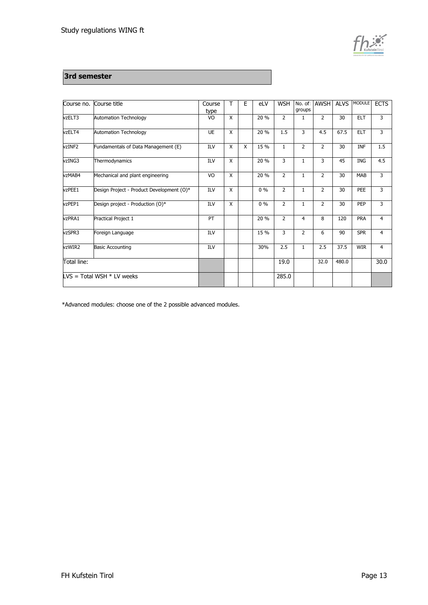

#### **3rd semester**

| Course no.  | Course title                              | Course<br>type | $\mathsf{T}$ | E | eLV   | <b>WSH</b>     | groups         | No. of AWSH    | <b>ALVS</b> | <b>MODULE</b> | <b>ECTS</b> |
|-------------|-------------------------------------------|----------------|--------------|---|-------|----------------|----------------|----------------|-------------|---------------|-------------|
| vzELT3      | <b>Automation Technology</b>              | VO             | X            |   | 20 %  | $\overline{2}$ | 1              | $\overline{2}$ | 30          | <b>ELT</b>    | 3           |
| vzELT4      | <b>Automation Technology</b>              | <b>UE</b>      | X            |   | 20 %  | 1.5            | 3              | 4.5            | 67.5        | <b>ELT</b>    | 3           |
| vzINF2      | Fundamentals of Data Management (E)       | ILV            | X            | X | 15 %  | 1              | $\overline{2}$ | $\overline{2}$ | 30          | <b>INF</b>    | 1.5         |
| vzING3      | Thermodynamics                            | ILV            | X            |   | 20 %  | 3              | $\mathbf{1}$   | 3              | 45          | ING           | 4.5         |
| vzMAB4      | Mechanical and plant engineering          | VO             | X            |   | 20 %  | $\overline{2}$ | $\mathbf{1}$   | $\overline{2}$ | 30          | <b>MAB</b>    | 3           |
| vzPEE1      | Design Project - Product Development (O)* | <b>ILV</b>     | X            |   | $0\%$ | $\overline{2}$ | $\mathbf{1}$   | $\overline{2}$ | 30          | PEE           | 3           |
| vzPEP1      | Design project - Production (O)*          | <b>ILV</b>     | X            |   | 0%    | $\overline{2}$ | $\mathbf{1}$   | $\overline{2}$ | 30          | PEP           | 3           |
| vzPRA1      | Practical Project 1                       | PT             |              |   | 20 %  | $\overline{2}$ | $\overline{4}$ | 8              | 120         | PRA           | 4           |
| vzSPR3      | Foreign Language                          | ILV            |              |   | 15 %  | 3              | $\overline{2}$ | 6              | 90          | <b>SPR</b>    | 4           |
| vzWIR2      | <b>Basic Accounting</b>                   | <b>ILV</b>     |              |   | 30%   | 2.5            | $\mathbf{1}$   | 2.5            | 37.5        | <b>WIR</b>    | 4           |
| Total line: |                                           |                |              |   |       | 19.0           |                | 32.0           | 480.0       |               | 30.0        |
|             | $LVS = Total WSH * LV weeks$              |                |              |   |       | 285.0          |                |                |             |               |             |

\*Advanced modules: choose one of the 2 possible advanced modules.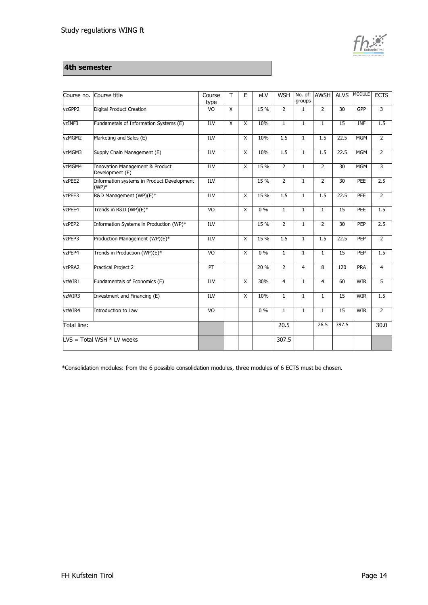

#### **4th semester**

| Course no.  | Course title                                          | Course<br>type   | T.                      | E            | eLV   | <b>WSH</b>     | groups         | No. of AWSH    | <b>ALVS</b>     | <b>MODULE</b> | <b>ECTS</b>    |
|-------------|-------------------------------------------------------|------------------|-------------------------|--------------|-------|----------------|----------------|----------------|-----------------|---------------|----------------|
| vzGPP2      | Digital Product Creation                              | $\overline{6}$   | X                       |              | 15 %  | $\overline{2}$ | $\mathbf{1}$   | $\overline{2}$ | $\overline{30}$ | GPP           | $\overline{3}$ |
| vzINF3      | Fundametals of Information Systems (E)                | $\overline{ILV}$ | $\overline{\mathsf{x}}$ | X            | 10%   | $\mathbf{1}$   | $\mathbf{1}$   | $\mathbf{1}$   | $\overline{15}$ | <b>INF</b>    | 1.5            |
| vzMGM2      | Marketing and Sales (E)                               | ILV              |                         | X            | 10%   | 1.5            | $\mathbf{1}$   | 1.5            | 22.5            | <b>MGM</b>    | $\overline{2}$ |
| vzMGM3      | Supply Chain Management (E)                           | <b>ILV</b>       |                         | X            | 10%   | 1.5            | $\mathbf{1}$   | 1.5            | 22.5            | <b>MGM</b>    | $\overline{2}$ |
| vzMGM4      | Innovation Management & Product<br>Development (E)    | ILV              |                         | X            | 15 %  | $\overline{2}$ | $\mathbf{1}$   | $\overline{2}$ | 30              | <b>MGM</b>    | 3              |
| vzPEE2      | Information systems in Product Development<br>$(WP)*$ | ILV              |                         |              | 15 %  | $\overline{2}$ | $\mathbf{1}$   | $\overline{2}$ | 30              | PEE           | 2.5            |
| vzPEE3      | R&D Management (WP)(E)*                               | IUV              |                         | X            | 15 %  | 1.5            | $\mathbf{1}$   | 1.5            | 22.5            | PEE           | $\overline{2}$ |
| vzPEE4      | Trends in R&D (WP)(E)*                                | VO               |                         | $\mathsf{x}$ | $0\%$ | $\mathbf{1}$   | $\mathbf{1}$   | $\mathbf{1}$   | 15              | PEE           | 1.5            |
| vzPEP2      | Information Systems in Production (WP)*               | <b>ILV</b>       |                         |              | 15 %  | $\overline{2}$ | $\mathbf{1}$   | $\overline{2}$ | 30              | PEP           | 2.5            |
| vzPEP3      | Production Management (WP)(E)*                        | <b>ILV</b>       |                         | X            | 15 %  | 1.5            | $\mathbf{1}$   | 1.5            | 22.5            | PEP           | $\overline{2}$ |
| vzPEP4      | Trends in Production (WP)(E)*                         | VO               |                         | X            | $0\%$ | $\mathbf{1}$   | $\mathbf{1}$   | $\mathbf{1}$   | 15              | PEP           | 1.5            |
| vzPRA2      | <b>Practical Project 2</b>                            | PT               |                         |              | 20 %  | $\overline{2}$ | $\overline{4}$ | 8              | 120             | PRA           | $\overline{4}$ |
| vzWIR1      | Fundamentals of Economics (E)                         | ILV              |                         | X            | 30%   | $\overline{4}$ | $\mathbf{1}$   | $\overline{4}$ | 60              | <b>WIR</b>    | 5              |
| vzWIR3      | Investment and Financing (E)                          | ILV              |                         | X            | 10%   | $\mathbf{1}$   | $\mathbf{1}$   | $\mathbf{1}$   | 15              | <b>WIR</b>    | 1.5            |
| vzWIR4      | Introduction to Law                                   | $\overline{6}$   |                         |              | $0\%$ | $\overline{1}$ | $\mathbf{1}$   | $\mathbf{1}$   | 15              | <b>WIR</b>    | $\overline{2}$ |
| Total line: |                                                       |                  |                         |              |       | 20.5           |                | 26.5           | 397.5           |               | 30.0           |
|             | $LVS = Total WSH * LV$ weeks                          |                  |                         |              |       | 307.5          |                |                |                 |               |                |

\*Consolidation modules: from the 6 possible consolidation modules, three modules of 6 ECTS must be chosen.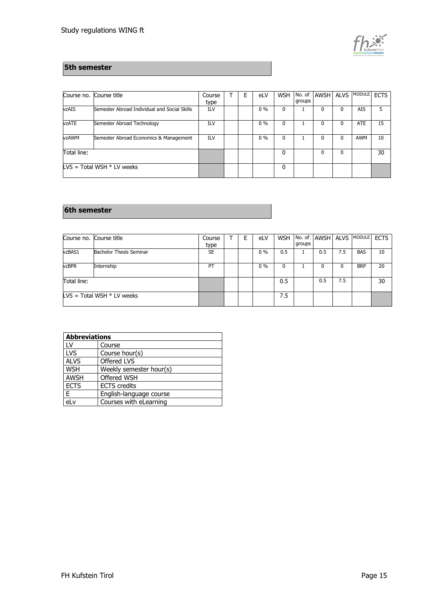

#### **5th semester**

| Course no.                   | Course title                                 | Course | E | eLV   | <b>WSH</b> | groups | No. of AWSH ALVS |   | <b>MODULE</b> | <b>ECTS</b> |
|------------------------------|----------------------------------------------|--------|---|-------|------------|--------|------------------|---|---------------|-------------|
|                              |                                              | type   |   |       |            |        |                  |   |               |             |
| vzAIS                        | Semester Abroad Individual and Social Skills | ILV    |   | $0\%$ | 0          |        |                  | 0 | <b>AIS</b>    | 5           |
| vzATE                        | Semester Abroad Technology                   | ILV    |   | $0\%$ | 0          |        |                  | 0 | <b>ATE</b>    | 15          |
| vzAWM                        | Semester Abroad Economics & Management       | ILV    |   | $0\%$ | 0          |        |                  | 0 | <b>AWM</b>    | 10          |
| Total line:                  |                                              |        |   |       | 0          |        |                  | 0 |               | 30          |
| $LVS = Total WSH * LV weeks$ |                                              |        |   |       | 0          |        |                  |   |               |             |

#### **6th semester**

|              | Course no. Course title        | Course    |  | eLV   | <b>WSH</b> |        | No. of AWSH ALVS |     | <b>MODULE</b> | <b>ECTS</b> |
|--------------|--------------------------------|-----------|--|-------|------------|--------|------------------|-----|---------------|-------------|
|              |                                | type      |  |       |            | groups |                  |     |               |             |
| vzBAS1       | <b>Bachelor Thesis Seminar</b> | <b>SE</b> |  | $0\%$ | 0.5        |        | 0.5              | 7.5 | <b>BAS</b>    | 10          |
| <b>vzBPR</b> | Internship                     | PT        |  | $0\%$ | 0          |        |                  |     | <b>BRP</b>    | 20          |
| Total line:  |                                |           |  |       | 0.5        |        | 0.5              | 7.5 |               | 30          |
|              | $LVS = Total WSH * LV$ weeks   |           |  |       | 7.5        |        |                  |     |               |             |

| <b>Abbreviations</b> |                         |
|----------------------|-------------------------|
| LV                   | Course                  |
| LVS                  | Course hour(s)          |
| <b>ALVS</b>          | Offered LVS             |
| <b>WSH</b>           | Weekly semester hour(s) |
| <b>AWSH</b>          | Offered WSH             |
| <b>ECTS</b>          | <b>ECTS</b> credits     |
| E                    | English-language course |
| el v                 | Courses with eLearning  |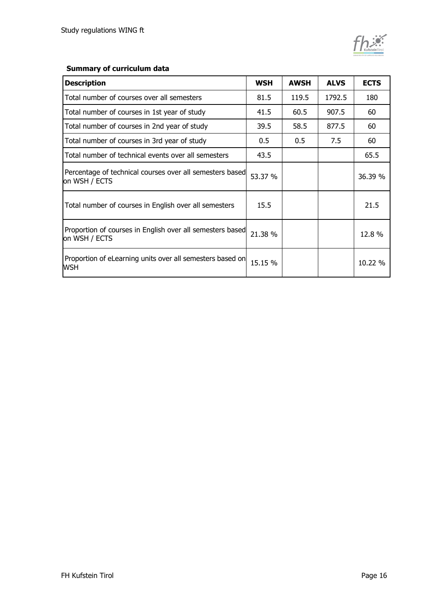## **Summary of curriculum data**

| <b>Description</b>                                                         | <b>WSH</b> | <b>AWSH</b> | <b>ALVS</b> | <b>ECTS</b> |
|----------------------------------------------------------------------------|------------|-------------|-------------|-------------|
| Total number of courses over all semesters                                 | 81.5       | 119.5       | 1792.5      | 180         |
| Total number of courses in 1st year of study                               | 41.5       | 60.5        | 907.5       | 60          |
| Total number of courses in 2nd year of study                               | 39.5       | 58.5        | 877.5       | 60          |
| Total number of courses in 3rd year of study                               | 0.5        | 0.5         | 7.5         | 60          |
| Total number of technical events over all semesters                        | 43.5       |             |             | 65.5        |
| Percentage of technical courses over all semesters based<br>on WSH / ECTS  | 53.37 %    |             |             | 36.39 %     |
| Total number of courses in English over all semesters                      | 15.5       |             |             | 21.5        |
| Proportion of courses in English over all semesters based<br>on WSH / ECTS | 21.38 %    |             |             | 12.8 %      |
| Proportion of eLearning units over all semesters based on<br>WSH           | 15.15 %    |             |             | 10.22 %     |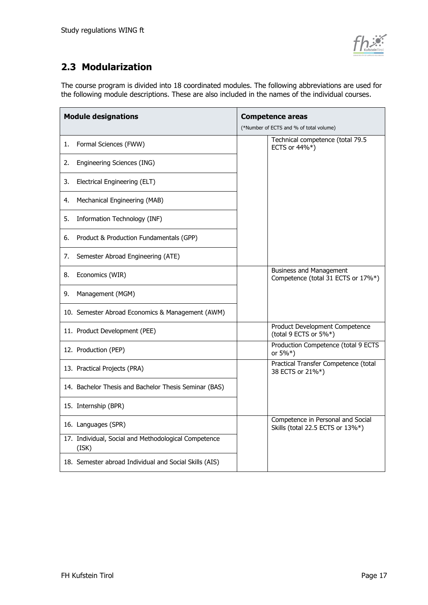

## <span id="page-16-0"></span>**2.3 Modularization**

The course program is divided into 18 coordinated modules. The following abbreviations are used for the following module descriptions. These are also included in the names of the individual courses.

| <b>Module designations</b>                                    | <b>Competence areas</b><br>(*Number of ECTS and % of total volume)    |  |
|---------------------------------------------------------------|-----------------------------------------------------------------------|--|
| Formal Sciences (FWW)<br>1.                                   | Technical competence (total 79.5<br>ECTS or 44%*)                     |  |
| Engineering Sciences (ING)<br>2.                              |                                                                       |  |
| Electrical Engineering (ELT)<br>3.                            |                                                                       |  |
| Mechanical Engineering (MAB)<br>4.                            |                                                                       |  |
| Information Technology (INF)<br>5.                            |                                                                       |  |
| Product & Production Fundamentals (GPP)<br>6.                 |                                                                       |  |
| Semester Abroad Engineering (ATE)<br>7.                       |                                                                       |  |
| Economics (WIR)<br>8.                                         | <b>Business and Management</b><br>Competence (total 31 ECTS or 17%*)  |  |
| Management (MGM)<br>9.                                        |                                                                       |  |
| 10. Semester Abroad Economics & Management (AWM)              |                                                                       |  |
| 11. Product Development (PEE)                                 | Product Development Competence<br>(total 9 ECTS or 5%*)               |  |
| 12. Production (PEP)                                          | Production Competence (total 9 ECTS<br>or 5%*)                        |  |
| 13. Practical Projects (PRA)                                  | Practical Transfer Competence (total<br>38 ECTS or 21%*)              |  |
| 14. Bachelor Thesis and Bachelor Thesis Seminar (BAS)         |                                                                       |  |
| 15. Internship (BPR)                                          |                                                                       |  |
| 16. Languages (SPR)                                           | Competence in Personal and Social<br>Skills (total 22.5 ECTS or 13%*) |  |
| 17. Individual, Social and Methodological Competence<br>(ISK) |                                                                       |  |
| 18. Semester abroad Individual and Social Skills (AIS)        |                                                                       |  |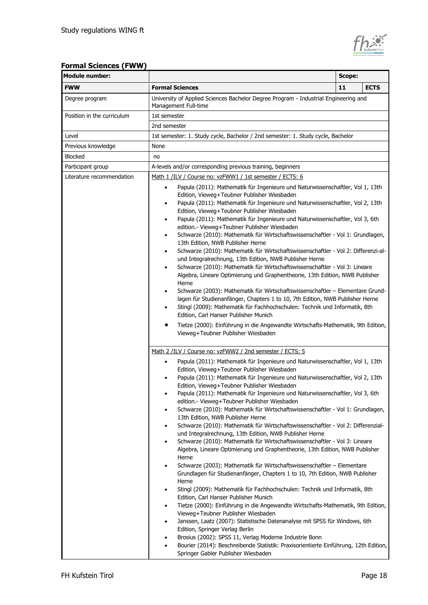

| <b>Module number:</b>      | <b>Scope:</b>                                                                                                                                                                                                                                                                                                                                                                                                                                                                                                                                                                                                                                                                                                                                                                                                                                                                                                                                                                                                                                                                                                                                                                                                                                                                                                                                                                                                                                                                                                                                                                                                                          |    |             |
|----------------------------|----------------------------------------------------------------------------------------------------------------------------------------------------------------------------------------------------------------------------------------------------------------------------------------------------------------------------------------------------------------------------------------------------------------------------------------------------------------------------------------------------------------------------------------------------------------------------------------------------------------------------------------------------------------------------------------------------------------------------------------------------------------------------------------------------------------------------------------------------------------------------------------------------------------------------------------------------------------------------------------------------------------------------------------------------------------------------------------------------------------------------------------------------------------------------------------------------------------------------------------------------------------------------------------------------------------------------------------------------------------------------------------------------------------------------------------------------------------------------------------------------------------------------------------------------------------------------------------------------------------------------------------|----|-------------|
| <b>FWW</b>                 | <b>Formal Sciences</b>                                                                                                                                                                                                                                                                                                                                                                                                                                                                                                                                                                                                                                                                                                                                                                                                                                                                                                                                                                                                                                                                                                                                                                                                                                                                                                                                                                                                                                                                                                                                                                                                                 | 11 | <b>ECTS</b> |
| Degree program             | University of Applied Sciences Bachelor Degree Program - Industrial Engineering and<br>Management Full-time                                                                                                                                                                                                                                                                                                                                                                                                                                                                                                                                                                                                                                                                                                                                                                                                                                                                                                                                                                                                                                                                                                                                                                                                                                                                                                                                                                                                                                                                                                                            |    |             |
| Position in the curriculum | 1st semester                                                                                                                                                                                                                                                                                                                                                                                                                                                                                                                                                                                                                                                                                                                                                                                                                                                                                                                                                                                                                                                                                                                                                                                                                                                                                                                                                                                                                                                                                                                                                                                                                           |    |             |
|                            | 2nd semester                                                                                                                                                                                                                                                                                                                                                                                                                                                                                                                                                                                                                                                                                                                                                                                                                                                                                                                                                                                                                                                                                                                                                                                                                                                                                                                                                                                                                                                                                                                                                                                                                           |    |             |
| Level                      | 1st semester: 1. Study cycle, Bachelor / 2nd semester: 1. Study cycle, Bachelor                                                                                                                                                                                                                                                                                                                                                                                                                                                                                                                                                                                                                                                                                                                                                                                                                                                                                                                                                                                                                                                                                                                                                                                                                                                                                                                                                                                                                                                                                                                                                        |    |             |
| Previous knowledge         | None                                                                                                                                                                                                                                                                                                                                                                                                                                                                                                                                                                                                                                                                                                                                                                                                                                                                                                                                                                                                                                                                                                                                                                                                                                                                                                                                                                                                                                                                                                                                                                                                                                   |    |             |
| <b>Blocked</b>             | no                                                                                                                                                                                                                                                                                                                                                                                                                                                                                                                                                                                                                                                                                                                                                                                                                                                                                                                                                                                                                                                                                                                                                                                                                                                                                                                                                                                                                                                                                                                                                                                                                                     |    |             |
| Participant group          | A-levels and/or corresponding previous training, beginners                                                                                                                                                                                                                                                                                                                                                                                                                                                                                                                                                                                                                                                                                                                                                                                                                                                                                                                                                                                                                                                                                                                                                                                                                                                                                                                                                                                                                                                                                                                                                                             |    |             |
| Literature recommendation  | Math 1 /ILV / Course no: vzFWW1 / 1st semester / ECTS: 6                                                                                                                                                                                                                                                                                                                                                                                                                                                                                                                                                                                                                                                                                                                                                                                                                                                                                                                                                                                                                                                                                                                                                                                                                                                                                                                                                                                                                                                                                                                                                                               |    |             |
|                            | Papula (2011): Mathematik für Ingenieure und Naturwissenschaftler, Vol 1, 13th<br>$\bullet$<br>Edition, Vieweg+Teubner Publisher Wiesbaden<br>Papula (2011): Mathematik für Ingenieure und Naturwissenschaftler, Vol 2, 13th<br>٠<br>Edition, Vieweg+Teubner Publisher Wiesbaden<br>Papula (2011): Mathematik für Ingenieure und Naturwissenschaftler, Vol 3, 6th<br>٠<br>edition.- Vieweg+Teubner Publisher Wiesbaden<br>Schwarze (2010): Mathematik für Wirtschaftswissenschaftler - Vol 1: Grundlagen,<br>٠<br>13th Edition, NWB Publisher Herne<br>Schwarze (2010): Mathematik für Wirtschaftswissenschaftler - Vol 2: Differenzi-al-<br>$\bullet$<br>und Integralrechnung, 13th Edition, NWB Publisher Herne<br>Schwarze (2010): Mathematik für Wirtschaftswissenschaftler - Vol 3: Lineare<br>٠<br>Algebra, Lineare Optimierung und Graphentheorie, 13th Edition, NWB Publisher<br>Herne<br>Schwarze (2003): Mathematik für Wirtschaftswissenschaftler - Elementare Grund-<br>٠<br>lagen für Studienanfänger, Chapters 1 to 10, 7th Edition, NWB Publisher Herne<br>Stingl (2009): Mathematik für Fachhochschulen: Technik und Informatik, 8th<br>٠<br>Edition, Carl Hanser Publisher Munich<br>Tietze (2000): Einführung in die Angewandte Wirtschafts-Mathematik, 9th Edition,                                                                                                                                                                                                                                                                                                                                                 |    |             |
|                            | Vieweg+Teubner Publisher Wiesbaden                                                                                                                                                                                                                                                                                                                                                                                                                                                                                                                                                                                                                                                                                                                                                                                                                                                                                                                                                                                                                                                                                                                                                                                                                                                                                                                                                                                                                                                                                                                                                                                                     |    |             |
|                            | Math 2 /ILV / Course no: vzFWW2 / 2nd semester / ECTS: 5<br>Papula (2011): Mathematik für Ingenieure und Naturwissenschaftler, Vol 1, 13th<br>Edition, Vieweg+Teubner Publisher Wiesbaden<br>Papula (2011): Mathematik für Ingenieure und Naturwissenschaftler, Vol 2, 13th<br>Edition, Vieweg+Teubner Publisher Wiesbaden<br>Papula (2011): Mathematik für Ingenieure und Naturwissenschaftler, Vol 3, 6th<br>edition.- Vieweg+Teubner Publisher Wiesbaden<br>Schwarze (2010): Mathematik für Wirtschaftswissenschaftler - Vol 1: Grundlagen,<br>٠<br>13th Edition, NWB Publisher Herne<br>Schwarze (2010): Mathematik für Wirtschaftswissenschaftler - Vol 2: Differenzial-<br>٠<br>und Integralrechnung, 13th Edition, NWB Publisher Herne<br>Schwarze (2010): Mathematik für Wirtschaftswissenschaftler - Vol 3: Lineare<br>٠<br>Algebra, Lineare Optimierung und Graphentheorie, 13th Edition, NWB Publisher<br>Herne<br>Schwarze (2003): Mathematik für Wirtschaftswissenschaftler - Elementare<br>٠<br>Grundlagen für Studienanfänger, Chapters 1 to 10, 7th Edition, NWB Publisher<br>Herne<br>Stingl (2009): Mathematik für Fachhochschulen: Technik und Informatik, 8th<br>Edition, Carl Hanser Publisher Munich<br>Tietze (2000): Einführung in die Angewandte Wirtschafts-Mathematik, 9th Edition,<br>٠<br>Vieweg+Teubner Publisher Wiesbaden<br>Janssen, Laatz (2007): Statistische Datenanalyse mit SPSS für Windows, 6th<br>٠<br>Edition, Springer Verlag Berlin<br>Brosius (2002): SPSS 11, Verlag Moderne Industrie Bonn<br>Bourier (2014): Beschreibende Statistik: Praxisorientierte Einführung, 12th Edition,<br>٠ |    |             |

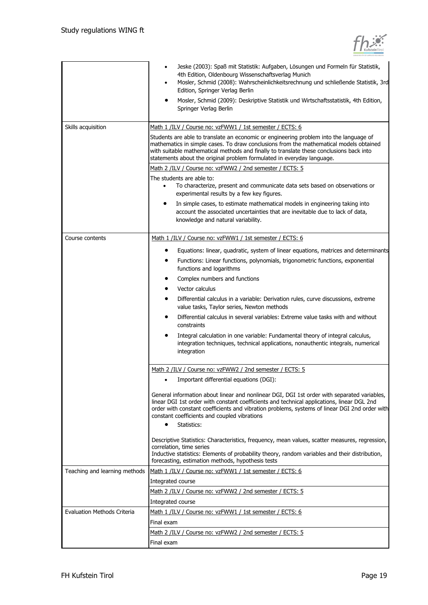|                                    | Jeske (2003): Spaß mit Statistik: Aufgaben, Lösungen und Formeln für Statistik,<br>4th Edition, Oldenbourg Wissenschaftsverlag Munich<br>Mosler, Schmid (2008): Wahrscheinlichkeitsrechnung und schließende Statistik, 3rd<br>$\bullet$<br>Edition, Springer Verlag Berlin<br>Mosler, Schmid (2009): Deskriptive Statistik und Wirtschaftsstatistik, 4th Edition,<br>Springer Verlag Berlin                       |
|------------------------------------|-------------------------------------------------------------------------------------------------------------------------------------------------------------------------------------------------------------------------------------------------------------------------------------------------------------------------------------------------------------------------------------------------------------------|
| Skills acquisition                 | Math 1 /ILV / Course no: vzFWW1 / 1st semester / ECTS: 6<br>Students are able to translate an economic or engineering problem into the language of<br>mathematics in simple cases. To draw conclusions from the mathematical models obtained<br>with suitable mathematical methods and finally to translate these conclusions back into<br>statements about the original problem formulated in everyday language. |
|                                    | Math 2 /ILV / Course no: vzFWW2 / 2nd semester / ECTS: 5<br>The students are able to:<br>To characterize, present and communicate data sets based on observations or<br>$\bullet$<br>experimental results by a few key figures.                                                                                                                                                                                   |
|                                    | In simple cases, to estimate mathematical models in engineering taking into<br>٠<br>account the associated uncertainties that are inevitable due to lack of data,<br>knowledge and natural variability.                                                                                                                                                                                                           |
| Course contents                    | Math 1 /ILV / Course no: vzFWW1 / 1st semester / ECTS: 6                                                                                                                                                                                                                                                                                                                                                          |
|                                    | Equations: linear, quadratic, system of linear equations, matrices and determinants                                                                                                                                                                                                                                                                                                                               |
|                                    | Functions: Linear functions, polynomials, trigonometric functions, exponential<br>functions and logarithms                                                                                                                                                                                                                                                                                                        |
|                                    | Complex numbers and functions<br>٠                                                                                                                                                                                                                                                                                                                                                                                |
|                                    | Vector calculus                                                                                                                                                                                                                                                                                                                                                                                                   |
|                                    | Differential calculus in a variable: Derivation rules, curve discussions, extreme<br>٠<br>value tasks, Taylor series, Newton methods                                                                                                                                                                                                                                                                              |
|                                    | Differential calculus in several variables: Extreme value tasks with and without<br>٠<br>constraints                                                                                                                                                                                                                                                                                                              |
|                                    | Integral calculation in one variable: Fundamental theory of integral calculus,<br>integration techniques, technical applications, nonauthentic integrals, numerical<br>integration                                                                                                                                                                                                                                |
|                                    | Math 2 /ILV / Course no: vzFWW2 / 2nd semester / ECTS: 5                                                                                                                                                                                                                                                                                                                                                          |
|                                    | Important differential equations (DGI):                                                                                                                                                                                                                                                                                                                                                                           |
|                                    | General information about linear and nonlinear DGI, DGI 1st order with separated variables,<br>linear DGI 1st order with constant coefficients and technical applications, linear DGL 2nd<br>order with constant coefficients and vibration problems, systems of linear DGI 2nd order with<br>constant coefficients and coupled vibrations<br>Statistics:<br>$\bullet$                                            |
|                                    | Descriptive Statistics: Characteristics, frequency, mean values, scatter measures, regression,<br>correlation, time series<br>Inductive statistics: Elements of probability theory, random variables and their distribution,                                                                                                                                                                                      |
|                                    | forecasting, estimation methods, hypothesis tests                                                                                                                                                                                                                                                                                                                                                                 |
| Teaching and learning methods      | Math 1 /ILV / Course no: vzFWW1 / 1st semester / ECTS: 6                                                                                                                                                                                                                                                                                                                                                          |
|                                    | Integrated course                                                                                                                                                                                                                                                                                                                                                                                                 |
|                                    | Math 2 /ILV / Course no: vzFWW2 / 2nd semester / ECTS: 5                                                                                                                                                                                                                                                                                                                                                          |
|                                    | Integrated course                                                                                                                                                                                                                                                                                                                                                                                                 |
| <b>Evaluation Methods Criteria</b> | Math 1 /ILV / Course no: vzFWW1 / 1st semester / ECTS: 6                                                                                                                                                                                                                                                                                                                                                          |
|                                    | Final exam                                                                                                                                                                                                                                                                                                                                                                                                        |
|                                    | Math 2 /ILV / Course no: vzFWW2 / 2nd semester / ECTS: 5                                                                                                                                                                                                                                                                                                                                                          |
|                                    | Final exam                                                                                                                                                                                                                                                                                                                                                                                                        |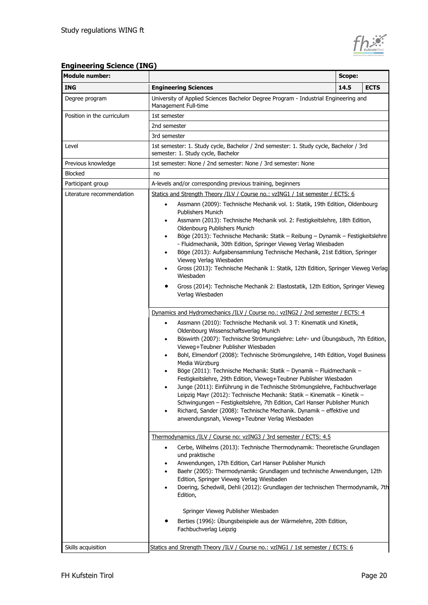

## **Engineering Science (ING)**

| <b>Module number:</b>      | Scope:                                                                                                                                                                                                                                                                                                                                                                                                                                                                                                                                                                                                                                                                                                                                                                                                                                                                                                                                                                                                                      |      |             |
|----------------------------|-----------------------------------------------------------------------------------------------------------------------------------------------------------------------------------------------------------------------------------------------------------------------------------------------------------------------------------------------------------------------------------------------------------------------------------------------------------------------------------------------------------------------------------------------------------------------------------------------------------------------------------------------------------------------------------------------------------------------------------------------------------------------------------------------------------------------------------------------------------------------------------------------------------------------------------------------------------------------------------------------------------------------------|------|-------------|
| <b>ING</b>                 | <b>Engineering Sciences</b>                                                                                                                                                                                                                                                                                                                                                                                                                                                                                                                                                                                                                                                                                                                                                                                                                                                                                                                                                                                                 | 14.5 | <b>ECTS</b> |
| Degree program             | University of Applied Sciences Bachelor Degree Program - Industrial Engineering and<br>Management Full-time                                                                                                                                                                                                                                                                                                                                                                                                                                                                                                                                                                                                                                                                                                                                                                                                                                                                                                                 |      |             |
| Position in the curriculum | 1st semester                                                                                                                                                                                                                                                                                                                                                                                                                                                                                                                                                                                                                                                                                                                                                                                                                                                                                                                                                                                                                |      |             |
|                            | 2nd semester                                                                                                                                                                                                                                                                                                                                                                                                                                                                                                                                                                                                                                                                                                                                                                                                                                                                                                                                                                                                                |      |             |
|                            | 3rd semester                                                                                                                                                                                                                                                                                                                                                                                                                                                                                                                                                                                                                                                                                                                                                                                                                                                                                                                                                                                                                |      |             |
| Level                      | 1st semester: 1. Study cycle, Bachelor / 2nd semester: 1. Study cycle, Bachelor / 3rd<br>semester: 1. Study cycle, Bachelor                                                                                                                                                                                                                                                                                                                                                                                                                                                                                                                                                                                                                                                                                                                                                                                                                                                                                                 |      |             |
| Previous knowledge         | 1st semester: None / 2nd semester: None / 3rd semester: None                                                                                                                                                                                                                                                                                                                                                                                                                                                                                                                                                                                                                                                                                                                                                                                                                                                                                                                                                                |      |             |
| <b>Blocked</b>             | no                                                                                                                                                                                                                                                                                                                                                                                                                                                                                                                                                                                                                                                                                                                                                                                                                                                                                                                                                                                                                          |      |             |
| Participant group          | A-levels and/or corresponding previous training, beginners                                                                                                                                                                                                                                                                                                                                                                                                                                                                                                                                                                                                                                                                                                                                                                                                                                                                                                                                                                  |      |             |
| Literature recommendation  | Statics and Strength Theory /ILV / Course no.: vzING1 / 1st semester / ECTS: 6<br>Assmann (2009): Technische Mechanik vol. 1: Statik, 19th Edition, Oldenbourg<br>$\bullet$<br>Publishers Munich<br>Assmann (2013): Technische Mechanik vol. 2: Festigkeitslehre, 18th Edition,<br>٠<br>Oldenbourg Publishers Munich<br>Böge (2013): Technische Mechanik: Statik - Reibung - Dynamik - Festigkeitslehre<br>٠<br>- Fluidmechanik, 30th Edition, Springer Vieweg Verlag Wiesbaden<br>Böge (2013): Aufgabensammlung Technische Mechanik, 21st Edition, Springer<br>٠<br>Vieweg Verlag Wiesbaden<br>Gross (2013): Technische Mechanik 1: Statik, 12th Edition, Springer Vieweg Verlag<br>٠<br>Wiesbaden<br>Gross (2014): Technische Mechanik 2: Elastostatik, 12th Edition, Springer Vieweg<br>Verlag Wiesbaden<br>Dynamics and Hydromechanics /ILV / Course no.: vzING2 / 2nd semester / ECTS: 4<br>Assmann (2010): Technische Mechanik vol. 3 T: Kinematik und Kinetik,<br>$\bullet$<br>Oldenbourg Wissenschaftsverlag Munich |      |             |
|                            | Böswirth (2007): Technische Strömungslehre: Lehr- und Übungsbuch, 7th Edition,<br>٠<br>Vieweg+Teubner Publisher Wiesbaden<br>Bohl, Elmendorf (2008): Technische Strömungslehre, 14th Edition, Vogel Business<br>٠<br>Media Würzburg<br>Böge (2011): Technische Mechanik: Statik - Dynamik - Fluidmechanik -<br>٠<br>Festigkeitslehre, 29th Edition, Vieweg+Teubner Publisher Wiesbaden<br>Junge (2011): Einführung in die Technische Strömungslehre, Fachbuchverlage<br>Leipzig Mayr (2012): Technische Mechanik: Statik - Kinematik - Kinetik -<br>Schwingungen - Festigkeitslehre, 7th Edition, Carl Hanser Publisher Munich<br>Richard, Sander (2008): Technische Mechanik. Dynamik - effektive und<br>anwendungsnah, Vieweg+Teubner Verlag Wiesbaden                                                                                                                                                                                                                                                                    |      |             |
|                            | Thermodynamics /ILV / Course no: vzING3 / 3rd semester / ECTS: 4.5<br>Cerbe, Wilhelms (2013): Technische Thermodynamik: Theoretische Grundlagen<br>$\bullet$<br>und praktische<br>Anwendungen, 17th Edition, Carl Hanser Publisher Munich<br>Baehr (2005): Thermodynamik: Grundlagen und technische Anwendungen, 12th<br>٠<br>Edition, Springer Vieweg Verlag Wiesbaden<br>Doering, Schedwill, Dehli (2012): Grundlagen der technischen Thermodynamik, 7th<br>٠<br>Edition,                                                                                                                                                                                                                                                                                                                                                                                                                                                                                                                                                 |      |             |
|                            | Springer Vieweg Publisher Wiesbaden<br>Berties (1996): Übungsbeispiele aus der Wärmelehre, 20th Edition,<br>Fachbuchverlag Leipzig                                                                                                                                                                                                                                                                                                                                                                                                                                                                                                                                                                                                                                                                                                                                                                                                                                                                                          |      |             |
| Skills acquisition         | Statics and Strength Theory /ILV / Course no.: vzING1 / 1st semester / ECTS: 6                                                                                                                                                                                                                                                                                                                                                                                                                                                                                                                                                                                                                                                                                                                                                                                                                                                                                                                                              |      |             |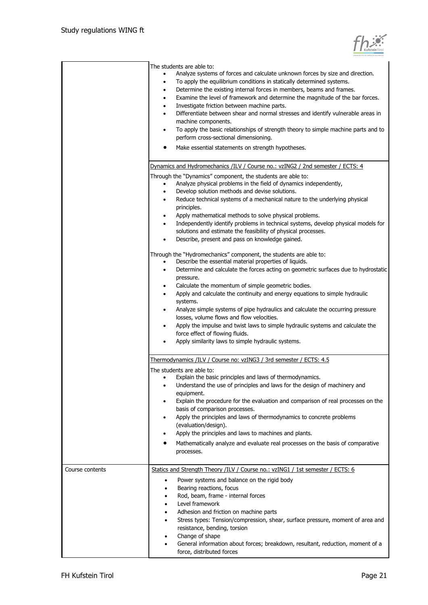|  | KufsteinTirol |
|--|---------------|

|                 | The students are able to:<br>Analyze systems of forces and calculate unknown forces by size and direction.<br>To apply the equilibrium conditions in statically determined systems.<br>٠<br>Determine the existing internal forces in members, beams and frames.<br>٠<br>Examine the level of framework and determine the magnitude of the bar forces.<br>٠<br>Investigate friction between machine parts.<br>٠<br>Differentiate between shear and normal stresses and identify vulnerable areas in<br>٠<br>machine components.<br>To apply the basic relationships of strength theory to simple machine parts and to<br>٠<br>perform cross-sectional dimensioning.<br>Make essential statements on strength hypotheses. |
|-----------------|--------------------------------------------------------------------------------------------------------------------------------------------------------------------------------------------------------------------------------------------------------------------------------------------------------------------------------------------------------------------------------------------------------------------------------------------------------------------------------------------------------------------------------------------------------------------------------------------------------------------------------------------------------------------------------------------------------------------------|
|                 | Dynamics and Hydromechanics /ILV / Course no.: vzING2 / 2nd semester / ECTS: 4                                                                                                                                                                                                                                                                                                                                                                                                                                                                                                                                                                                                                                           |
|                 | Through the "Dynamics" component, the students are able to:<br>Analyze physical problems in the field of dynamics independently,<br>Develop solution methods and devise solutions.<br>$\bullet$<br>Reduce technical systems of a mechanical nature to the underlying physical<br>$\bullet$<br>principles.<br>Apply mathematical methods to solve physical problems.<br>$\bullet$<br>Independently identify problems in technical systems, develop physical models for<br>solutions and estimate the feasibility of physical processes.<br>Describe, present and pass on knowledge gained.                                                                                                                                |
|                 | Through the "Hydromechanics" component, the students are able to:<br>Describe the essential material properties of liquids.<br>Determine and calculate the forces acting on geometric surfaces due to hydrostatic<br>$\bullet$<br>pressure.                                                                                                                                                                                                                                                                                                                                                                                                                                                                              |
|                 | Calculate the momentum of simple geometric bodies.<br>$\bullet$<br>Apply and calculate the continuity and energy equations to simple hydraulic<br>٠<br>systems.<br>Analyze simple systems of pipe hydraulics and calculate the occurring pressure<br>losses, volume flows and flow velocities.<br>Apply the impulse and twist laws to simple hydraulic systems and calculate the<br>$\bullet$<br>force effect of flowing fluids.<br>Apply similarity laws to simple hydraulic systems.                                                                                                                                                                                                                                   |
|                 | Thermodynamics /ILV / Course no: vzING3 / 3rd semester / ECTS: 4.5                                                                                                                                                                                                                                                                                                                                                                                                                                                                                                                                                                                                                                                       |
|                 | The students are able to:<br>Explain the basic principles and laws of thermodynamics.<br>$\bullet$<br>Understand the use of principles and laws for the design of machinery and<br>٠<br>equipment.<br>Explain the procedure for the evaluation and comparison of real processes on the<br>٠<br>basis of comparison processes.<br>Apply the principles and laws of thermodynamics to concrete problems<br>(evaluation/design).<br>Apply the principles and laws to machines and plants.<br>٠<br>Mathematically analyze and evaluate real processes on the basis of comparative<br>processes.                                                                                                                              |
| Course contents | Statics and Strength Theory /ILV / Course no.: vzING1 / 1st semester / ECTS: 6                                                                                                                                                                                                                                                                                                                                                                                                                                                                                                                                                                                                                                           |
|                 | Power systems and balance on the rigid body<br>$\bullet$<br>Bearing reactions, focus<br>٠<br>Rod, beam, frame - internal forces<br>٠<br>Level framework<br>٠<br>Adhesion and friction on machine parts<br>٠<br>Stress types: Tension/compression, shear, surface pressure, moment of area and<br>٠<br>resistance, bending, torsion<br>Change of shape<br>٠<br>General information about forces; breakdown, resultant, reduction, moment of a<br>٠<br>force, distributed forces                                                                                                                                                                                                                                           |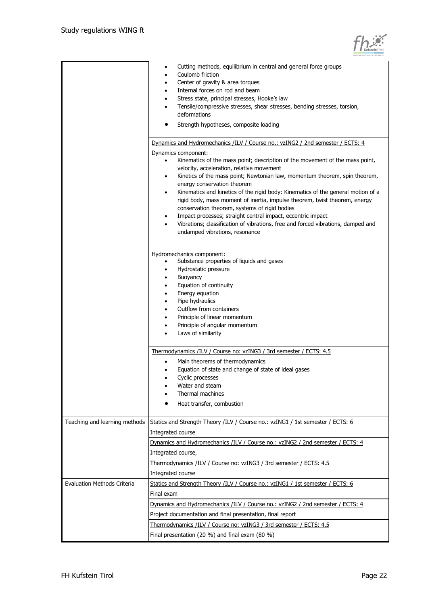

|                                    | Cutting methods, equilibrium in central and general force groups<br>Coulomb friction<br>Center of gravity & area torques<br>٠<br>Internal forces on rod and beam<br>٠<br>Stress state, principal stresses, Hooke's law<br>Tensile/compressive stresses, shear stresses, bending stresses, torsion, |
|------------------------------------|----------------------------------------------------------------------------------------------------------------------------------------------------------------------------------------------------------------------------------------------------------------------------------------------------|
|                                    | deformations<br>Strength hypotheses, composite loading                                                                                                                                                                                                                                             |
|                                    |                                                                                                                                                                                                                                                                                                    |
|                                    | Dynamics and Hydromechanics /ILV / Course no.: vzING2 / 2nd semester / ECTS: 4                                                                                                                                                                                                                     |
|                                    | Dynamics component:<br>Kinematics of the mass point; description of the movement of the mass point,<br>velocity, acceleration, relative movement<br>Kinetics of the mass point; Newtonian law, momentum theorem, spin theorem,<br>٠<br>energy conservation theorem                                 |
|                                    | Kinematics and kinetics of the rigid body: Kinematics of the general motion of a<br>٠<br>rigid body, mass moment of inertia, impulse theorem, twist theorem, energy<br>conservation theorem, systems of rigid bodies                                                                               |
|                                    | Impact processes; straight central impact, eccentric impact<br>Vibrations; classification of vibrations, free and forced vibrations, damped and<br>undamped vibrations, resonance                                                                                                                  |
|                                    | Hydromechanics component:<br>Substance properties of liquids and gases<br>Hydrostatic pressure                                                                                                                                                                                                     |
|                                    | Buoyancy                                                                                                                                                                                                                                                                                           |
|                                    | Equation of continuity<br>$\bullet$                                                                                                                                                                                                                                                                |
|                                    | Energy equation<br>٠<br>Pipe hydraulics                                                                                                                                                                                                                                                            |
|                                    | ٠<br>Outflow from containers                                                                                                                                                                                                                                                                       |
|                                    | Principle of linear momentum                                                                                                                                                                                                                                                                       |
|                                    | Principle of angular momentum                                                                                                                                                                                                                                                                      |
|                                    | Laws of similarity                                                                                                                                                                                                                                                                                 |
|                                    | Thermodynamics /ILV / Course no: vzING3 / 3rd semester / ECTS: 4.5                                                                                                                                                                                                                                 |
|                                    | Main theorems of thermodynamics<br>٠                                                                                                                                                                                                                                                               |
|                                    | Equation of state and change of state of ideal gases                                                                                                                                                                                                                                               |
|                                    | Cyclic processes                                                                                                                                                                                                                                                                                   |
|                                    | Water and steam<br>Thermal machines                                                                                                                                                                                                                                                                |
|                                    | Heat transfer, combustion                                                                                                                                                                                                                                                                          |
| Teaching and learning methods      | Statics and Strength Theory /ILV / Course no.: vzING1 / 1st semester / ECTS: 6<br>Integrated course                                                                                                                                                                                                |
|                                    | Dynamics and Hydromechanics /ILV / Course no.: vzING2 / 2nd semester / ECTS: 4                                                                                                                                                                                                                     |
|                                    | Integrated course,                                                                                                                                                                                                                                                                                 |
|                                    | Thermodynamics /ILV / Course no: vzING3 / 3rd semester / ECTS: 4.5                                                                                                                                                                                                                                 |
|                                    | Integrated course                                                                                                                                                                                                                                                                                  |
| <b>Evaluation Methods Criteria</b> | Statics and Strength Theory /ILV / Course no.: vzING1 / 1st semester / ECTS: 6<br>Final exam                                                                                                                                                                                                       |
|                                    | Dynamics and Hydromechanics /ILV / Course no.: vzING2 / 2nd semester / ECTS: 4                                                                                                                                                                                                                     |
|                                    | Project documentation and final presentation, final report                                                                                                                                                                                                                                         |
|                                    | Thermodynamics /ILV / Course no: vzING3 / 3rd semester / ECTS: 4.5                                                                                                                                                                                                                                 |
|                                    | Final presentation (20 %) and final exam (80 %)                                                                                                                                                                                                                                                    |
|                                    |                                                                                                                                                                                                                                                                                                    |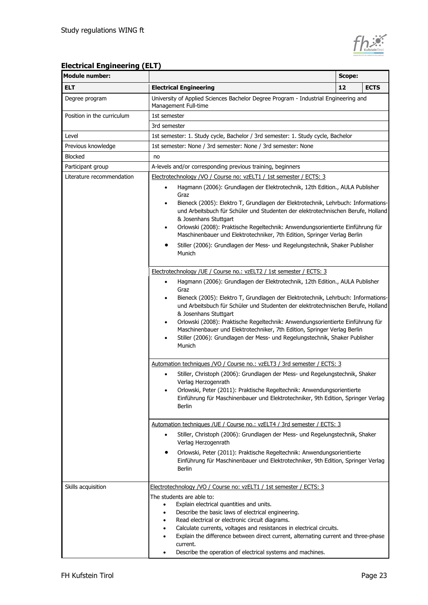

## **Electrical Engineering (ELT)**

| <b>Module number:</b>      | Scope:                                                                                                                                                                                                                                                                                                                                                                                                                                                                                                                                                                                                                                                                                                                                                                                                                                                                                                                                                                                |    |             |  |
|----------------------------|---------------------------------------------------------------------------------------------------------------------------------------------------------------------------------------------------------------------------------------------------------------------------------------------------------------------------------------------------------------------------------------------------------------------------------------------------------------------------------------------------------------------------------------------------------------------------------------------------------------------------------------------------------------------------------------------------------------------------------------------------------------------------------------------------------------------------------------------------------------------------------------------------------------------------------------------------------------------------------------|----|-------------|--|
| <b>ELT</b>                 | <b>Electrical Engineering</b>                                                                                                                                                                                                                                                                                                                                                                                                                                                                                                                                                                                                                                                                                                                                                                                                                                                                                                                                                         | 12 | <b>ECTS</b> |  |
| Degree program             | University of Applied Sciences Bachelor Degree Program - Industrial Engineering and<br>Management Full-time                                                                                                                                                                                                                                                                                                                                                                                                                                                                                                                                                                                                                                                                                                                                                                                                                                                                           |    |             |  |
| Position in the curriculum | 1st semester                                                                                                                                                                                                                                                                                                                                                                                                                                                                                                                                                                                                                                                                                                                                                                                                                                                                                                                                                                          |    |             |  |
|                            | 3rd semester                                                                                                                                                                                                                                                                                                                                                                                                                                                                                                                                                                                                                                                                                                                                                                                                                                                                                                                                                                          |    |             |  |
| Level                      | 1st semester: 1. Study cycle, Bachelor / 3rd semester: 1. Study cycle, Bachelor                                                                                                                                                                                                                                                                                                                                                                                                                                                                                                                                                                                                                                                                                                                                                                                                                                                                                                       |    |             |  |
| Previous knowledge         | 1st semester: None / 3rd semester: None / 3rd semester: None                                                                                                                                                                                                                                                                                                                                                                                                                                                                                                                                                                                                                                                                                                                                                                                                                                                                                                                          |    |             |  |
| Blocked                    | no                                                                                                                                                                                                                                                                                                                                                                                                                                                                                                                                                                                                                                                                                                                                                                                                                                                                                                                                                                                    |    |             |  |
| Participant group          | A-levels and/or corresponding previous training, beginners                                                                                                                                                                                                                                                                                                                                                                                                                                                                                                                                                                                                                                                                                                                                                                                                                                                                                                                            |    |             |  |
| Literature recommendation  | Electrotechnology /VO / Course no: vzELT1 / 1st semester / ECTS: 3<br>Hagmann (2006): Grundlagen der Elektrotechnik, 12th Edition., AULA Publisher<br>٠<br>Graz<br>Bieneck (2005): Elektro T, Grundlagen der Elektrotechnik, Lehrbuch: Informations-<br>٠<br>und Arbeitsbuch für Schüler und Studenten der elektrotechnischen Berufe, Holland<br>& Josenhans Stuttgart<br>Orlowski (2008): Praktische Regeltechnik: Anwendungsorientierte Einführung für<br>٠<br>Maschinenbauer und Elektrotechniker, 7th Edition, Springer Verlag Berlin<br>Stiller (2006): Grundlagen der Mess- und Regelungstechnik, Shaker Publisher<br>Munich<br>Electrotechnology / UE / Course no.: vzELT2 / 1st semester / ECTS: 3<br>Hagmann (2006): Grundlagen der Elektrotechnik, 12th Edition., AULA Publisher<br>٠<br>Graz<br>Bieneck (2005): Elektro T, Grundlagen der Elektrotechnik, Lehrbuch: Informations-<br>٠<br>und Arbeitsbuch für Schüler und Studenten der elektrotechnischen Berufe, Holland |    |             |  |
|                            | & Josenhans Stuttgart<br>Orlowski (2008): Praktische Regeltechnik: Anwendungsorientierte Einführung für<br>٠<br>Maschinenbauer und Elektrotechniker, 7th Edition, Springer Verlag Berlin<br>Stiller (2006): Grundlagen der Mess- und Regelungstechnik, Shaker Publisher<br>٠<br>Munich                                                                                                                                                                                                                                                                                                                                                                                                                                                                                                                                                                                                                                                                                                |    |             |  |
|                            | Automation techniques /VO / Course no.: vzELT3 / 3rd semester / ECTS: 3                                                                                                                                                                                                                                                                                                                                                                                                                                                                                                                                                                                                                                                                                                                                                                                                                                                                                                               |    |             |  |
|                            | Stiller, Christoph (2006): Grundlagen der Mess- und Regelungstechnik, Shaker<br>٠<br>Verlag Herzogenrath<br>Orlowski, Peter (2011): Praktische Regeltechnik: Anwendungsorientierte<br>$\bullet$<br>Einführung für Maschinenbauer und Elektrotechniker, 9th Edition, Springer Verlag<br>Berlin                                                                                                                                                                                                                                                                                                                                                                                                                                                                                                                                                                                                                                                                                         |    |             |  |
|                            | Automation techniques / UE / Course no.: vzELT4 / 3rd semester / ECTS: 3                                                                                                                                                                                                                                                                                                                                                                                                                                                                                                                                                                                                                                                                                                                                                                                                                                                                                                              |    |             |  |
|                            | Stiller, Christoph (2006): Grundlagen der Mess- und Regelungstechnik, Shaker<br>Verlag Herzogenrath<br>Orlowski, Peter (2011): Praktische Regeltechnik: Anwendungsorientierte<br>Einführung für Maschinenbauer und Elektrotechniker, 9th Edition, Springer Verlag<br><b>Berlin</b>                                                                                                                                                                                                                                                                                                                                                                                                                                                                                                                                                                                                                                                                                                    |    |             |  |
| Skills acquisition         | Electrotechnology /VO / Course no: vzELT1 / 1st semester / ECTS: 3                                                                                                                                                                                                                                                                                                                                                                                                                                                                                                                                                                                                                                                                                                                                                                                                                                                                                                                    |    |             |  |
|                            | The students are able to:<br>Explain electrical quantities and units.<br>$\bullet$<br>Describe the basic laws of electrical engineering.<br>Read electrical or electronic circuit diagrams.<br>Calculate currents, voltages and resistances in electrical circuits.<br>Explain the difference between direct current, alternating current and three-phase<br>current.<br>Describe the operation of electrical systems and machines.                                                                                                                                                                                                                                                                                                                                                                                                                                                                                                                                                   |    |             |  |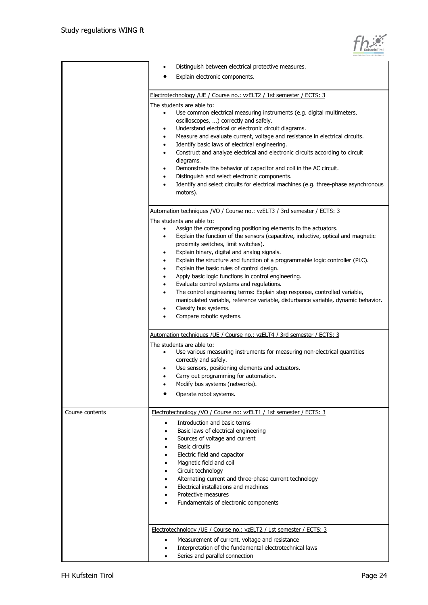

|                 | Distinguish between electrical protective measures.                                                                                                                                                                                                                                                                                                                                                                                                                                                                                                                                                                                                                                                                                                                                                                                                                                                                                                                                                                                                                                                                                                                                                                                                                                                            |
|-----------------|----------------------------------------------------------------------------------------------------------------------------------------------------------------------------------------------------------------------------------------------------------------------------------------------------------------------------------------------------------------------------------------------------------------------------------------------------------------------------------------------------------------------------------------------------------------------------------------------------------------------------------------------------------------------------------------------------------------------------------------------------------------------------------------------------------------------------------------------------------------------------------------------------------------------------------------------------------------------------------------------------------------------------------------------------------------------------------------------------------------------------------------------------------------------------------------------------------------------------------------------------------------------------------------------------------------|
|                 | Explain electronic components.                                                                                                                                                                                                                                                                                                                                                                                                                                                                                                                                                                                                                                                                                                                                                                                                                                                                                                                                                                                                                                                                                                                                                                                                                                                                                 |
|                 |                                                                                                                                                                                                                                                                                                                                                                                                                                                                                                                                                                                                                                                                                                                                                                                                                                                                                                                                                                                                                                                                                                                                                                                                                                                                                                                |
|                 | Electrotechnology / UE / Course no.: vzELT2 / 1st semester / ECTS: 3                                                                                                                                                                                                                                                                                                                                                                                                                                                                                                                                                                                                                                                                                                                                                                                                                                                                                                                                                                                                                                                                                                                                                                                                                                           |
|                 | The students are able to:<br>Use common electrical measuring instruments (e.g. digital multimeters,<br>$\bullet$<br>oscilloscopes, ) correctly and safely.<br>Understand electrical or electronic circuit diagrams.<br>$\bullet$<br>Measure and evaluate current, voltage and resistance in electrical circuits.<br>$\bullet$<br>Identify basic laws of electrical engineering.<br>$\bullet$<br>Construct and analyze electrical and electronic circuits according to circuit<br>$\bullet$<br>diagrams.<br>Demonstrate the behavior of capacitor and coil in the AC circuit.<br>$\bullet$<br>Distinguish and select electronic components.<br>$\bullet$<br>Identify and select circuits for electrical machines (e.g. three-phase asynchronous<br>$\bullet$<br>motors).                                                                                                                                                                                                                                                                                                                                                                                                                                                                                                                                        |
|                 |                                                                                                                                                                                                                                                                                                                                                                                                                                                                                                                                                                                                                                                                                                                                                                                                                                                                                                                                                                                                                                                                                                                                                                                                                                                                                                                |
|                 | Automation techniques /VO / Course no.: vzELT3 / 3rd semester / ECTS: 3<br>The students are able to:<br>Assign the corresponding positioning elements to the actuators.<br>$\bullet$<br>Explain the function of the sensors (capacitive, inductive, optical and magnetic<br>$\bullet$<br>proximity switches, limit switches).<br>Explain binary, digital and analog signals.<br>٠<br>Explain the structure and function of a programmable logic controller (PLC).<br>$\bullet$<br>Explain the basic rules of control design.<br>$\bullet$<br>Apply basic logic functions in control engineering.<br>$\bullet$<br>Evaluate control systems and regulations.<br>$\bullet$<br>The control engineering terms: Explain step response, controlled variable,<br>$\bullet$<br>manipulated variable, reference variable, disturbance variable, dynamic behavior.<br>Classify bus systems.<br>$\bullet$<br>Compare robotic systems.<br>Automation techniques / UE / Course no.: vzELT4 / 3rd semester / ECTS: 3<br>The students are able to:<br>Use various measuring instruments for measuring non-electrical quantities<br>$\bullet$<br>correctly and safely.<br>Use sensors, positioning elements and actuators.<br>$\bullet$<br>Carry out programming for automation.<br>$\bullet$<br>Modify bus systems (networks). |
|                 | Operate robot systems.                                                                                                                                                                                                                                                                                                                                                                                                                                                                                                                                                                                                                                                                                                                                                                                                                                                                                                                                                                                                                                                                                                                                                                                                                                                                                         |
| Course contents | Electrotechnology /VO / Course no: vzELT1 / 1st semester / ECTS: 3<br>Introduction and basic terms<br>Basic laws of electrical engineering<br>$\bullet$<br>Sources of voltage and current<br><b>Basic circuits</b><br>Electric field and capacitor<br>Magnetic field and coil<br>Circuit technology<br>Alternating current and three-phase current technology<br>Electrical installations and machines<br>Protective measures<br>Fundamentals of electronic components                                                                                                                                                                                                                                                                                                                                                                                                                                                                                                                                                                                                                                                                                                                                                                                                                                         |
|                 | Electrotechnology / UE / Course no.: vzELT2 / 1st semester / ECTS: 3<br>Measurement of current, voltage and resistance<br>Interpretation of the fundamental electrotechnical laws<br>Series and parallel connection                                                                                                                                                                                                                                                                                                                                                                                                                                                                                                                                                                                                                                                                                                                                                                                                                                                                                                                                                                                                                                                                                            |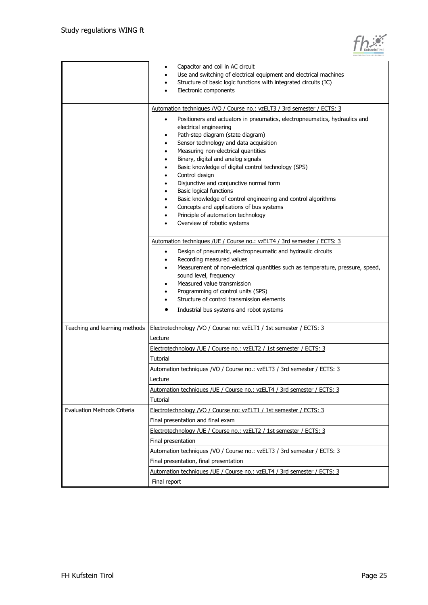

|                                    | Capacitor and coil in AC circuit<br>Use and switching of electrical equipment and electrical machines<br>Structure of basic logic functions with integrated circuits (IC)<br>$\bullet$<br>Electronic components                                                                                                                                                                                                                                                                                                                                                                                                                                                                                                                     |
|------------------------------------|-------------------------------------------------------------------------------------------------------------------------------------------------------------------------------------------------------------------------------------------------------------------------------------------------------------------------------------------------------------------------------------------------------------------------------------------------------------------------------------------------------------------------------------------------------------------------------------------------------------------------------------------------------------------------------------------------------------------------------------|
|                                    | Automation techniques /VO / Course no.: vzELT3 / 3rd semester / ECTS: 3<br>Positioners and actuators in pneumatics, electropneumatics, hydraulics and<br>٠<br>electrical engineering<br>Path-step diagram (state diagram)<br>٠<br>Sensor technology and data acquisition<br>٠<br>Measuring non-electrical quantities<br>٠<br>Binary, digital and analog signals<br>٠<br>Basic knowledge of digital control technology (SPS)<br>Control design<br>٠<br>Disjunctive and conjunctive normal form<br>٠<br>Basic logical functions<br>٠<br>Basic knowledge of control engineering and control algorithms<br>٠<br>Concepts and applications of bus systems<br>٠<br>Principle of automation technology<br>٠<br>Overview of robotic systems |
|                                    | Automation techniques / UE / Course no.: vzELT4 / 3rd semester / ECTS: 3<br>Design of pneumatic, electropneumatic and hydraulic circuits<br>$\bullet$<br>Recording measured values<br>٠<br>Measurement of non-electrical quantities such as temperature, pressure, speed,<br>٠<br>sound level, frequency<br>Measured value transmission<br>Programming of control units (SPS)<br>٠<br>Structure of control transmission elements<br>٠<br>Industrial bus systems and robot systems                                                                                                                                                                                                                                                   |
| Teaching and learning methods      | Electrotechnology /VO / Course no: vzELT1 / 1st semester / ECTS: 3<br>Lecture<br>Electrotechnology / UE / Course no.: vzELT2 / 1st semester / ECTS: 3<br>Tutorial                                                                                                                                                                                                                                                                                                                                                                                                                                                                                                                                                                   |
|                                    | Automation techniques /VO / Course no.: vzELT3 / 3rd semester / ECTS: 3<br>Lecture<br>Automation techniques / UE / Course no.: vzELT4 / 3rd semester / ECTS: 3<br>Tutorial                                                                                                                                                                                                                                                                                                                                                                                                                                                                                                                                                          |
| <b>Evaluation Methods Criteria</b> | Electrotechnology /VO / Course no: vzELT1 / 1st semester / ECTS: 3<br>Final presentation and final exam<br>Electrotechnology / UE / Course no.: vzELT2 / 1st semester / ECTS: 3                                                                                                                                                                                                                                                                                                                                                                                                                                                                                                                                                     |
|                                    | Final presentation<br>Automation techniques /VO / Course no.: vzELT3 / 3rd semester / ECTS: 3<br>Final presentation, final presentation<br>Automation techniques /UE / Course no.: vzELT4 / 3rd semester / ECTS: 3<br>Final report                                                                                                                                                                                                                                                                                                                                                                                                                                                                                                  |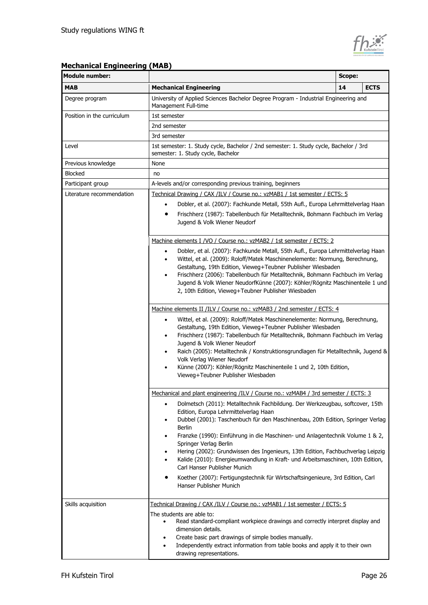

### **Mechanical Engineering (MAB)**

| <b>Module number:</b>      | Scope:                                                                                                                                                                                                                                                                                                                                                                                                                                                                                                                                                                                       |    |             |
|----------------------------|----------------------------------------------------------------------------------------------------------------------------------------------------------------------------------------------------------------------------------------------------------------------------------------------------------------------------------------------------------------------------------------------------------------------------------------------------------------------------------------------------------------------------------------------------------------------------------------------|----|-------------|
| <b>MAB</b>                 | <b>Mechanical Engineering</b>                                                                                                                                                                                                                                                                                                                                                                                                                                                                                                                                                                | 14 | <b>ECTS</b> |
| Degree program             | University of Applied Sciences Bachelor Degree Program - Industrial Engineering and<br>Management Full-time                                                                                                                                                                                                                                                                                                                                                                                                                                                                                  |    |             |
| Position in the curriculum | 1st semester                                                                                                                                                                                                                                                                                                                                                                                                                                                                                                                                                                                 |    |             |
|                            | 2nd semester                                                                                                                                                                                                                                                                                                                                                                                                                                                                                                                                                                                 |    |             |
|                            | 3rd semester                                                                                                                                                                                                                                                                                                                                                                                                                                                                                                                                                                                 |    |             |
| Level                      | 1st semester: 1. Study cycle, Bachelor / 2nd semester: 1. Study cycle, Bachelor / 3rd<br>semester: 1. Study cycle, Bachelor                                                                                                                                                                                                                                                                                                                                                                                                                                                                  |    |             |
| Previous knowledge         | None                                                                                                                                                                                                                                                                                                                                                                                                                                                                                                                                                                                         |    |             |
| <b>Blocked</b>             | no                                                                                                                                                                                                                                                                                                                                                                                                                                                                                                                                                                                           |    |             |
| Participant group          | A-levels and/or corresponding previous training, beginners                                                                                                                                                                                                                                                                                                                                                                                                                                                                                                                                   |    |             |
| Literature recommendation  | Technical Drawing / CAX /ILV / Course no.: vzMAB1 / 1st semester / ECTS: 5                                                                                                                                                                                                                                                                                                                                                                                                                                                                                                                   |    |             |
|                            | Dobler, et al. (2007): Fachkunde Metall, 55th Aufl., Europa Lehrmittelverlag Haan<br>$\bullet$                                                                                                                                                                                                                                                                                                                                                                                                                                                                                               |    |             |
|                            | Frischherz (1987): Tabellenbuch für Metalltechnik, Bohmann Fachbuch im Verlag<br>Jugend & Volk Wiener Neudorf                                                                                                                                                                                                                                                                                                                                                                                                                                                                                |    |             |
|                            | Machine elements I /VO / Course no.: vzMAB2 / 1st semester / ECTS: 2                                                                                                                                                                                                                                                                                                                                                                                                                                                                                                                         |    |             |
|                            | Dobler, et al. (2007): Fachkunde Metall, 55th Aufl., Europa Lehrmittelverlag Haan<br>٠<br>Wittel, et al. (2009): Roloff/Matek Maschinenelemente: Normung, Berechnung,<br>$\bullet$<br>Gestaltung, 19th Edition, Vieweg+Teubner Publisher Wiesbaden<br>Frischherz (2006): Tabellenbuch für Metalltechnik, Bohmann Fachbuch im Verlag<br>٠<br>Jugend & Volk Wiener NeudorfKünne (2007): Köhler/Rögnitz Maschinenteile 1 und<br>2, 10th Edition, Vieweg+Teubner Publisher Wiesbaden                                                                                                             |    |             |
|                            | Machine elements II /ILV / Course no.: vzMAB3 / 2nd semester / ECTS: 4<br>Wittel, et al. (2009): Roloff/Matek Maschinenelemente: Normung, Berechnung,<br>$\bullet$<br>Gestaltung, 19th Edition, Vieweg+Teubner Publisher Wiesbaden<br>Frischherz (1987): Tabellenbuch für Metalltechnik, Bohmann Fachbuch im Verlag<br>٠<br>Jugend & Volk Wiener Neudorf<br>Raich (2005): Metalltechnik / Konstruktionsgrundlagen für Metalltechnik, Jugend &<br>Volk Verlag Wiener Neudorf<br>Künne (2007): Köhler/Rögnitz Maschinenteile 1 und 2, 10th Edition,<br>٠<br>Vieweg+Teubner Publisher Wiesbaden |    |             |
|                            | Mechanical and plant engineering /IIV / Course no.: vzMAB4 / 3rd semester / ECTS: 3                                                                                                                                                                                                                                                                                                                                                                                                                                                                                                          |    |             |
|                            | Dolmetsch (2011): Metalltechnik Fachbildung. Der Werkzeugbau, softcover, 15th<br>$\bullet$<br>Edition, Europa Lehrmittelverlag Haan<br>Dubbel (2001): Taschenbuch für den Maschinenbau, 20th Edition, Springer Verlag<br><b>Berlin</b><br>Franzke (1990): Einführung in die Maschinen- und Anlagentechnik Volume 1 & 2,<br>$\bullet$<br>Springer Verlag Berlin<br>Hering (2002): Grundwissen des Ingenieurs, 13th Edition, Fachbuchverlag Leipzig<br>٠<br>Kalide (2010): Energieumwandlung in Kraft- und Arbeitsmaschinen, 10th Edition,<br>Carl Hanser Publisher Munich                     |    |             |
|                            | Koether (2007): Fertigungstechnik für Wirtschaftsingenieure, 3rd Edition, Carl<br>Hanser Publisher Munich                                                                                                                                                                                                                                                                                                                                                                                                                                                                                    |    |             |
| Skills acquisition         | Technical Drawing / CAX /ILV / Course no.: vzMAB1 / 1st semester / ECTS: 5<br>The students are able to:<br>Read standard-compliant workpiece drawings and correctly interpret display and<br>$\bullet$<br>dimension details.<br>Create basic part drawings of simple bodies manually.<br>Independently extract information from table books and apply it to their own<br>drawing representations.                                                                                                                                                                                            |    |             |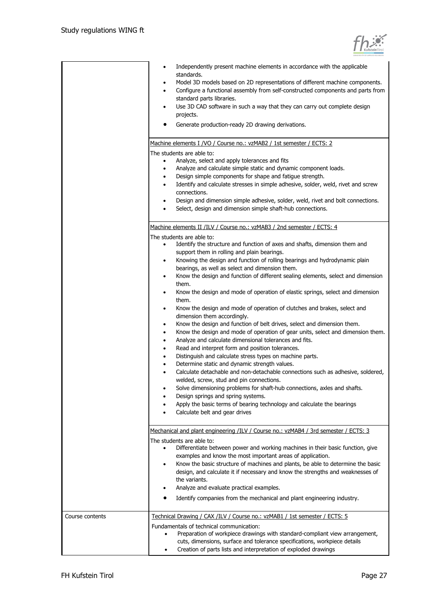

|                 | Independently present machine elements in accordance with the applicable<br>٠<br>standards.<br>Model 3D models based on 2D representations of different machine components.<br>٠<br>Configure a functional assembly from self-constructed components and parts from<br>standard parts libraries.<br>Use 3D CAD software in such a way that they can carry out complete design<br>٠<br>projects.<br>Generate production-ready 2D drawing derivations.                                                                                                                                                                                                                                                                                                                                                                                                                                                                                                                                                                                                                                                                                                                                                                                                                                                                                                                                                                                               |
|-----------------|----------------------------------------------------------------------------------------------------------------------------------------------------------------------------------------------------------------------------------------------------------------------------------------------------------------------------------------------------------------------------------------------------------------------------------------------------------------------------------------------------------------------------------------------------------------------------------------------------------------------------------------------------------------------------------------------------------------------------------------------------------------------------------------------------------------------------------------------------------------------------------------------------------------------------------------------------------------------------------------------------------------------------------------------------------------------------------------------------------------------------------------------------------------------------------------------------------------------------------------------------------------------------------------------------------------------------------------------------------------------------------------------------------------------------------------------------|
|                 | Machine elements I /VO / Course no.: vzMAB2 / 1st semester / ECTS: 2                                                                                                                                                                                                                                                                                                                                                                                                                                                                                                                                                                                                                                                                                                                                                                                                                                                                                                                                                                                                                                                                                                                                                                                                                                                                                                                                                                               |
|                 | The students are able to:<br>Analyze, select and apply tolerances and fits<br>$\bullet$<br>Analyze and calculate simple static and dynamic component loads.<br>$\bullet$<br>Design simple components for shape and fatigue strength.<br>٠<br>Identify and calculate stresses in simple adhesive, solder, weld, rivet and screw<br>$\bullet$<br>connections.<br>Design and dimension simple adhesive, solder, weld, rivet and bolt connections.<br>٠<br>Select, design and dimension simple shaft-hub connections.                                                                                                                                                                                                                                                                                                                                                                                                                                                                                                                                                                                                                                                                                                                                                                                                                                                                                                                                  |
|                 | Machine elements II /ILV / Course no.: vzMAB3 / 2nd semester / ECTS: 4                                                                                                                                                                                                                                                                                                                                                                                                                                                                                                                                                                                                                                                                                                                                                                                                                                                                                                                                                                                                                                                                                                                                                                                                                                                                                                                                                                             |
|                 | The students are able to:<br>Identify the structure and function of axes and shafts, dimension them and<br>$\bullet$<br>support them in rolling and plain bearings.<br>Knowing the design and function of rolling bearings and hydrodynamic plain<br>٠<br>bearings, as well as select and dimension them.<br>Know the design and function of different sealing elements, select and dimension<br>٠<br>them.<br>Know the design and mode of operation of elastic springs, select and dimension<br>$\bullet$<br>them.<br>Know the design and mode of operation of clutches and brakes, select and<br>$\bullet$<br>dimension them accordingly.<br>Know the design and function of belt drives, select and dimension them.<br>$\bullet$<br>Know the design and mode of operation of gear units, select and dimension them.<br>٠<br>Analyze and calculate dimensional tolerances and fits.<br>$\bullet$<br>Read and interpret form and position tolerances.<br>$\bullet$<br>Distinguish and calculate stress types on machine parts.<br>٠<br>Determine static and dynamic strength values.<br>Calculate detachable and non-detachable connections such as adhesive, soldered,<br>welded, screw, stud and pin connections.<br>Solve dimensioning problems for shaft-hub connections, axles and shafts.<br>Design springs and spring systems.<br>Apply the basic terms of bearing technology and calculate the bearings<br>Calculate belt and gear drives |
|                 |                                                                                                                                                                                                                                                                                                                                                                                                                                                                                                                                                                                                                                                                                                                                                                                                                                                                                                                                                                                                                                                                                                                                                                                                                                                                                                                                                                                                                                                    |
|                 | Mechanical and plant engineering /ILV / Course no.: vzMAB4 / 3rd semester / ECTS: 3                                                                                                                                                                                                                                                                                                                                                                                                                                                                                                                                                                                                                                                                                                                                                                                                                                                                                                                                                                                                                                                                                                                                                                                                                                                                                                                                                                |
|                 | The students are able to:<br>Differentiate between power and working machines in their basic function, give<br>examples and know the most important areas of application.<br>Know the basic structure of machines and plants, be able to determine the basic<br>$\bullet$<br>design, and calculate it if necessary and know the strengths and weaknesses of<br>the variants.<br>Analyze and evaluate practical examples.<br>Identify companies from the mechanical and plant engineering industry.                                                                                                                                                                                                                                                                                                                                                                                                                                                                                                                                                                                                                                                                                                                                                                                                                                                                                                                                                 |
| Course contents | Technical Drawing / CAX /ILV / Course no.: vzMAB1 / 1st semester / ECTS: 5<br>Fundamentals of technical communication:<br>Preparation of workpiece drawings with standard-compliant view arrangement,<br>$\bullet$<br>cuts, dimensions, surface and tolerance specifications, workpiece details<br>Creation of parts lists and interpretation of exploded drawings<br>٠                                                                                                                                                                                                                                                                                                                                                                                                                                                                                                                                                                                                                                                                                                                                                                                                                                                                                                                                                                                                                                                                            |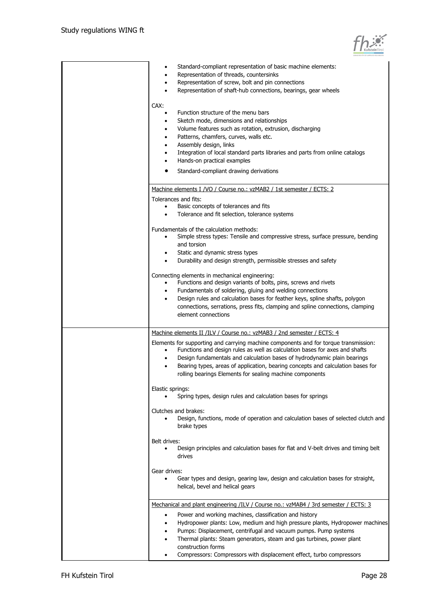| Standard-compliant representation of basic machine elements:<br>Representation of threads, countersinks                                 |
|-----------------------------------------------------------------------------------------------------------------------------------------|
| ٠<br>Representation of screw, bolt and pin connections<br>٠                                                                             |
| Representation of shaft-hub connections, bearings, gear wheels<br>$\bullet$                                                             |
|                                                                                                                                         |
| CAX:                                                                                                                                    |
| Function structure of the menu bars                                                                                                     |
| Sketch mode, dimensions and relationships<br>$\bullet$                                                                                  |
| Volume features such as rotation, extrusion, discharging                                                                                |
| Patterns, chamfers, curves, walls etc.<br>٠                                                                                             |
| Assembly design, links<br>٠                                                                                                             |
| Integration of local standard parts libraries and parts from online catalogs<br>Hands-on practical examples                             |
| ٠                                                                                                                                       |
| Standard-compliant drawing derivations                                                                                                  |
| Machine elements I /VO / Course no.: vzMAB2 / 1st semester / ECTS: 2                                                                    |
| Tolerances and fits:                                                                                                                    |
| Basic concepts of tolerances and fits<br>$\bullet$                                                                                      |
| Tolerance and fit selection, tolerance systems<br>$\bullet$                                                                             |
|                                                                                                                                         |
| Fundamentals of the calculation methods:<br>Simple stress types: Tensile and compressive stress, surface pressure, bending<br>$\bullet$ |
| and torsion                                                                                                                             |
| Static and dynamic stress types<br>٠                                                                                                    |
| Durability and design strength, permissible stresses and safety                                                                         |
|                                                                                                                                         |
| Connecting elements in mechanical engineering:                                                                                          |
| Functions and design variants of bolts, pins, screws and rivets                                                                         |
| Fundamentals of soldering, gluing and welding connections                                                                               |
| Design rules and calculation bases for feather keys, spline shafts, polygon<br>$\bullet$                                                |
| connections, serrations, press fits, clamping and spline connections, clamping<br>element connections                                   |
|                                                                                                                                         |
| Machine elements II /ILV / Course no.: vzMAB3 / 2nd semester / ECTS: 4                                                                  |
| Elements for supporting and carrying machine components and for torque transmission:                                                    |
| Functions and design rules as well as calculation bases for axes and shafts                                                             |
| Design fundamentals and calculation bases of hydrodynamic plain bearings<br>٠                                                           |
| Bearing types, areas of application, bearing concepts and calculation bases for<br>٠                                                    |
| rolling bearings Elements for sealing machine components                                                                                |
| Elastic springs:                                                                                                                        |
| Spring types, design rules and calculation bases for springs                                                                            |
|                                                                                                                                         |
| Clutches and brakes:<br>Design, functions, mode of operation and calculation bases of selected clutch and                               |
| brake types                                                                                                                             |
|                                                                                                                                         |
| Belt drives:                                                                                                                            |
| Design principles and calculation bases for flat and V-belt drives and timing belt                                                      |
| drives                                                                                                                                  |
| Gear drives:                                                                                                                            |
| Gear types and design, gearing law, design and calculation bases for straight,                                                          |
| helical, bevel and helical gears                                                                                                        |
|                                                                                                                                         |
| Mechanical and plant engineering /ILV / Course no.: vzMAB4 / 3rd semester / ECTS: 3                                                     |
| Power and working machines, classification and history                                                                                  |
| Hydropower plants: Low, medium and high pressure plants, Hydropower machines<br>٠                                                       |
| Pumps: Displacement, centrifugal and vacuum pumps. Pump systems<br>٠                                                                    |
| Thermal plants: Steam generators, steam and gas turbines, power plant<br>٠                                                              |
| construction forms                                                                                                                      |
| Compressors: Compressors with displacement effect, turbo compressors<br>٠                                                               |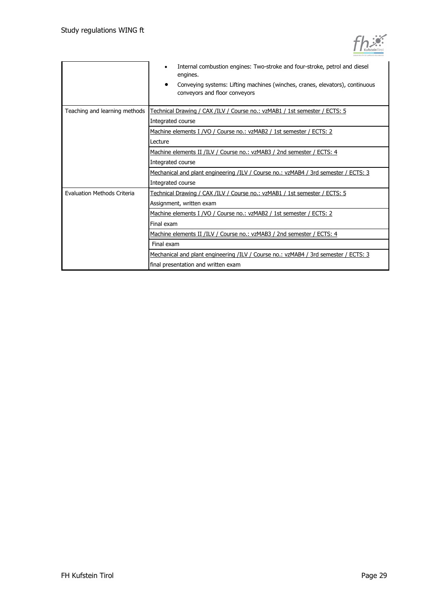|                               | Internal combustion engines: Two-stroke and four-stroke, petrol and diesel<br>engines.<br>Conveying systems: Lifting machines (winches, cranes, elevators), continuous<br>conveyors and floor conveyors |
|-------------------------------|---------------------------------------------------------------------------------------------------------------------------------------------------------------------------------------------------------|
| Teaching and learning methods | Technical Drawing / CAX /ILV / Course no.: vzMAB1 / 1st semester / ECTS: 5                                                                                                                              |
|                               | Integrated course                                                                                                                                                                                       |
|                               | Machine elements I /VO / Course no.: vzMAB2 / 1st semester / ECTS: 2                                                                                                                                    |
|                               | Lecture                                                                                                                                                                                                 |
|                               | Machine elements II /ILV / Course no.: vzMAB3 / 2nd semester / ECTS: 4                                                                                                                                  |
|                               | Integrated course                                                                                                                                                                                       |
|                               | Mechanical and plant engineering /ILV / Course no.: vzMAB4 / 3rd semester / ECTS: 3                                                                                                                     |
|                               | Integrated course                                                                                                                                                                                       |
| Evaluation Methods Criteria   | Technical Drawing / CAX /ILV / Course no.: vzMAB1 / 1st semester / ECTS: 5                                                                                                                              |
|                               | Assignment, written exam                                                                                                                                                                                |
|                               | Machine elements I /VO / Course no.: vzMAB2 / 1st semester / ECTS: 2                                                                                                                                    |
|                               | Final exam                                                                                                                                                                                              |
|                               | Machine elements II /ILV / Course no.: vzMAB3 / 2nd semester / ECTS: 4                                                                                                                                  |
|                               | Final exam                                                                                                                                                                                              |
|                               | Mechanical and plant engineering /ILV / Course no.: vzMAB4 / 3rd semester / ECTS: 3                                                                                                                     |
|                               | final presentation and written exam                                                                                                                                                                     |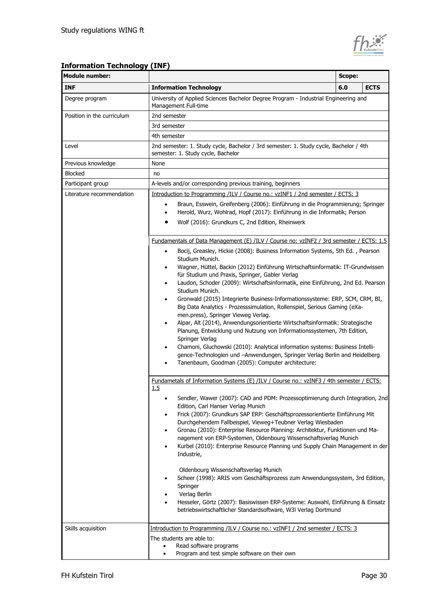

## **Information Technology (INF)**

| <b>Module number:</b>      |                                                                                                                                                                                                                                                                                                                                                                                                                                                                                                                                                                                                                                                                                                                                                                                                                                                                                                                                                                                                                                                                                            | Scope: |             |  |
|----------------------------|--------------------------------------------------------------------------------------------------------------------------------------------------------------------------------------------------------------------------------------------------------------------------------------------------------------------------------------------------------------------------------------------------------------------------------------------------------------------------------------------------------------------------------------------------------------------------------------------------------------------------------------------------------------------------------------------------------------------------------------------------------------------------------------------------------------------------------------------------------------------------------------------------------------------------------------------------------------------------------------------------------------------------------------------------------------------------------------------|--------|-------------|--|
| <b>INF</b>                 | <b>Information Technology</b>                                                                                                                                                                                                                                                                                                                                                                                                                                                                                                                                                                                                                                                                                                                                                                                                                                                                                                                                                                                                                                                              | 6.0    | <b>ECTS</b> |  |
| Degree program             | University of Applied Sciences Bachelor Degree Program - Industrial Engineering and<br>Management Full-time                                                                                                                                                                                                                                                                                                                                                                                                                                                                                                                                                                                                                                                                                                                                                                                                                                                                                                                                                                                |        |             |  |
| Position in the curriculum | 2nd semester                                                                                                                                                                                                                                                                                                                                                                                                                                                                                                                                                                                                                                                                                                                                                                                                                                                                                                                                                                                                                                                                               |        |             |  |
|                            | 3rd semester                                                                                                                                                                                                                                                                                                                                                                                                                                                                                                                                                                                                                                                                                                                                                                                                                                                                                                                                                                                                                                                                               |        |             |  |
|                            | 4th semester                                                                                                                                                                                                                                                                                                                                                                                                                                                                                                                                                                                                                                                                                                                                                                                                                                                                                                                                                                                                                                                                               |        |             |  |
| Level                      | 2nd semester: 1. Study cycle, Bachelor / 3rd semester: 1. Study cycle, Bachelor / 4th<br>semester: 1. Study cycle, Bachelor                                                                                                                                                                                                                                                                                                                                                                                                                                                                                                                                                                                                                                                                                                                                                                                                                                                                                                                                                                |        |             |  |
| Previous knowledge         | None                                                                                                                                                                                                                                                                                                                                                                                                                                                                                                                                                                                                                                                                                                                                                                                                                                                                                                                                                                                                                                                                                       |        |             |  |
| <b>Blocked</b>             | no                                                                                                                                                                                                                                                                                                                                                                                                                                                                                                                                                                                                                                                                                                                                                                                                                                                                                                                                                                                                                                                                                         |        |             |  |
| Participant group          | A-levels and/or corresponding previous training, beginners                                                                                                                                                                                                                                                                                                                                                                                                                                                                                                                                                                                                                                                                                                                                                                                                                                                                                                                                                                                                                                 |        |             |  |
| Literature recommendation  | Introduction to Programming /ILV / Course no.: vzINF1 / 2nd semester / ECTS: 3                                                                                                                                                                                                                                                                                                                                                                                                                                                                                                                                                                                                                                                                                                                                                                                                                                                                                                                                                                                                             |        |             |  |
|                            | Braun, Esswein, Greifenberg (2006): Einführung in die Programmierung; Springer<br>$\bullet$<br>Herold, Wurz, Wohlrad, Hopf (2017): Einführung in die Informatik; Person<br>$\bullet$                                                                                                                                                                                                                                                                                                                                                                                                                                                                                                                                                                                                                                                                                                                                                                                                                                                                                                       |        |             |  |
|                            | Wolf (2016): Grundkurs C, 2nd Edition, Rheinwerk                                                                                                                                                                                                                                                                                                                                                                                                                                                                                                                                                                                                                                                                                                                                                                                                                                                                                                                                                                                                                                           |        |             |  |
|                            | Fundamentals of Data Management (E) /ILV / Course no: vzINF2 / 3rd semester / ECTS: 1.5                                                                                                                                                                                                                                                                                                                                                                                                                                                                                                                                                                                                                                                                                                                                                                                                                                                                                                                                                                                                    |        |             |  |
|                            | Bocij, Greasley, Hickie (2008): Business Information Systems, 5th Ed., Pearson<br>$\bullet$<br>Studium Munich.<br>Wagner, Hüttel, Backin (2012) Einführung Wirtschaftsinformatik: IT-Grundwissen<br>٠<br>für Studium und Praxis, Springer, Gabler Verlag<br>Laudon, Schoder (2009): Wirtschaftsinformatik, eine Einführung, 2nd Ed. Pearson<br>٠<br>Studium Munich.<br>Gronwald (2015) Integrierte Business-Informationssysteme: ERP, SCM, CRM, BI,<br>٠<br>Big Data Analytics - Prozesssimulation, Rollenspiel, Serious Gaming (eXa-<br>men.press), Springer Vieweg Verlag.<br>Alpar, Alt (2014), Anwendungsorientierte Wirtschaftsinformatik: Strategische<br>٠<br>Planung, Entwicklung und Nutzung von Informationssystemen, 7th Edition,<br>Springer Verlag<br>Chamoni, Gluchowski (2010): Analytical information systems: Business Intelli-<br>٠<br>gence-Technologien und -Anwendungen, Springer Verlag Berlin and Heidelberg<br>Tanenbaum, Goodman (2005): Computer architecture:<br>Fundametals of Information Systems (E) /ILV / Course no.: vzINF3 / 4th semester / ECTS:<br>1.5 |        |             |  |
|                            | Sendler, Wawer (2007): CAD and PDM: Prozessoptimierung durch Integration, 2nd<br>Edition, Carl Hanser Verlag Munich<br>Frick (2007): Grundkurs SAP ERP: Geschäftsprozessorientierte Einführung Mit<br>٠<br>Durchgehendem Fallbeispiel, Vieweg+Teubner Verlag Wiesbaden<br>Gronau (2010): Enterprise Resource Planning: Architektur, Funktionen und Ma-<br>٠<br>nagement von ERP-Systemen, Oldenbourg Wissenschaftsverlag Munich<br>Kurbel (2010): Enterprise Resource Planning und Supply Chain Management in der<br>Industrie,<br>Oldenbourg Wissenschaftsverlag Munich<br>Scheer (1998): ARIS vom Geschäftsprozess zum Anwendungssystem, 3rd Edition,<br>٠<br>Springer<br>Verlag Berlin<br>Hesseler, Görtz (2007): Basiswissen ERP-Systeme: Auswahl, Einführung & Einsatz<br>betriebswirtschaftlicher Standardsoftware, W3I Verlag Dortmund                                                                                                                                                                                                                                              |        |             |  |
| Skills acquisition         | <u>Introduction to Programming /ILV / Course no.: vzINF1 / 2nd semester / ECTS: 3</u><br>The students are able to:<br>Read software programs<br>Program and test simple software on their own                                                                                                                                                                                                                                                                                                                                                                                                                                                                                                                                                                                                                                                                                                                                                                                                                                                                                              |        |             |  |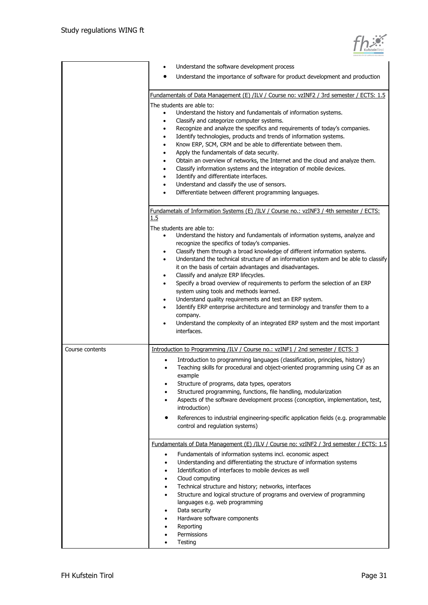| KufsteinTirol |
|---------------|

|                 | Understand the software development process                                                                                                                   |  |  |  |  |
|-----------------|---------------------------------------------------------------------------------------------------------------------------------------------------------------|--|--|--|--|
|                 | Understand the importance of software for product development and production                                                                                  |  |  |  |  |
|                 |                                                                                                                                                               |  |  |  |  |
|                 | Fundamentals of Data Management (E) /ILV / Course no: vzINF2 / 3rd semester / ECTS: 1.5                                                                       |  |  |  |  |
|                 | The students are able to:<br>Understand the history and fundamentals of information systems.<br>$\bullet$                                                     |  |  |  |  |
|                 | Classify and categorize computer systems.<br>٠<br>Recognize and analyze the specifics and requirements of today's companies.<br>٠                             |  |  |  |  |
|                 | Identify technologies, products and trends of information systems.<br>٠                                                                                       |  |  |  |  |
|                 | Know ERP, SCM, CRM and be able to differentiate between them.<br>$\bullet$                                                                                    |  |  |  |  |
|                 | Apply the fundamentals of data security.<br>$\bullet$                                                                                                         |  |  |  |  |
|                 | Obtain an overview of networks, the Internet and the cloud and analyze them.<br>٠<br>Classify information systems and the integration of mobile devices.<br>٠ |  |  |  |  |
|                 | Identify and differentiate interfaces.<br>٠                                                                                                                   |  |  |  |  |
|                 | Understand and classify the use of sensors.<br>٠                                                                                                              |  |  |  |  |
|                 | Differentiate between different programming languages.                                                                                                        |  |  |  |  |
|                 | Fundametals of Information Systems (E) /ILV / Course no.: vzINF3 / 4th semester / ECTS:                                                                       |  |  |  |  |
|                 | 1.5                                                                                                                                                           |  |  |  |  |
|                 | The students are able to:                                                                                                                                     |  |  |  |  |
|                 | Understand the history and fundamentals of information systems, analyze and<br>recognize the specifics of today's companies.                                  |  |  |  |  |
|                 | Classify them through a broad knowledge of different information systems.<br>٠                                                                                |  |  |  |  |
|                 | Understand the technical structure of an information system and be able to classify<br>$\bullet$                                                              |  |  |  |  |
|                 | it on the basis of certain advantages and disadvantages.                                                                                                      |  |  |  |  |
|                 | Classify and analyze ERP lifecycles.<br>$\bullet$<br>Specify a broad overview of requirements to perform the selection of an ERP<br>$\bullet$                 |  |  |  |  |
|                 | system using tools and methods learned.                                                                                                                       |  |  |  |  |
|                 | Understand quality requirements and test an ERP system.<br>٠                                                                                                  |  |  |  |  |
|                 | Identify ERP enterprise architecture and terminology and transfer them to a<br>٠                                                                              |  |  |  |  |
|                 | company.                                                                                                                                                      |  |  |  |  |
|                 | Understand the complexity of an integrated ERP system and the most important<br>٠<br>interfaces.                                                              |  |  |  |  |
|                 |                                                                                                                                                               |  |  |  |  |
| Course contents | Introduction to Programming /ILV / Course no.: vzINF1 / 2nd semester / ECTS: 3                                                                                |  |  |  |  |
|                 | Introduction to programming languages (classification, principles, history)<br>Teaching skills for procedural and object-oriented programming using C# as an  |  |  |  |  |
|                 | example                                                                                                                                                       |  |  |  |  |
|                 | Structure of programs, data types, operators                                                                                                                  |  |  |  |  |
|                 | Structured programming, functions, file handling, modularization                                                                                              |  |  |  |  |
|                 | Aspects of the software development process (conception, implementation, test,<br>introduction)                                                               |  |  |  |  |
|                 | References to industrial engineering-specific application fields (e.g. programmable                                                                           |  |  |  |  |
|                 | control and regulation systems)                                                                                                                               |  |  |  |  |
|                 | Fundamentals of Data Management (E) /ILV / Course no: vzINF2 / 3rd semester / ECTS: 1.5                                                                       |  |  |  |  |
|                 | Fundamentals of information systems incl. economic aspect<br>$\bullet$                                                                                        |  |  |  |  |
|                 | Understanding and differentiating the structure of information systems                                                                                        |  |  |  |  |
|                 | Identification of interfaces to mobile devices as well                                                                                                        |  |  |  |  |
|                 | Cloud computing                                                                                                                                               |  |  |  |  |
|                 | Technical structure and history; networks, interfaces<br>Structure and logical structure of programs and overview of programming                              |  |  |  |  |
|                 | languages e.g. web programming                                                                                                                                |  |  |  |  |
|                 | Data security                                                                                                                                                 |  |  |  |  |
|                 | Hardware software components                                                                                                                                  |  |  |  |  |
|                 | Reporting<br>Permissions                                                                                                                                      |  |  |  |  |
|                 | Testing                                                                                                                                                       |  |  |  |  |
|                 |                                                                                                                                                               |  |  |  |  |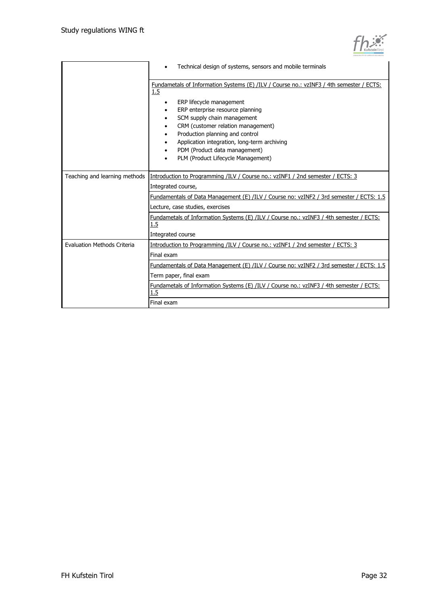| KufsteinTirol |
|---------------|

|                                    | Technical design of systems, sensors and mobile terminals                                                                       |  |  |  |  |
|------------------------------------|---------------------------------------------------------------------------------------------------------------------------------|--|--|--|--|
|                                    | Fundametals of Information Systems (E) /ILV / Course no.: vzINF3 / 4th semester / ECTS:<br>1.5<br>ERP lifecycle management<br>٠ |  |  |  |  |
|                                    | ERP enterprise resource planning                                                                                                |  |  |  |  |
|                                    | SCM supply chain management                                                                                                     |  |  |  |  |
|                                    | CRM (customer relation management)                                                                                              |  |  |  |  |
|                                    | Production planning and control<br>٠                                                                                            |  |  |  |  |
|                                    | Application integration, long-term archiving                                                                                    |  |  |  |  |
|                                    | PDM (Product data management)                                                                                                   |  |  |  |  |
|                                    | PLM (Product Lifecycle Management)                                                                                              |  |  |  |  |
|                                    |                                                                                                                                 |  |  |  |  |
| Teaching and learning methods      | Introduction to Programming /ILV / Course no.: vzINF1 / 2nd semester / ECTS: 3                                                  |  |  |  |  |
|                                    | Integrated course,                                                                                                              |  |  |  |  |
|                                    | Fundamentals of Data Management (E) /ILV / Course no: vzINF2 / 3rd semester / ECTS: 1.5                                         |  |  |  |  |
|                                    | Lecture, case studies, exercises                                                                                                |  |  |  |  |
|                                    | Fundametals of Information Systems (E) /ILV / Course no.: vzINF3 / 4th semester / ECTS:<br>1.5                                  |  |  |  |  |
|                                    | Integrated course                                                                                                               |  |  |  |  |
| <b>Evaluation Methods Criteria</b> | Introduction to Programming /ILV / Course no.: vzINF1 / 2nd semester / ECTS: 3                                                  |  |  |  |  |
|                                    | Final exam                                                                                                                      |  |  |  |  |
|                                    | Fundamentals of Data Management (E) /ILV / Course no: vzINF2 / 3rd semester / ECTS: 1.5                                         |  |  |  |  |
|                                    | Term paper, final exam                                                                                                          |  |  |  |  |
|                                    | Fundametals of Information Systems (E) /ILV / Course no.: vzINF3 / 4th semester / ECTS:<br>1.5                                  |  |  |  |  |
|                                    | Final exam                                                                                                                      |  |  |  |  |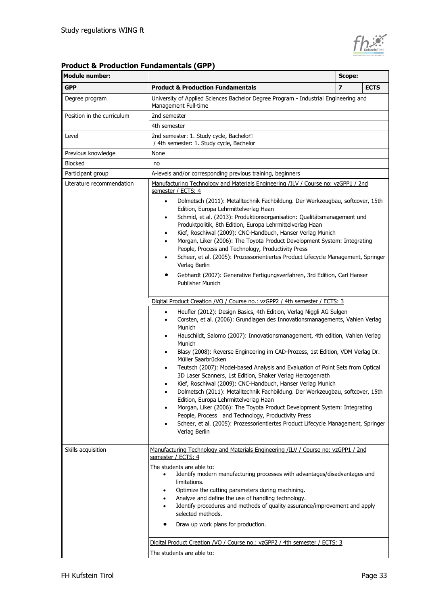

### **Product & Production Fundamentals (GPP)**

| <b>Module number:</b>      |                                                                                                                                                                                                                                                                                                                                                                            | Scope: |             |
|----------------------------|----------------------------------------------------------------------------------------------------------------------------------------------------------------------------------------------------------------------------------------------------------------------------------------------------------------------------------------------------------------------------|--------|-------------|
| <b>GPP</b>                 | <b>Product &amp; Production Fundamentals</b>                                                                                                                                                                                                                                                                                                                               | 7      | <b>ECTS</b> |
| Degree program             | University of Applied Sciences Bachelor Degree Program - Industrial Engineering and<br>Management Full-time                                                                                                                                                                                                                                                                |        |             |
| Position in the curriculum | 2nd semester                                                                                                                                                                                                                                                                                                                                                               |        |             |
|                            | 4th semester                                                                                                                                                                                                                                                                                                                                                               |        |             |
| Level                      | 2nd semester: 1. Study cycle, Bachelor<br>/ 4th semester: 1. Study cycle, Bachelor                                                                                                                                                                                                                                                                                         |        |             |
| Previous knowledge         | None                                                                                                                                                                                                                                                                                                                                                                       |        |             |
| <b>Blocked</b>             | no                                                                                                                                                                                                                                                                                                                                                                         |        |             |
| Participant group          | A-levels and/or corresponding previous training, beginners                                                                                                                                                                                                                                                                                                                 |        |             |
| Literature recommendation  | Manufacturing Technology and Materials Engineering /ILV / Course no: vzGPP1 / 2nd<br>semester / ECTS: 4<br>Dolmetsch (2011): Metalltechnik Fachbildung. Der Werkzeugbau, softcover, 15th<br>$\bullet$                                                                                                                                                                      |        |             |
|                            | Edition, Europa Lehrmittelverlag Haan<br>Schmid, et al. (2013): Produktionsorganisation: Qualitätsmanagement und<br>٠<br>Produktpolitik, 8th Edition, Europa Lehrmittelverlag Haan<br>Kief, Roschiwal (2009): CNC-Handbuch, Hanser Verlag Munich<br>$\bullet$                                                                                                              |        |             |
|                            | Morgan, Liker (2006): The Toyota Product Development System: Integrating<br>People, Process and Technology, Productivity Press<br>Scheer, et al. (2005): Prozessorientiertes Product Lifecycle Management, Springer                                                                                                                                                        |        |             |
|                            | Verlag Berlin<br>Gebhardt (2007): Generative Fertigungsverfahren, 3rd Edition, Carl Hanser<br><b>Publisher Munich</b>                                                                                                                                                                                                                                                      |        |             |
|                            | Digital Product Creation /VO / Course no.: vzGPP2 / 4th semester / ECTS: 3                                                                                                                                                                                                                                                                                                 |        |             |
|                            | Heufler (2012): Design Basics, 4th Edition, Verlag Niggli AG Sulgen<br>$\bullet$<br>Corsten, et al. (2006): Grundlagen des Innovationsmanagements, Vahlen Verlag<br>٠<br>Munich<br>Hauschildt, Salomo (2007): Innovationsmanagement, 4th edition, Vahlen Verlag<br>٠                                                                                                       |        |             |
|                            | Munich<br>Blasy (2008): Reverse Engineering im CAD-Prozess, 1st Edition, VDM Verlag Dr.<br>Müller Saarbrücken                                                                                                                                                                                                                                                              |        |             |
|                            | Teutsch (2007): Model-based Analysis and Evaluation of Point Sets from Optical<br>$\bullet$<br>3D Laser Scanners, 1st Edition, Shaker Verlag Herzogenrath                                                                                                                                                                                                                  |        |             |
|                            | Kief, Roschiwal (2009): CNC-Handbuch, Hanser Verlag Munich<br>Dolmetsch (2011): Metalltechnik Fachbildung. Der Werkzeugbau, softcover, 15th<br>Edition, Europa Lehrmittelverlag Haan                                                                                                                                                                                       |        |             |
|                            | Morgan, Liker (2006): The Toyota Product Development System: Integrating<br>People, Process and Technology, Productivity Press<br>Scheer, et al. (2005): Prozessorientiertes Product Lifecycle Management, Springer                                                                                                                                                        |        |             |
|                            | Verlag Berlin                                                                                                                                                                                                                                                                                                                                                              |        |             |
| Skills acquisition         | Manufacturing Technology and Materials Engineering /ILV / Course no: vzGPP1 / 2nd<br>semester / ECTS: 4                                                                                                                                                                                                                                                                    |        |             |
|                            | The students are able to:<br>Identify modern manufacturing processes with advantages/disadvantages and<br>limitations.<br>Optimize the cutting parameters during machining.<br>Analyze and define the use of handling technology.<br>Identify procedures and methods of quality assurance/improvement and apply<br>selected methods.<br>Draw up work plans for production. |        |             |
|                            | Digital Product Creation /VO / Course no.: vzGPP2 / 4th semester / ECTS: 3<br>The students are able to:                                                                                                                                                                                                                                                                    |        |             |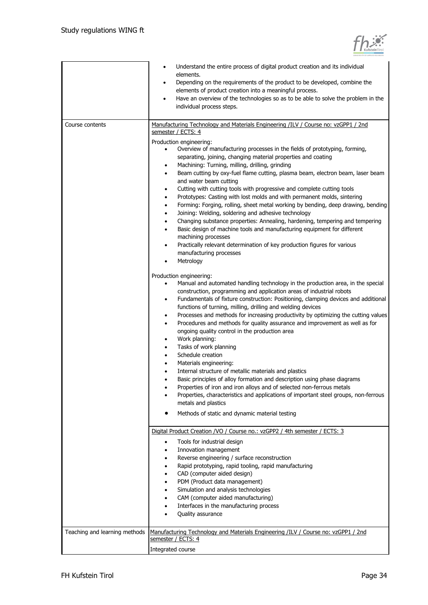|                               | Understand the entire process of digital product creation and its individual<br>$\bullet$<br>elements.<br>Depending on the requirements of the product to be developed, combine the<br>٠<br>elements of product creation into a meaningful process.<br>Have an overview of the technologies so as to be able to solve the problem in the<br>$\bullet$<br>individual process steps.                                                                                                                                                                                                                                                                                                                                                                                                                                                                                                                                                                                                                                                                                                                                                                                                                                                                                                                                                                                                                                                                                                                                                                                                                                                                                                                                                                                                                                                                                                                                                                                                                                                                                                                                                            |
|-------------------------------|-----------------------------------------------------------------------------------------------------------------------------------------------------------------------------------------------------------------------------------------------------------------------------------------------------------------------------------------------------------------------------------------------------------------------------------------------------------------------------------------------------------------------------------------------------------------------------------------------------------------------------------------------------------------------------------------------------------------------------------------------------------------------------------------------------------------------------------------------------------------------------------------------------------------------------------------------------------------------------------------------------------------------------------------------------------------------------------------------------------------------------------------------------------------------------------------------------------------------------------------------------------------------------------------------------------------------------------------------------------------------------------------------------------------------------------------------------------------------------------------------------------------------------------------------------------------------------------------------------------------------------------------------------------------------------------------------------------------------------------------------------------------------------------------------------------------------------------------------------------------------------------------------------------------------------------------------------------------------------------------------------------------------------------------------------------------------------------------------------------------------------------------------|
| Course contents               | Manufacturing Technology and Materials Engineering /ILV / Course no: vzGPP1 / 2nd<br>semester / ECTS: 4                                                                                                                                                                                                                                                                                                                                                                                                                                                                                                                                                                                                                                                                                                                                                                                                                                                                                                                                                                                                                                                                                                                                                                                                                                                                                                                                                                                                                                                                                                                                                                                                                                                                                                                                                                                                                                                                                                                                                                                                                                       |
|                               | Production engineering:<br>Overview of manufacturing processes in the fields of prototyping, forming,<br>$\bullet$<br>separating, joining, changing material properties and coating<br>Machining: Turning, milling, drilling, grinding<br>٠<br>Beam cutting by oxy-fuel flame cutting, plasma beam, electron beam, laser beam<br>$\bullet$<br>and water beam cutting<br>Cutting with cutting tools with progressive and complete cutting tools<br>٠<br>Prototypes: Casting with lost molds and with permanent molds, sintering<br>$\bullet$<br>Forming: Forging, rolling, sheet metal working by bending, deep drawing, bending<br>٠<br>Joining: Welding, soldering and adhesive technology<br>٠<br>Changing substance properties: Annealing, hardening, tempering and tempering<br>٠<br>Basic design of machine tools and manufacturing equipment for different<br>$\bullet$<br>machining processes<br>Practically relevant determination of key production figures for various<br>٠<br>manufacturing processes<br>Metrology<br>Production engineering:<br>Manual and automated handling technology in the production area, in the special<br>$\bullet$<br>construction, programming and application areas of industrial robots<br>Fundamentals of fixture construction: Positioning, clamping devices and additional<br>$\bullet$<br>functions of turning, milling, drilling and welding devices<br>Processes and methods for increasing productivity by optimizing the cutting values<br>$\bullet$<br>Procedures and methods for quality assurance and improvement as well as for<br>٠<br>ongoing quality control in the production area<br>Work planning:<br>٠<br>Tasks of work planning<br>٠<br>Schedule creation<br>٠<br>Materials engineering:<br>Internal structure of metallic materials and plastics<br>٠<br>Basic principles of alloy formation and description using phase diagrams<br>٠<br>Properties of iron and iron alloys and of selected non-ferrous metals<br>Properties, characteristics and applications of important steel groups, non-ferrous<br>metals and plastics<br>Methods of static and dynamic material testing |
|                               | Digital Product Creation /VO / Course no.: vzGPP2 / 4th semester / ECTS: 3                                                                                                                                                                                                                                                                                                                                                                                                                                                                                                                                                                                                                                                                                                                                                                                                                                                                                                                                                                                                                                                                                                                                                                                                                                                                                                                                                                                                                                                                                                                                                                                                                                                                                                                                                                                                                                                                                                                                                                                                                                                                    |
|                               | Tools for industrial design<br>Innovation management                                                                                                                                                                                                                                                                                                                                                                                                                                                                                                                                                                                                                                                                                                                                                                                                                                                                                                                                                                                                                                                                                                                                                                                                                                                                                                                                                                                                                                                                                                                                                                                                                                                                                                                                                                                                                                                                                                                                                                                                                                                                                          |
|                               | Reverse engineering / surface reconstruction                                                                                                                                                                                                                                                                                                                                                                                                                                                                                                                                                                                                                                                                                                                                                                                                                                                                                                                                                                                                                                                                                                                                                                                                                                                                                                                                                                                                                                                                                                                                                                                                                                                                                                                                                                                                                                                                                                                                                                                                                                                                                                  |
|                               | Rapid prototyping, rapid tooling, rapid manufacturing                                                                                                                                                                                                                                                                                                                                                                                                                                                                                                                                                                                                                                                                                                                                                                                                                                                                                                                                                                                                                                                                                                                                                                                                                                                                                                                                                                                                                                                                                                                                                                                                                                                                                                                                                                                                                                                                                                                                                                                                                                                                                         |
|                               | CAD (computer aided design)                                                                                                                                                                                                                                                                                                                                                                                                                                                                                                                                                                                                                                                                                                                                                                                                                                                                                                                                                                                                                                                                                                                                                                                                                                                                                                                                                                                                                                                                                                                                                                                                                                                                                                                                                                                                                                                                                                                                                                                                                                                                                                                   |
|                               | PDM (Product data management)<br>Simulation and analysis technologies                                                                                                                                                                                                                                                                                                                                                                                                                                                                                                                                                                                                                                                                                                                                                                                                                                                                                                                                                                                                                                                                                                                                                                                                                                                                                                                                                                                                                                                                                                                                                                                                                                                                                                                                                                                                                                                                                                                                                                                                                                                                         |
|                               | CAM (computer aided manufacturing)                                                                                                                                                                                                                                                                                                                                                                                                                                                                                                                                                                                                                                                                                                                                                                                                                                                                                                                                                                                                                                                                                                                                                                                                                                                                                                                                                                                                                                                                                                                                                                                                                                                                                                                                                                                                                                                                                                                                                                                                                                                                                                            |
|                               | Interfaces in the manufacturing process                                                                                                                                                                                                                                                                                                                                                                                                                                                                                                                                                                                                                                                                                                                                                                                                                                                                                                                                                                                                                                                                                                                                                                                                                                                                                                                                                                                                                                                                                                                                                                                                                                                                                                                                                                                                                                                                                                                                                                                                                                                                                                       |
|                               | Quality assurance                                                                                                                                                                                                                                                                                                                                                                                                                                                                                                                                                                                                                                                                                                                                                                                                                                                                                                                                                                                                                                                                                                                                                                                                                                                                                                                                                                                                                                                                                                                                                                                                                                                                                                                                                                                                                                                                                                                                                                                                                                                                                                                             |
| Teaching and learning methods | Manufacturing Technology and Materials Engineering /ILV / Course no: vzGPP1 / 2nd<br>semester / ECTS: 4                                                                                                                                                                                                                                                                                                                                                                                                                                                                                                                                                                                                                                                                                                                                                                                                                                                                                                                                                                                                                                                                                                                                                                                                                                                                                                                                                                                                                                                                                                                                                                                                                                                                                                                                                                                                                                                                                                                                                                                                                                       |
|                               | Integrated course                                                                                                                                                                                                                                                                                                                                                                                                                                                                                                                                                                                                                                                                                                                                                                                                                                                                                                                                                                                                                                                                                                                                                                                                                                                                                                                                                                                                                                                                                                                                                                                                                                                                                                                                                                                                                                                                                                                                                                                                                                                                                                                             |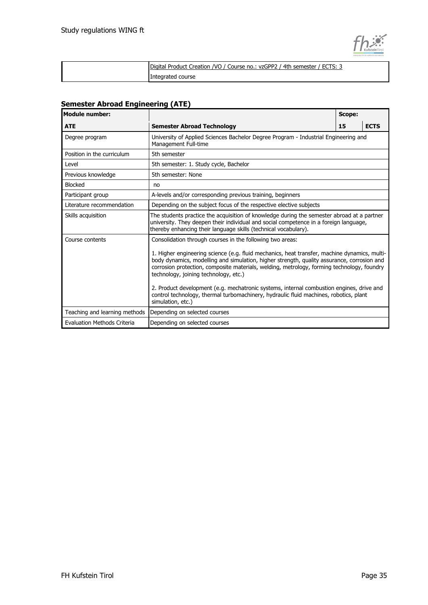

| Digital Product Creation /VO / Course no.: vzGPP2 / 4th semester / ECTS: 3 |
|----------------------------------------------------------------------------|
| Integrated course                                                          |

### **Semester Abroad Engineering (ATE)**

| <b>Module number:</b>         |                                                                                                                                                                                                                                                                                                                                                                                                                                                                                                                                                                                                          | Scope: |             |
|-------------------------------|----------------------------------------------------------------------------------------------------------------------------------------------------------------------------------------------------------------------------------------------------------------------------------------------------------------------------------------------------------------------------------------------------------------------------------------------------------------------------------------------------------------------------------------------------------------------------------------------------------|--------|-------------|
| <b>ATE</b>                    | <b>Semester Abroad Technology</b>                                                                                                                                                                                                                                                                                                                                                                                                                                                                                                                                                                        | 15     | <b>ECTS</b> |
| Degree program                | University of Applied Sciences Bachelor Degree Program - Industrial Engineering and<br>Management Full-time                                                                                                                                                                                                                                                                                                                                                                                                                                                                                              |        |             |
| Position in the curriculum    | 5th semester                                                                                                                                                                                                                                                                                                                                                                                                                                                                                                                                                                                             |        |             |
| Level                         | 5th semester: 1. Study cycle, Bachelor                                                                                                                                                                                                                                                                                                                                                                                                                                                                                                                                                                   |        |             |
| Previous knowledge            | 5th semester: None                                                                                                                                                                                                                                                                                                                                                                                                                                                                                                                                                                                       |        |             |
| <b>Blocked</b>                | no                                                                                                                                                                                                                                                                                                                                                                                                                                                                                                                                                                                                       |        |             |
| Participant group             | A-levels and/or corresponding previous training, beginners                                                                                                                                                                                                                                                                                                                                                                                                                                                                                                                                               |        |             |
| Literature recommendation     | Depending on the subject focus of the respective elective subjects                                                                                                                                                                                                                                                                                                                                                                                                                                                                                                                                       |        |             |
| Skills acquisition            | The students practice the acquisition of knowledge during the semester abroad at a partner<br>university. They deepen their individual and social competence in a foreign language,<br>thereby enhancing their language skills (technical vocabulary).                                                                                                                                                                                                                                                                                                                                                   |        |             |
| Course contents               | Consolidation through courses in the following two areas:<br>1. Higher engineering science (e.g. fluid mechanics, heat transfer, machine dynamics, multi-<br>body dynamics, modelling and simulation, higher strength, quality assurance, corrosion and<br>corrosion protection, composite materials, welding, metrology, forming technology, foundry<br>technology, joining technology, etc.)<br>2. Product development (e.g. mechatronic systems, internal combustion engines, drive and<br>control technology, thermal turbomachinery, hydraulic fluid machines, robotics, plant<br>simulation, etc.) |        |             |
| Teaching and learning methods | Depending on selected courses                                                                                                                                                                                                                                                                                                                                                                                                                                                                                                                                                                            |        |             |
| Evaluation Methods Criteria   | Depending on selected courses                                                                                                                                                                                                                                                                                                                                                                                                                                                                                                                                                                            |        |             |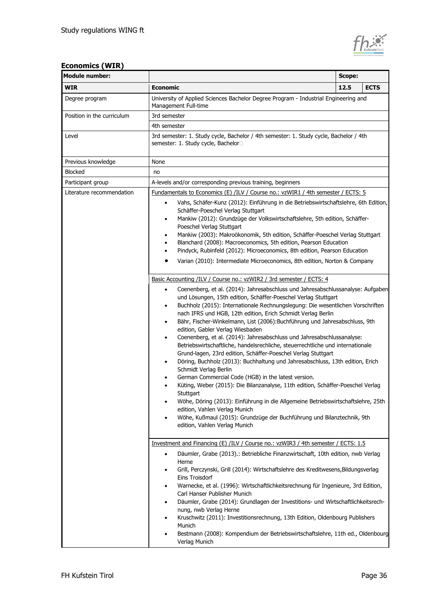

| <b>Module number:</b>      | Scope:                                                                                                                                                                                                                                                                                                                                                                                                                                                                                                                                                                                                                                                                                                                                                                                                                                                                                                                                                                                                                                                                                                                                                                                                                                                                                                                                                                                                                                                                                                                                                                                                                                                                                                                                                                                                                              |      |             |
|----------------------------|-------------------------------------------------------------------------------------------------------------------------------------------------------------------------------------------------------------------------------------------------------------------------------------------------------------------------------------------------------------------------------------------------------------------------------------------------------------------------------------------------------------------------------------------------------------------------------------------------------------------------------------------------------------------------------------------------------------------------------------------------------------------------------------------------------------------------------------------------------------------------------------------------------------------------------------------------------------------------------------------------------------------------------------------------------------------------------------------------------------------------------------------------------------------------------------------------------------------------------------------------------------------------------------------------------------------------------------------------------------------------------------------------------------------------------------------------------------------------------------------------------------------------------------------------------------------------------------------------------------------------------------------------------------------------------------------------------------------------------------------------------------------------------------------------------------------------------------|------|-------------|
| <b>WIR</b>                 | <b>Economic</b>                                                                                                                                                                                                                                                                                                                                                                                                                                                                                                                                                                                                                                                                                                                                                                                                                                                                                                                                                                                                                                                                                                                                                                                                                                                                                                                                                                                                                                                                                                                                                                                                                                                                                                                                                                                                                     | 12.5 | <b>ECTS</b> |
| Degree program             | University of Applied Sciences Bachelor Degree Program - Industrial Engineering and<br>Management Full-time                                                                                                                                                                                                                                                                                                                                                                                                                                                                                                                                                                                                                                                                                                                                                                                                                                                                                                                                                                                                                                                                                                                                                                                                                                                                                                                                                                                                                                                                                                                                                                                                                                                                                                                         |      |             |
| Position in the curriculum | 3rd semester                                                                                                                                                                                                                                                                                                                                                                                                                                                                                                                                                                                                                                                                                                                                                                                                                                                                                                                                                                                                                                                                                                                                                                                                                                                                                                                                                                                                                                                                                                                                                                                                                                                                                                                                                                                                                        |      |             |
|                            | 4th semester                                                                                                                                                                                                                                                                                                                                                                                                                                                                                                                                                                                                                                                                                                                                                                                                                                                                                                                                                                                                                                                                                                                                                                                                                                                                                                                                                                                                                                                                                                                                                                                                                                                                                                                                                                                                                        |      |             |
| Level                      | 3rd semester: 1. Study cycle, Bachelor / 4th semester: 1. Study cycle, Bachelor / 4th<br>semester: 1. Study cycle, Bachelor□                                                                                                                                                                                                                                                                                                                                                                                                                                                                                                                                                                                                                                                                                                                                                                                                                                                                                                                                                                                                                                                                                                                                                                                                                                                                                                                                                                                                                                                                                                                                                                                                                                                                                                        |      |             |
| Previous knowledge         | None                                                                                                                                                                                                                                                                                                                                                                                                                                                                                                                                                                                                                                                                                                                                                                                                                                                                                                                                                                                                                                                                                                                                                                                                                                                                                                                                                                                                                                                                                                                                                                                                                                                                                                                                                                                                                                |      |             |
| <b>Blocked</b>             | no                                                                                                                                                                                                                                                                                                                                                                                                                                                                                                                                                                                                                                                                                                                                                                                                                                                                                                                                                                                                                                                                                                                                                                                                                                                                                                                                                                                                                                                                                                                                                                                                                                                                                                                                                                                                                                  |      |             |
| Participant group          | A-levels and/or corresponding previous training, beginners                                                                                                                                                                                                                                                                                                                                                                                                                                                                                                                                                                                                                                                                                                                                                                                                                                                                                                                                                                                                                                                                                                                                                                                                                                                                                                                                                                                                                                                                                                                                                                                                                                                                                                                                                                          |      |             |
| Literature recommendation  | Fundamentals to Economics (E) /ILV / Course no.: vzWIR1 / 4th semester / ECTS: 5<br>Vahs, Schäfer-Kunz (2012): Einführung in die Betriebswirtschaftslehre, 6th Edition,<br>$\bullet$<br>Schäffer-Poeschel Verlag Stuttgart<br>Mankiw (2012): Grundzüge der Volkswirtschaftslehre, 5th edition, Schäffer-<br>٠<br>Poeschel Verlag Stuttgart<br>Mankiw (2003): Makroökonomik, 5th edition, Schäffer-Poeschel Verlag Stuttgart<br>٠<br>Blanchard (2008): Macroeconomics, 5th edition, Pearson Education<br>$\bullet$<br>Pindyck, Rubinfeld (2012): Microeconomics, 8th edition, Pearson Education<br>٠<br>Varian (2010): Intermediate Microeconomics, 8th edition, Norton & Company<br>٠<br>Basic Accounting /ILV / Course no.: vzWIR2 / 3rd semester / ECTS: 4<br>Coenenberg, et al. (2014): Jahresabschluss und Jahresabschlussanalyse: Aufgaben<br>$\bullet$<br>und Lösungen, 15th edition, Schäffer-Poeschel Verlag Stuttgart<br>Buchholz (2015): Internationale Rechnungslegung: Die wesentlichen Vorschriften<br>$\bullet$<br>nach IFRS und HGB, 12th edition, Erich Schmidt Verlag Berlin<br>Bähr, Fischer-Winkelmann, List (2006): Buchführung und Jahresabschluss, 9th<br>٠<br>edition, Gabler Verlag Wiesbaden<br>Coenenberg, et al. (2014): Jahresabschluss und Jahresabschlussanalyse:<br>$\bullet$<br>Betriebswirtschaftliche, handelsrechliche, steuerrechtliche und internationale<br>Grund-lagen, 23rd edition, Schäffer-Poeschel Verlag Stuttgart<br>Döring, Buchholz (2013): Buchhaltung und Jahresabschluss, 13th edition, Erich<br>٠<br>Schmidt Verlag Berlin<br>German Commercial Code (HGB) in the latest version.<br>Küting, Weber (2015): Die Bilanzanalyse, 11th edition, Schäffer-Poeschel Verlag<br>٠<br>Stuttgart<br>Wöhe, Döring (2013): Einführung in die Allgemeine Betriebswirtschaftslehre, 25th<br>٠ |      |             |
|                            | edition, Vahlen Verlag Munich<br>Wöhe, Kußmaul (2015): Grundzüge der Buchführung und Bilanztechnik, 9th<br>٠<br>edition, Vahlen Verlag Munich                                                                                                                                                                                                                                                                                                                                                                                                                                                                                                                                                                                                                                                                                                                                                                                                                                                                                                                                                                                                                                                                                                                                                                                                                                                                                                                                                                                                                                                                                                                                                                                                                                                                                       |      |             |
|                            | Investment and Financing (E) /ILV / Course no.: vzWIR3 / 4th semester / ECTS: 1.5<br>Däumler, Grabe (2013).: Betriebliche Finanzwirtschaft, 10th edition, nwb Verlag<br>$\bullet$<br>Herne<br>Grill, Perczynski, Grill (2014): Wirtschaftslehre des Kreditwesens, Bildungsverlag<br>٠<br>Eins Troisdorf<br>Warnecke, et al. (1996): Wirtschaftlichkeitsrechnung für Ingenieure, 3rd Edition,<br>Carl Hanser Publisher Munich<br>Däumler, Grabe (2014): Grundlagen der Investitions- und Wirtschaftlichkeitsrech-<br>٠                                                                                                                                                                                                                                                                                                                                                                                                                                                                                                                                                                                                                                                                                                                                                                                                                                                                                                                                                                                                                                                                                                                                                                                                                                                                                                               |      |             |
|                            | nung, nwb Verlag Herne<br>Kruschwitz (2011): Investitionsrechnung, 13th Edition, Oldenbourg Publishers<br>٠<br>Munich<br>Bestmann (2008): Kompendium der Betriebswirtschaftslehre, 11th ed., Oldenbourg<br>Verlag Munich                                                                                                                                                                                                                                                                                                                                                                                                                                                                                                                                                                                                                                                                                                                                                                                                                                                                                                                                                                                                                                                                                                                                                                                                                                                                                                                                                                                                                                                                                                                                                                                                            |      |             |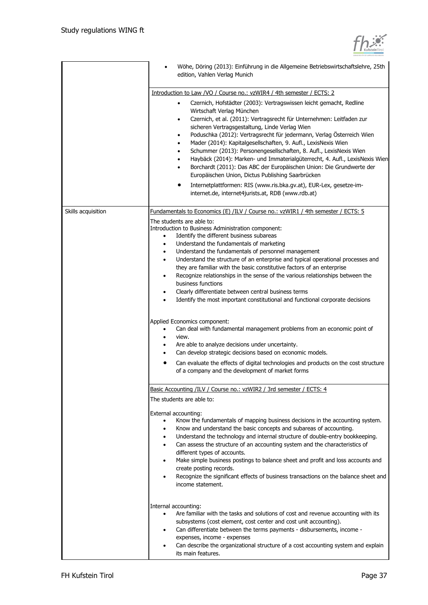

|                    | Wöhe, Döring (2013): Einführung in die Allgemeine Betriebswirtschaftslehre, 25th<br>edition, Vahlen Verlag Munich                                                                                                                                                                                                                                                                                                                                                                                                                                                                                                                                                                                                                                                                                                                                                                                                                                                                                                                                                                                                                                                |
|--------------------|------------------------------------------------------------------------------------------------------------------------------------------------------------------------------------------------------------------------------------------------------------------------------------------------------------------------------------------------------------------------------------------------------------------------------------------------------------------------------------------------------------------------------------------------------------------------------------------------------------------------------------------------------------------------------------------------------------------------------------------------------------------------------------------------------------------------------------------------------------------------------------------------------------------------------------------------------------------------------------------------------------------------------------------------------------------------------------------------------------------------------------------------------------------|
|                    | Introduction to Law /VO / Course no.: vzWIR4 / 4th semester / ECTS: 2                                                                                                                                                                                                                                                                                                                                                                                                                                                                                                                                                                                                                                                                                                                                                                                                                                                                                                                                                                                                                                                                                            |
|                    | Czernich, Hofstädter (2003): Vertragswissen leicht gemacht, Redline<br>$\bullet$<br>Wirtschaft Verlag München<br>Czernich, et al. (2011): Vertragsrecht für Unternehmen: Leitfaden zur<br>٠<br>sicheren Vertragsgestaltung, Linde Verlag Wien<br>Poduschka (2012): Vertragsrecht für jedermann, Verlag Österreich Wien<br>Mader (2014): Kapitalgesellschaften, 9. Aufl., LexisNexis Wien<br>Schummer (2013): Personengesellschaften, 8. Aufl., LexisNexis Wien<br>Haybäck (2014): Marken- und Immaterialgüterrecht, 4. Aufl., LexisNexis Wien<br>Borchardt (2011): Das ABC der Europäischen Union: Die Grundwerte der<br>Europäischen Union, Dictus Publishing Saarbrücken<br>Internetplattformen: RIS (www.ris.bka.gv.at), EUR-Lex, gesetze-im-<br>internet.de, internet4jurists.at, RDB (www.rdb.at)                                                                                                                                                                                                                                                                                                                                                           |
|                    |                                                                                                                                                                                                                                                                                                                                                                                                                                                                                                                                                                                                                                                                                                                                                                                                                                                                                                                                                                                                                                                                                                                                                                  |
| Skills acquisition | <u>Fundamentals to Economics (E) /ILV / Course no.: vzWIR1 / 4th semester / ECTS: 5</u>                                                                                                                                                                                                                                                                                                                                                                                                                                                                                                                                                                                                                                                                                                                                                                                                                                                                                                                                                                                                                                                                          |
|                    | The students are able to:<br>Introduction to Business Administration component:<br>Identify the different business subareas<br>$\bullet$<br>Understand the fundamentals of marketing<br>$\bullet$<br>Understand the fundamentals of personnel management<br>$\bullet$<br>Understand the structure of an enterprise and typical operational processes and<br>٠<br>they are familiar with the basic constitutive factors of an enterprise<br>Recognize relationships in the sense of the various relationships between the<br>٠<br>business functions<br>Clearly differentiate between central business terms<br>Identify the most important constitutional and functional corporate decisions<br>Applied Economics component:<br>Can deal with fundamental management problems from an economic point of<br>view.<br>$\bullet$<br>Are able to analyze decisions under uncertainty.<br>Can develop strategic decisions based on economic models.<br>Can evaluate the effects of digital technologies and products on the cost structure<br>of a company and the development of market forms<br>Basic Accounting /ILV / Course no.: vzWIR2 / 3rd semester / ECTS: 4 |
|                    |                                                                                                                                                                                                                                                                                                                                                                                                                                                                                                                                                                                                                                                                                                                                                                                                                                                                                                                                                                                                                                                                                                                                                                  |
|                    | The students are able to:<br>External accounting:<br>Know the fundamentals of mapping business decisions in the accounting system.<br>$\bullet$<br>Know and understand the basic concepts and subareas of accounting.<br>$\bullet$<br>Understand the technology and internal structure of double-entry bookkeeping.<br>٠<br>Can assess the structure of an accounting system and the characteristics of<br>different types of accounts.<br>Make simple business postings to balance sheet and profit and loss accounts and<br>create posting records.<br>Recognize the significant effects of business transactions on the balance sheet and<br>٠<br>income statement.                                                                                                                                                                                                                                                                                                                                                                                                                                                                                           |
|                    | Internal accounting:<br>Are familiar with the tasks and solutions of cost and revenue accounting with its<br>subsystems (cost element, cost center and cost unit accounting).<br>Can differentiate between the terms payments - disbursements, income -<br>٠<br>expenses, income - expenses<br>Can describe the organizational structure of a cost accounting system and explain<br>its main features.                                                                                                                                                                                                                                                                                                                                                                                                                                                                                                                                                                                                                                                                                                                                                           |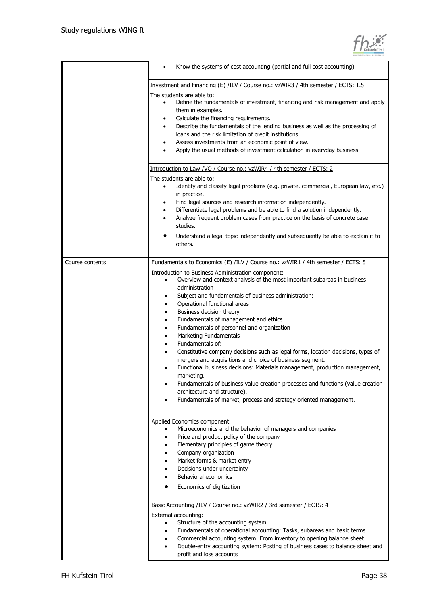| KufsteinTirol |
|---------------|

|                 | Know the systems of cost accounting (partial and full cost accounting)                                                                                                                                                                                                                                                                                                                                                                                                                                                                                                                                                                                                                                                                                                                                                                                                                                                                                 |
|-----------------|--------------------------------------------------------------------------------------------------------------------------------------------------------------------------------------------------------------------------------------------------------------------------------------------------------------------------------------------------------------------------------------------------------------------------------------------------------------------------------------------------------------------------------------------------------------------------------------------------------------------------------------------------------------------------------------------------------------------------------------------------------------------------------------------------------------------------------------------------------------------------------------------------------------------------------------------------------|
|                 | Investment and Financing (E) /ILV / Course no.: vzWIR3 / 4th semester / ECTS: 1.5<br>The students are able to:<br>Define the fundamentals of investment, financing and risk management and apply<br>$\bullet$<br>them in examples.<br>Calculate the financing requirements.<br>$\bullet$<br>Describe the fundamentals of the lending business as well as the processing of<br>$\bullet$<br>loans and the risk limitation of credit institutions.<br>Assess investments from an economic point of view.<br>٠<br>Apply the usual methods of investment calculation in everyday business.<br>Introduction to Law /VO / Course no.: vzWIR4 / 4th semester / ECTS: 2                                                                                                                                                                                                                                                                                        |
|                 | The students are able to:<br>Identify and classify legal problems (e.g. private, commercial, European law, etc.)<br>$\bullet$<br>in practice.<br>Find legal sources and research information independently.<br>٠<br>Differentiate legal problems and be able to find a solution independently.<br>$\bullet$<br>Analyze frequent problem cases from practice on the basis of concrete case<br>$\bullet$<br>studies.<br>Understand a legal topic independently and subsequently be able to explain it to<br>others.                                                                                                                                                                                                                                                                                                                                                                                                                                      |
| Course contents | Fundamentals to Economics (E) /ILV / Course no.: vzWIR1 / 4th semester / ECTS: 5<br>Introduction to Business Administration component:<br>Overview and context analysis of the most important subareas in business<br>administration<br>Subject and fundamentals of business administration:<br>Operational functional areas<br>٠<br>Business decision theory<br>٠<br>Fundamentals of management and ethics<br>٠<br>Fundamentals of personnel and organization<br>Marketing Fundamentals<br>٠<br>Fundamentals of:<br>Constitutive company decisions such as legal forms, location decisions, types of<br>mergers and acquisitions and choice of business segment.<br>Functional business decisions: Materials management, production management,<br>marketing.<br>Fundamentals of business value creation processes and functions (value creation<br>architecture and structure).<br>Fundamentals of market, process and strategy oriented management. |
|                 | Applied Economics component:<br>Microeconomics and the behavior of managers and companies<br>Price and product policy of the company<br>٠<br>Elementary principles of game theory<br>Company organization<br>٠<br>Market forms & market entry<br>٠<br>Decisions under uncertainty<br>Behavioral economics<br>Economics of digitization<br>Basic Accounting /ILV / Course no.: vzWIR2 / 3rd semester / ECTS: 4<br>External accounting:<br>Structure of the accounting system<br>Fundamentals of operational accounting: Tasks, subareas and basic terms<br>Commercial accounting system: From inventory to opening balance sheet<br>Double-entry accounting system: Posting of business cases to balance sheet and<br>٠<br>profit and loss accounts                                                                                                                                                                                                     |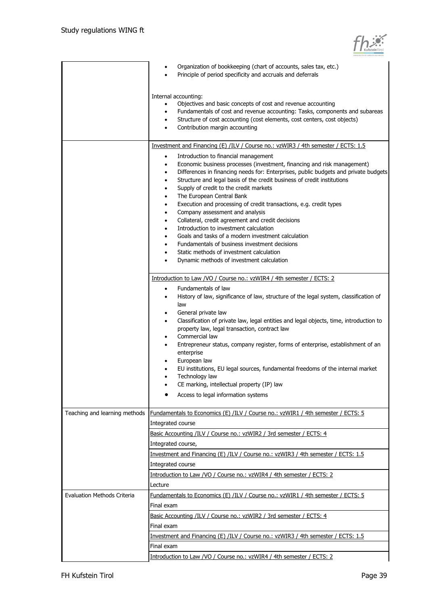

|                                    | Organization of bookkeeping (chart of accounts, sales tax, etc.)<br>Principle of period specificity and accruals and deferrals                                                                                                                                                                                                                                                                                                                                                                                                                                                                                                                                                                                                                                                                                                  |
|------------------------------------|---------------------------------------------------------------------------------------------------------------------------------------------------------------------------------------------------------------------------------------------------------------------------------------------------------------------------------------------------------------------------------------------------------------------------------------------------------------------------------------------------------------------------------------------------------------------------------------------------------------------------------------------------------------------------------------------------------------------------------------------------------------------------------------------------------------------------------|
|                                    | Internal accounting:<br>Objectives and basic concepts of cost and revenue accounting<br>$\bullet$<br>Fundamentals of cost and revenue accounting: Tasks, components and subareas<br>Structure of cost accounting (cost elements, cost centers, cost objects)<br>$\bullet$<br>Contribution margin accounting<br>$\bullet$                                                                                                                                                                                                                                                                                                                                                                                                                                                                                                        |
|                                    | Investment and Financing (E) /ILV / Course no.: vzWIR3 / 4th semester / ECTS: 1.5                                                                                                                                                                                                                                                                                                                                                                                                                                                                                                                                                                                                                                                                                                                                               |
|                                    | Introduction to financial management<br>$\bullet$<br>Economic business processes (investment, financing and risk management)<br>٠<br>Differences in financing needs for: Enterprises, public budgets and private budgets<br>٠<br>Structure and legal basis of the credit business of credit institutions<br>$\bullet$<br>Supply of credit to the credit markets<br>$\bullet$<br>The European Central Bank<br>$\bullet$<br>Execution and processing of credit transactions, e.g. credit types<br>$\bullet$<br>Company assessment and analysis<br>$\bullet$<br>Collateral, credit agreement and credit decisions<br>٠<br>Introduction to investment calculation<br>٠<br>Goals and tasks of a modern investment calculation<br>Fundamentals of business investment decisions<br>٠<br>Static methods of investment calculation<br>٠ |
|                                    | Dynamic methods of investment calculation<br>٠                                                                                                                                                                                                                                                                                                                                                                                                                                                                                                                                                                                                                                                                                                                                                                                  |
|                                    | Introduction to Law /VO / Course no.: vzWIR4 / 4th semester / ECTS: 2                                                                                                                                                                                                                                                                                                                                                                                                                                                                                                                                                                                                                                                                                                                                                           |
|                                    | History of law, significance of law, structure of the legal system, classification of<br>law<br>General private law<br>$\bullet$<br>Classification of private law, legal entities and legal objects, time, introduction to<br>$\bullet$<br>property law, legal transaction, contract law<br>Commercial law<br>$\bullet$<br>Entrepreneur status, company register, forms of enterprise, establishment of an<br>enterprise<br>European law                                                                                                                                                                                                                                                                                                                                                                                        |
|                                    | EU institutions, EU legal sources, fundamental freedoms of the internal market<br>Technology law<br>CE marking, intellectual property (IP) law                                                                                                                                                                                                                                                                                                                                                                                                                                                                                                                                                                                                                                                                                  |
|                                    | Access to legal information systems                                                                                                                                                                                                                                                                                                                                                                                                                                                                                                                                                                                                                                                                                                                                                                                             |
| Teaching and learning methods      | <b>Fundamentals to Economics (E) /ILV / Course no.: vzWIR1 / 4th semester / ECTS: 5</b><br>Integrated course                                                                                                                                                                                                                                                                                                                                                                                                                                                                                                                                                                                                                                                                                                                    |
|                                    | Basic Accounting /ILV / Course no.: vzWIR2 / 3rd semester / ECTS: 4                                                                                                                                                                                                                                                                                                                                                                                                                                                                                                                                                                                                                                                                                                                                                             |
|                                    | Integrated course,<br>Investment and Financing (E) /ILV / Course no.: vzWIR3 / 4th semester / ECTS: 1.5                                                                                                                                                                                                                                                                                                                                                                                                                                                                                                                                                                                                                                                                                                                         |
|                                    | Integrated course                                                                                                                                                                                                                                                                                                                                                                                                                                                                                                                                                                                                                                                                                                                                                                                                               |
|                                    | Introduction to Law /VO / Course no.: vzWIR4 / 4th semester / ECTS: 2                                                                                                                                                                                                                                                                                                                                                                                                                                                                                                                                                                                                                                                                                                                                                           |
|                                    | Lecture                                                                                                                                                                                                                                                                                                                                                                                                                                                                                                                                                                                                                                                                                                                                                                                                                         |
| <b>Evaluation Methods Criteria</b> | <u>Fundamentals to Economics (E) /ILV / Course no.: vzWIR1 / 4th semester / ECTS: 5</u>                                                                                                                                                                                                                                                                                                                                                                                                                                                                                                                                                                                                                                                                                                                                         |
|                                    | Final exam<br>Basic Accounting /ILV / Course no.: vzWIR2 / 3rd semester / ECTS: 4                                                                                                                                                                                                                                                                                                                                                                                                                                                                                                                                                                                                                                                                                                                                               |
|                                    | Final exam                                                                                                                                                                                                                                                                                                                                                                                                                                                                                                                                                                                                                                                                                                                                                                                                                      |
|                                    | Investment and Financing (E) /ILV / Course no.: vzWIR3 / 4th semester / ECTS: 1.5                                                                                                                                                                                                                                                                                                                                                                                                                                                                                                                                                                                                                                                                                                                                               |
|                                    | Final exam                                                                                                                                                                                                                                                                                                                                                                                                                                                                                                                                                                                                                                                                                                                                                                                                                      |
|                                    | Introduction to Law /VO / Course no.: vzWIR4 / 4th semester / ECTS: 2                                                                                                                                                                                                                                                                                                                                                                                                                                                                                                                                                                                                                                                                                                                                                           |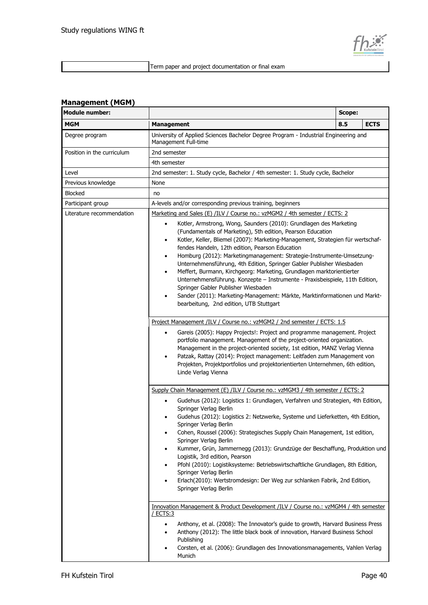

Term paper and project documentation or final exam

## **Management (MGM)**

| <b>Module number:</b>      | Scope:                                                                                                                                                                                                                                                                                                                                                                                                                                                                                                                                                                                                                                                                                                                                                                                                                                                                                                                                                       |  |  |  |  |
|----------------------------|--------------------------------------------------------------------------------------------------------------------------------------------------------------------------------------------------------------------------------------------------------------------------------------------------------------------------------------------------------------------------------------------------------------------------------------------------------------------------------------------------------------------------------------------------------------------------------------------------------------------------------------------------------------------------------------------------------------------------------------------------------------------------------------------------------------------------------------------------------------------------------------------------------------------------------------------------------------|--|--|--|--|
| MGM                        | 8.5<br><b>Management</b>                                                                                                                                                                                                                                                                                                                                                                                                                                                                                                                                                                                                                                                                                                                                                                                                                                                                                                                                     |  |  |  |  |
| Degree program             | University of Applied Sciences Bachelor Degree Program - Industrial Engineering and<br>Management Full-time                                                                                                                                                                                                                                                                                                                                                                                                                                                                                                                                                                                                                                                                                                                                                                                                                                                  |  |  |  |  |
| Position in the curriculum | 2nd semester                                                                                                                                                                                                                                                                                                                                                                                                                                                                                                                                                                                                                                                                                                                                                                                                                                                                                                                                                 |  |  |  |  |
|                            | 4th semester                                                                                                                                                                                                                                                                                                                                                                                                                                                                                                                                                                                                                                                                                                                                                                                                                                                                                                                                                 |  |  |  |  |
| Level                      | 2nd semester: 1. Study cycle, Bachelor / 4th semester: 1. Study cycle, Bachelor                                                                                                                                                                                                                                                                                                                                                                                                                                                                                                                                                                                                                                                                                                                                                                                                                                                                              |  |  |  |  |
| Previous knowledge         | None                                                                                                                                                                                                                                                                                                                                                                                                                                                                                                                                                                                                                                                                                                                                                                                                                                                                                                                                                         |  |  |  |  |
| Blocked                    | no                                                                                                                                                                                                                                                                                                                                                                                                                                                                                                                                                                                                                                                                                                                                                                                                                                                                                                                                                           |  |  |  |  |
| Participant group          | A-levels and/or corresponding previous training, beginners                                                                                                                                                                                                                                                                                                                                                                                                                                                                                                                                                                                                                                                                                                                                                                                                                                                                                                   |  |  |  |  |
| Literature recommendation  | Marketing and Sales (E) /ILV / Course no.: vzMGM2 / 4th semester / ECTS: 2<br>Kotler, Armstrong, Wong, Saunders (2010): Grundlagen des Marketing<br>$\bullet$<br>(Fundamentals of Marketing), 5th edition, Pearson Education<br>Kotler, Keller, Bliemel (2007): Marketing-Management, Strategien für wertschaf-<br>٠<br>fendes Handeln, 12th edition, Pearson Education<br>Homburg (2012): Marketingmanagement: Strategie-Instrumente-Umsetzung-<br>$\bullet$<br>Unternehmensführung, 4th Edition, Springer Gabler Publisher Wiesbaden<br>Meffert, Burmann, Kirchgeorg: Marketing, Grundlagen marktorientierter<br>$\bullet$<br>Unternehmensführung. Konzepte - Instrumente - Praxisbeispiele, 11th Edition,<br>Springer Gabler Publisher Wiesbaden<br>Sander (2011): Marketing-Management: Märkte, Marktinformationen und Markt-<br>٠<br>bearbeitung, 2nd edition, UTB Stuttgart<br>Project Management /ILV / Course no.: vzMGM2 / 2nd semester / ECTS: 1.5 |  |  |  |  |
|                            | Gareis (2005): Happy Projects!: Project and programme management. Project<br>$\bullet$<br>portfolio management. Management of the project-oriented organization.<br>Management in the project-oriented society, 1st edition, MANZ Verlag Vienna<br>Patzak, Rattay (2014): Project management: Leitfaden zum Management von<br>٠<br>Projekten, Projektportfolios und projektorientierten Unternehmen, 6th edition,<br>Linde Verlag Vienna                                                                                                                                                                                                                                                                                                                                                                                                                                                                                                                     |  |  |  |  |
|                            | Supply Chain Management (E) /ILV / Course no.: vzMGM3 / 4th semester / ECTS: 2<br>Gudehus (2012): Logistics 1: Grundlagen, Verfahren und Strategien, 4th Edition,<br>$\bullet$<br>Springer Verlag Berlin<br>Gudehus (2012): Logistics 2: Netzwerke, Systeme und Lieferketten, 4th Edition,<br>Springer Verlag Berlin<br>Cohen, Roussel (2006): Strategisches Supply Chain Management, 1st edition,<br>٠<br>Springer Verlag Berlin<br>Kummer, Grün, Jammernegg (2013): Grundzüge der Beschaffung, Produktion und<br>Logistik, 3rd edition, Pearson<br>Pfohl (2010): Logistiksysteme: Betriebswirtschaftliche Grundlagen, 8th Edition,<br>Springer Verlag Berlin<br>Erlach(2010): Wertstromdesign: Der Weg zur schlanken Fabrik, 2nd Edition,<br>٠<br>Springer Verlag Berlin                                                                                                                                                                                   |  |  |  |  |
|                            | Innovation Management & Product Development /ILV / Course no.: vzMGM4 / 4th semester<br><u>/ ECTS:3</u><br>Anthony, et al. (2008): The Innovator's guide to growth, Harvard Business Press<br>$\bullet$<br>Anthony (2012): The little black book of innovation, Harvard Business School<br>٠<br>Publishing<br>Corsten, et al. (2006): Grundlagen des Innovationsmanagements, Vahlen Verlag<br>Munich                                                                                                                                                                                                                                                                                                                                                                                                                                                                                                                                                         |  |  |  |  |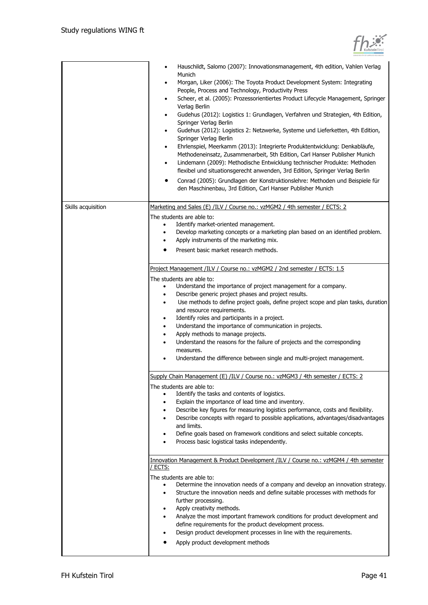

|                    | Hauschildt, Salomo (2007): Innovationsmanagement, 4th edition, Vahlen Verlag<br>Munich<br>Morgan, Liker (2006): The Toyota Product Development System: Integrating<br>$\bullet$<br>People, Process and Technology, Productivity Press<br>Scheer, et al. (2005): Prozessorientiertes Product Lifecycle Management, Springer<br>$\bullet$<br>Verlag Berlin<br>Gudehus (2012): Logistics 1: Grundlagen, Verfahren und Strategien, 4th Edition,<br>٠<br>Springer Verlag Berlin<br>Gudehus (2012): Logistics 2: Netzwerke, Systeme und Lieferketten, 4th Edition,<br>$\bullet$<br>Springer Verlag Berlin<br>Ehrlenspiel, Meerkamm (2013): Integrierte Produktentwicklung: Denkabläufe,<br>$\bullet$<br>Methodeneinsatz, Zusammenarbeit, 5th Edition, Carl Hanser Publisher Munich<br>Lindemann (2009): Methodische Entwicklung technischer Produkte: Methoden<br>٠<br>flexibel und situationsgerecht anwenden, 3rd Edition, Springer Verlag Berlin<br>Conrad (2005): Grundlagen der Konstruktionslehre: Methoden und Beispiele für<br>den Maschinenbau, 3rd Edition, Carl Hanser Publisher Munich |
|--------------------|----------------------------------------------------------------------------------------------------------------------------------------------------------------------------------------------------------------------------------------------------------------------------------------------------------------------------------------------------------------------------------------------------------------------------------------------------------------------------------------------------------------------------------------------------------------------------------------------------------------------------------------------------------------------------------------------------------------------------------------------------------------------------------------------------------------------------------------------------------------------------------------------------------------------------------------------------------------------------------------------------------------------------------------------------------------------------------------------|
| Skills acquisition | Marketing and Sales (E) /ILV / Course no.: vzMGM2 / 4th semester / ECTS: 2                                                                                                                                                                                                                                                                                                                                                                                                                                                                                                                                                                                                                                                                                                                                                                                                                                                                                                                                                                                                                   |
|                    |                                                                                                                                                                                                                                                                                                                                                                                                                                                                                                                                                                                                                                                                                                                                                                                                                                                                                                                                                                                                                                                                                              |
|                    | The students are able to:<br>Identify market-oriented management.<br>$\bullet$                                                                                                                                                                                                                                                                                                                                                                                                                                                                                                                                                                                                                                                                                                                                                                                                                                                                                                                                                                                                               |
|                    | Develop marketing concepts or a marketing plan based on an identified problem.<br>٠                                                                                                                                                                                                                                                                                                                                                                                                                                                                                                                                                                                                                                                                                                                                                                                                                                                                                                                                                                                                          |
|                    | Apply instruments of the marketing mix.                                                                                                                                                                                                                                                                                                                                                                                                                                                                                                                                                                                                                                                                                                                                                                                                                                                                                                                                                                                                                                                      |
|                    | Present basic market research methods.                                                                                                                                                                                                                                                                                                                                                                                                                                                                                                                                                                                                                                                                                                                                                                                                                                                                                                                                                                                                                                                       |
|                    |                                                                                                                                                                                                                                                                                                                                                                                                                                                                                                                                                                                                                                                                                                                                                                                                                                                                                                                                                                                                                                                                                              |
|                    | Project Management /ILV / Course no.: vzMGM2 / 2nd semester / ECTS: 1.5                                                                                                                                                                                                                                                                                                                                                                                                                                                                                                                                                                                                                                                                                                                                                                                                                                                                                                                                                                                                                      |
|                    | The students are able to:                                                                                                                                                                                                                                                                                                                                                                                                                                                                                                                                                                                                                                                                                                                                                                                                                                                                                                                                                                                                                                                                    |
|                    | Understand the importance of project management for a company.                                                                                                                                                                                                                                                                                                                                                                                                                                                                                                                                                                                                                                                                                                                                                                                                                                                                                                                                                                                                                               |
|                    | Describe generic project phases and project results.<br>$\bullet$                                                                                                                                                                                                                                                                                                                                                                                                                                                                                                                                                                                                                                                                                                                                                                                                                                                                                                                                                                                                                            |
|                    | Use methods to define project goals, define project scope and plan tasks, duration<br>$\bullet$                                                                                                                                                                                                                                                                                                                                                                                                                                                                                                                                                                                                                                                                                                                                                                                                                                                                                                                                                                                              |
|                    | and resource requirements.                                                                                                                                                                                                                                                                                                                                                                                                                                                                                                                                                                                                                                                                                                                                                                                                                                                                                                                                                                                                                                                                   |
|                    | Identify roles and participants in a project.<br>٠                                                                                                                                                                                                                                                                                                                                                                                                                                                                                                                                                                                                                                                                                                                                                                                                                                                                                                                                                                                                                                           |
|                    | Understand the importance of communication in projects.<br>٠                                                                                                                                                                                                                                                                                                                                                                                                                                                                                                                                                                                                                                                                                                                                                                                                                                                                                                                                                                                                                                 |
|                    | Apply methods to manage projects.                                                                                                                                                                                                                                                                                                                                                                                                                                                                                                                                                                                                                                                                                                                                                                                                                                                                                                                                                                                                                                                            |
|                    | Understand the reasons for the failure of projects and the corresponding                                                                                                                                                                                                                                                                                                                                                                                                                                                                                                                                                                                                                                                                                                                                                                                                                                                                                                                                                                                                                     |
|                    | measures.                                                                                                                                                                                                                                                                                                                                                                                                                                                                                                                                                                                                                                                                                                                                                                                                                                                                                                                                                                                                                                                                                    |
|                    | Understand the difference between single and multi-project management.                                                                                                                                                                                                                                                                                                                                                                                                                                                                                                                                                                                                                                                                                                                                                                                                                                                                                                                                                                                                                       |
|                    | Supply Chain Management (E) /ILV / Course no.: vzMGM3 / 4th semester / ECTS: 2                                                                                                                                                                                                                                                                                                                                                                                                                                                                                                                                                                                                                                                                                                                                                                                                                                                                                                                                                                                                               |
|                    | The students are able to:                                                                                                                                                                                                                                                                                                                                                                                                                                                                                                                                                                                                                                                                                                                                                                                                                                                                                                                                                                                                                                                                    |
|                    | Identify the tasks and contents of logistics.                                                                                                                                                                                                                                                                                                                                                                                                                                                                                                                                                                                                                                                                                                                                                                                                                                                                                                                                                                                                                                                |
|                    | Explain the importance of lead time and inventory.                                                                                                                                                                                                                                                                                                                                                                                                                                                                                                                                                                                                                                                                                                                                                                                                                                                                                                                                                                                                                                           |
|                    | Describe key figures for measuring logistics performance, costs and flexibility.                                                                                                                                                                                                                                                                                                                                                                                                                                                                                                                                                                                                                                                                                                                                                                                                                                                                                                                                                                                                             |
|                    | Describe concepts with regard to possible applications, advantages/disadvantages<br>$\bullet$                                                                                                                                                                                                                                                                                                                                                                                                                                                                                                                                                                                                                                                                                                                                                                                                                                                                                                                                                                                                |
|                    | and limits.                                                                                                                                                                                                                                                                                                                                                                                                                                                                                                                                                                                                                                                                                                                                                                                                                                                                                                                                                                                                                                                                                  |
|                    | Define goals based on framework conditions and select suitable concepts.                                                                                                                                                                                                                                                                                                                                                                                                                                                                                                                                                                                                                                                                                                                                                                                                                                                                                                                                                                                                                     |
|                    | Process basic logistical tasks independently.                                                                                                                                                                                                                                                                                                                                                                                                                                                                                                                                                                                                                                                                                                                                                                                                                                                                                                                                                                                                                                                |
|                    | Innovation Management & Product Development /ILV / Course no.: vzMGM4 / 4th semester                                                                                                                                                                                                                                                                                                                                                                                                                                                                                                                                                                                                                                                                                                                                                                                                                                                                                                                                                                                                         |
|                    | <u>/ ECTS:</u>                                                                                                                                                                                                                                                                                                                                                                                                                                                                                                                                                                                                                                                                                                                                                                                                                                                                                                                                                                                                                                                                               |
|                    | The students are able to:                                                                                                                                                                                                                                                                                                                                                                                                                                                                                                                                                                                                                                                                                                                                                                                                                                                                                                                                                                                                                                                                    |
|                    | Determine the innovation needs of a company and develop an innovation strategy.                                                                                                                                                                                                                                                                                                                                                                                                                                                                                                                                                                                                                                                                                                                                                                                                                                                                                                                                                                                                              |
|                    | Structure the innovation needs and define suitable processes with methods for<br>٠                                                                                                                                                                                                                                                                                                                                                                                                                                                                                                                                                                                                                                                                                                                                                                                                                                                                                                                                                                                                           |
|                    | further processing.                                                                                                                                                                                                                                                                                                                                                                                                                                                                                                                                                                                                                                                                                                                                                                                                                                                                                                                                                                                                                                                                          |
|                    | Apply creativity methods.<br>٠                                                                                                                                                                                                                                                                                                                                                                                                                                                                                                                                                                                                                                                                                                                                                                                                                                                                                                                                                                                                                                                               |
|                    | Analyze the most important framework conditions for product development and                                                                                                                                                                                                                                                                                                                                                                                                                                                                                                                                                                                                                                                                                                                                                                                                                                                                                                                                                                                                                  |
|                    | define requirements for the product development process.                                                                                                                                                                                                                                                                                                                                                                                                                                                                                                                                                                                                                                                                                                                                                                                                                                                                                                                                                                                                                                     |
|                    | Design product development processes in line with the requirements.                                                                                                                                                                                                                                                                                                                                                                                                                                                                                                                                                                                                                                                                                                                                                                                                                                                                                                                                                                                                                          |
|                    | Apply product development methods                                                                                                                                                                                                                                                                                                                                                                                                                                                                                                                                                                                                                                                                                                                                                                                                                                                                                                                                                                                                                                                            |
|                    |                                                                                                                                                                                                                                                                                                                                                                                                                                                                                                                                                                                                                                                                                                                                                                                                                                                                                                                                                                                                                                                                                              |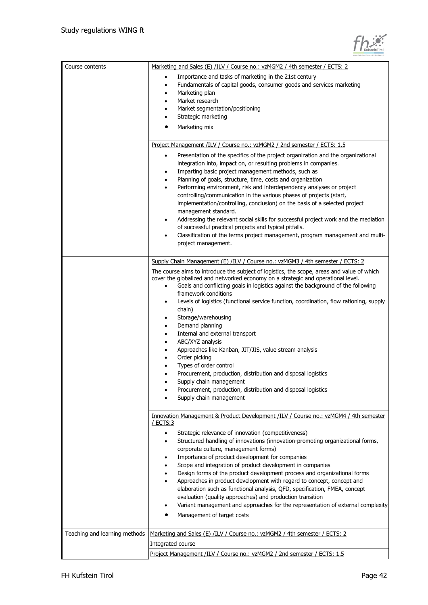$\blacksquare$ 

 $\overline{\phantom{a}}$ 

| Course contents               | Marketing and Sales (E) /ILV / Course no.: vzMGM2 / 4th semester / ECTS: 2<br>Importance and tasks of marketing in the 21st century<br>٠<br>Fundamentals of capital goods, consumer goods and services marketing<br>$\bullet$<br>Marketing plan<br>٠<br>Market research<br>$\bullet$<br>Market segmentation/positioning<br>Strategic marketing<br>Marketing mix<br>Project Management /ILV / Course no.: vzMGM2 / 2nd semester / ECTS: 1.5                                                                                                                                                                                                                                                                                                                                                                                                                                                                                 |
|-------------------------------|----------------------------------------------------------------------------------------------------------------------------------------------------------------------------------------------------------------------------------------------------------------------------------------------------------------------------------------------------------------------------------------------------------------------------------------------------------------------------------------------------------------------------------------------------------------------------------------------------------------------------------------------------------------------------------------------------------------------------------------------------------------------------------------------------------------------------------------------------------------------------------------------------------------------------|
|                               | Presentation of the specifics of the project organization and the organizational<br>$\bullet$<br>integration into, impact on, or resulting problems in companies.<br>Imparting basic project management methods, such as<br>Planning of goals, structure, time, costs and organization<br>٠<br>Performing environment, risk and interdependency analyses or project<br>٠<br>controlling/communication in the various phases of projects (start,<br>implementation/controlling, conclusion) on the basis of a selected project<br>management standard.<br>Addressing the relevant social skills for successful project work and the mediation<br>of successful practical projects and typical pitfalls.<br>Classification of the terms project management, program management and multi-<br>٠<br>project management.                                                                                                        |
|                               | Supply Chain Management (E) /ILV / Course no.: vzMGM3 / 4th semester / ECTS: 2<br>The course aims to introduce the subject of logistics, the scope, areas and value of which<br>cover the globalized and networked economy on a strategic and operational level.<br>Goals and conflicting goals in logistics against the background of the following<br>$\bullet$<br>framework conditions<br>Levels of logistics (functional service function, coordination, flow rationing, supply<br>٠<br>chain)<br>Storage/warehousing<br>٠<br>Demand planning<br>Internal and external transport<br>٠<br>ABC/XYZ analysis<br>٠<br>Approaches like Kanban, JIT/JIS, value stream analysis<br>$\bullet$<br>Order picking<br>Types of order control<br>Procurement, production, distribution and disposal logistics<br>Supply chain management<br>Procurement, production, distribution and disposal logistics<br>Supply chain management |
|                               | Innovation Management & Product Development /ILV / Course no.: vzMGM4 / 4th semester<br>ECTS:3<br>Strategic relevance of innovation (competitiveness)<br>٠<br>Structured handling of innovations (innovation-promoting organizational forms,<br>٠<br>corporate culture, management forms)<br>Importance of product development for companies<br>Scope and integration of product development in companies<br>Design forms of the product development process and organizational forms<br>Approaches in product development with regard to concept, concept and<br>$\bullet$<br>elaboration such as functional analysis, QFD, specification, FMEA, concept<br>evaluation (quality approaches) and production transition<br>Variant management and approaches for the representation of external complexity<br>Management of target costs                                                                                    |
| Teaching and learning methods | Marketing and Sales (E) /ILV / Course no.: vzMGM2 / 4th semester / ECTS: 2<br>Integrated course<br>Project Management /ILV / Course no.: vzMGM2 / 2nd semester / ECTS: 1.5                                                                                                                                                                                                                                                                                                                                                                                                                                                                                                                                                                                                                                                                                                                                                 |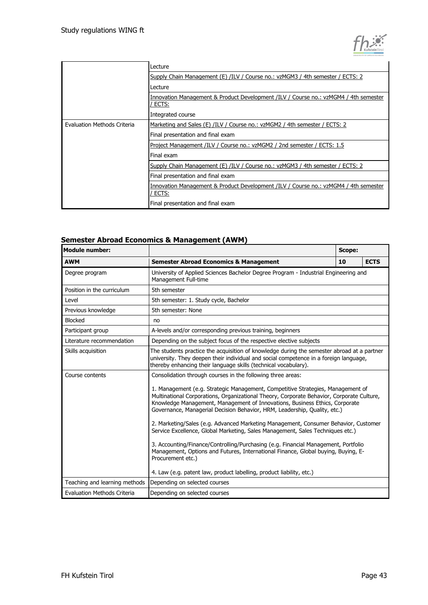

|                             | Lecture                                                                                       |
|-----------------------------|-----------------------------------------------------------------------------------------------|
|                             | Supply Chain Management (E) /ILV / Course no.: vzMGM3 / 4th semester / ECTS: 2                |
|                             | Lecture                                                                                       |
|                             | Innovation Management & Product Development /ILV / Course no.: vzMGM4 / 4th semester<br>ECTS: |
|                             | Integrated course                                                                             |
| Evaluation Methods Criteria | Marketing and Sales (E) /ILV / Course no.: vzMGM2 / 4th semester / ECTS: 2                    |
|                             | Final presentation and final exam                                                             |
|                             | Project Management /ILV / Course no.: vzMGM2 / 2nd semester / ECTS: 1.5                       |
|                             | Final exam                                                                                    |
|                             | Supply Chain Management (E) /ILV / Course no.: vzMGM3 / 4th semester / ECTS: 2                |
|                             | Final presentation and final exam                                                             |
|                             | Innovation Management & Product Development /ILV / Course no.: vzMGM4 / 4th semester<br>ECTS: |
|                             | Final presentation and final exam                                                             |

### **Semester Abroad Economics & Management (AWM)**

| <b>Module number:</b>         |                                                                                                                                                                                                                                                                                                                                                                                                                                                                                                                                                                                                                                                                                                                                                                                                                                                          | Scope: |             |
|-------------------------------|----------------------------------------------------------------------------------------------------------------------------------------------------------------------------------------------------------------------------------------------------------------------------------------------------------------------------------------------------------------------------------------------------------------------------------------------------------------------------------------------------------------------------------------------------------------------------------------------------------------------------------------------------------------------------------------------------------------------------------------------------------------------------------------------------------------------------------------------------------|--------|-------------|
| <b>AWM</b>                    | <b>Semester Abroad Economics &amp; Management</b>                                                                                                                                                                                                                                                                                                                                                                                                                                                                                                                                                                                                                                                                                                                                                                                                        | 10     | <b>ECTS</b> |
| Degree program                | University of Applied Sciences Bachelor Degree Program - Industrial Engineering and<br>Management Full-time                                                                                                                                                                                                                                                                                                                                                                                                                                                                                                                                                                                                                                                                                                                                              |        |             |
| Position in the curriculum    | 5th semester                                                                                                                                                                                                                                                                                                                                                                                                                                                                                                                                                                                                                                                                                                                                                                                                                                             |        |             |
| Level                         | 5th semester: 1. Study cycle, Bachelor                                                                                                                                                                                                                                                                                                                                                                                                                                                                                                                                                                                                                                                                                                                                                                                                                   |        |             |
| Previous knowledge            | 5th semester: None                                                                                                                                                                                                                                                                                                                                                                                                                                                                                                                                                                                                                                                                                                                                                                                                                                       |        |             |
| <b>Blocked</b>                | no                                                                                                                                                                                                                                                                                                                                                                                                                                                                                                                                                                                                                                                                                                                                                                                                                                                       |        |             |
| Participant group             | A-levels and/or corresponding previous training, beginners                                                                                                                                                                                                                                                                                                                                                                                                                                                                                                                                                                                                                                                                                                                                                                                               |        |             |
| Literature recommendation     | Depending on the subject focus of the respective elective subjects                                                                                                                                                                                                                                                                                                                                                                                                                                                                                                                                                                                                                                                                                                                                                                                       |        |             |
| Skills acquisition            | The students practice the acquisition of knowledge during the semester abroad at a partner<br>university. They deepen their individual and social competence in a foreign language,<br>thereby enhancing their language skills (technical vocabulary).                                                                                                                                                                                                                                                                                                                                                                                                                                                                                                                                                                                                   |        |             |
| Course contents               | Consolidation through courses in the following three areas:<br>1. Management (e.g. Strategic Management, Competitive Strategies, Management of<br>Multinational Corporations, Organizational Theory, Corporate Behavior, Corporate Culture,<br>Knowledge Management, Management of Innovations, Business Ethics, Corporate<br>Governance, Managerial Decision Behavior, HRM, Leadership, Quality, etc.)<br>2. Marketing/Sales (e.g. Advanced Marketing Management, Consumer Behavior, Customer<br>Service Excellence, Global Marketing, Sales Management, Sales Techniques etc.)<br>3. Accounting/Finance/Controlling/Purchasing (e.g. Financial Management, Portfolio<br>Management, Options and Futures, International Finance, Global buying, Buying, E-<br>Procurement etc.)<br>4. Law (e.g. patent law, product labelling, product liability, etc.) |        |             |
| Teaching and learning methods | Depending on selected courses                                                                                                                                                                                                                                                                                                                                                                                                                                                                                                                                                                                                                                                                                                                                                                                                                            |        |             |
| Evaluation Methods Criteria   | Depending on selected courses                                                                                                                                                                                                                                                                                                                                                                                                                                                                                                                                                                                                                                                                                                                                                                                                                            |        |             |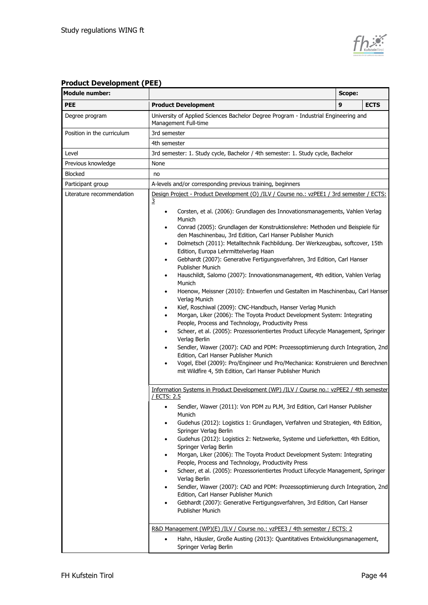

## **Product Development (PEE)**

| <b>Module number:</b>                      |                                                                                                                                                                                                                                                                                                                                                                                                                                                                                                                                                                                                                                                                                                                                                                                                                                                                                                                                                                                                                                                                                                                                                                                                                                                                                                                                                                                                              | Scope: |             |
|--------------------------------------------|--------------------------------------------------------------------------------------------------------------------------------------------------------------------------------------------------------------------------------------------------------------------------------------------------------------------------------------------------------------------------------------------------------------------------------------------------------------------------------------------------------------------------------------------------------------------------------------------------------------------------------------------------------------------------------------------------------------------------------------------------------------------------------------------------------------------------------------------------------------------------------------------------------------------------------------------------------------------------------------------------------------------------------------------------------------------------------------------------------------------------------------------------------------------------------------------------------------------------------------------------------------------------------------------------------------------------------------------------------------------------------------------------------------|--------|-------------|
| <b>PEE</b>                                 | <b>Product Development</b>                                                                                                                                                                                                                                                                                                                                                                                                                                                                                                                                                                                                                                                                                                                                                                                                                                                                                                                                                                                                                                                                                                                                                                                                                                                                                                                                                                                   | 9      | <b>ECTS</b> |
| Degree program                             | University of Applied Sciences Bachelor Degree Program - Industrial Engineering and<br>Management Full-time                                                                                                                                                                                                                                                                                                                                                                                                                                                                                                                                                                                                                                                                                                                                                                                                                                                                                                                                                                                                                                                                                                                                                                                                                                                                                                  |        |             |
| 3rd semester<br>Position in the curriculum |                                                                                                                                                                                                                                                                                                                                                                                                                                                                                                                                                                                                                                                                                                                                                                                                                                                                                                                                                                                                                                                                                                                                                                                                                                                                                                                                                                                                              |        |             |
|                                            | 4th semester                                                                                                                                                                                                                                                                                                                                                                                                                                                                                                                                                                                                                                                                                                                                                                                                                                                                                                                                                                                                                                                                                                                                                                                                                                                                                                                                                                                                 |        |             |
| Level                                      | 3rd semester: 1. Study cycle, Bachelor / 4th semester: 1. Study cycle, Bachelor                                                                                                                                                                                                                                                                                                                                                                                                                                                                                                                                                                                                                                                                                                                                                                                                                                                                                                                                                                                                                                                                                                                                                                                                                                                                                                                              |        |             |
| Previous knowledge                         | None                                                                                                                                                                                                                                                                                                                                                                                                                                                                                                                                                                                                                                                                                                                                                                                                                                                                                                                                                                                                                                                                                                                                                                                                                                                                                                                                                                                                         |        |             |
| <b>Blocked</b>                             | no                                                                                                                                                                                                                                                                                                                                                                                                                                                                                                                                                                                                                                                                                                                                                                                                                                                                                                                                                                                                                                                                                                                                                                                                                                                                                                                                                                                                           |        |             |
| Participant group                          | A-levels and/or corresponding previous training, beginners                                                                                                                                                                                                                                                                                                                                                                                                                                                                                                                                                                                                                                                                                                                                                                                                                                                                                                                                                                                                                                                                                                                                                                                                                                                                                                                                                   |        |             |
| Literature recommendation                  | Design Project - Product Development (O) /ILV / Course no.: vzPEE1 / 3rd semester / ECTS:<br>3<br>Corsten, et al. (2006): Grundlagen des Innovationsmanagements, Vahlen Verlag<br>$\bullet$<br>Munich<br>Conrad (2005): Grundlagen der Konstruktionslehre: Methoden und Beispiele für<br>٠<br>den Maschinenbau, 3rd Edition, Carl Hanser Publisher Munich<br>Dolmetsch (2011): Metalltechnik Fachbildung. Der Werkzeugbau, softcover, 15th<br>٠<br>Edition, Europa Lehrmittelverlag Haan<br>Gebhardt (2007): Generative Fertigungsverfahren, 3rd Edition, Carl Hanser<br>٠<br>Publisher Munich<br>Hauschildt, Salomo (2007): Innovationsmanagement, 4th edition, Vahlen Verlag<br>٠<br>Munich<br>Hoenow, Meissner (2010): Entwerfen und Gestalten im Maschinenbau, Carl Hanser<br>٠<br>Verlag Munich<br>Kief, Roschiwal (2009): CNC-Handbuch, Hanser Verlag Munich<br>٠<br>Morgan, Liker (2006): The Toyota Product Development System: Integrating<br>٠<br>People, Process and Technology, Productivity Press<br>Scheer, et al. (2005): Prozessorientiertes Product Lifecycle Management, Springer<br>٠<br>Verlag Berlin<br>Sendler, Wawer (2007): CAD and PDM: Prozessoptimierung durch Integration, 2nd<br>٠<br>Edition, Carl Hanser Publisher Munich<br>Vogel, Ebel (2009): Pro/Engineer und Pro/Mechanica: Konstruieren und Berechnen<br>٠<br>mit Wildfire 4, 5th Edition, Carl Hanser Publisher Munich |        |             |
|                                            | Information Systems in Product Development (WP) /ILV / Course no.: vzPEE2 / 4th semester<br>/ ECTS: 2.5<br>Sendler, Wawer (2011): Von PDM zu PLM, 3rd Edition, Carl Hanser Publisher<br>٠<br>Munich<br>Gudehus (2012): Logistics 1: Grundlagen, Verfahren und Strategien, 4th Edition,<br>$\bullet$<br>Springer Verlag Berlin<br>Gudehus (2012): Logistics 2: Netzwerke, Systeme und Lieferketten, 4th Edition,<br>٠<br>Springer Verlag Berlin<br>Morgan, Liker (2006): The Toyota Product Development System: Integrating<br>People, Process and Technology, Productivity Press<br>Scheer, et al. (2005): Prozessorientiertes Product Lifecycle Management, Springer<br>Verlag Berlin<br>Sendler, Wawer (2007): CAD and PDM: Prozessoptimierung durch Integration, 2nd<br>٠<br>Edition, Carl Hanser Publisher Munich<br>Gebhardt (2007): Generative Fertigungsverfahren, 3rd Edition, Carl Hanser<br>Publisher Munich                                                                                                                                                                                                                                                                                                                                                                                                                                                                                       |        |             |
|                                            | R&D Management (WP)(E) /ILV / Course no.: vzPEE3 / 4th semester / ECTS: 2<br>Hahn, Häusler, Große Austing (2013): Quantitatives Entwicklungsmanagement,<br>٠<br>Springer Verlag Berlin                                                                                                                                                                                                                                                                                                                                                                                                                                                                                                                                                                                                                                                                                                                                                                                                                                                                                                                                                                                                                                                                                                                                                                                                                       |        |             |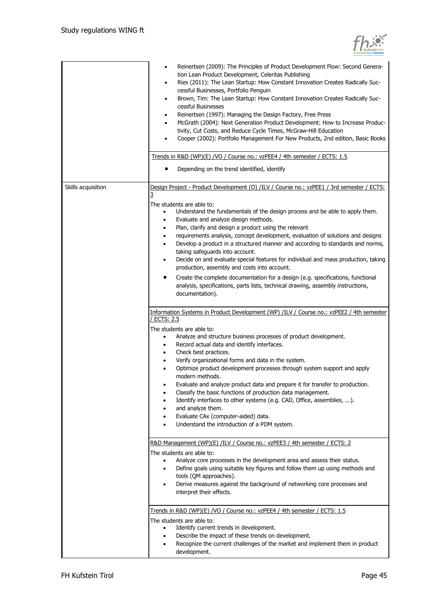

|                    | Reinertsen (2009): The Principles of Product Development Flow: Second Genera-<br>٠<br>tion Lean Product Development, Celeritas Publishing<br>Ries (2011): The Lean Startup: How Constant Innovation Creates Radically Suc-<br>٠<br>cessful Businesses, Portfolio Penguin<br>Brown, Tim: The Lean Startup: How Constant Innovation Creates Radically Suc-<br>٠<br>cessful Businesses<br>Reinertsen (1997): Managing the Design Factory, Free Press<br>٠<br>McGrath (2004): Next Generation Product Development: How to Increase Produc-<br>٠<br>tivity, Cut Costs, and Reduce Cycle Times, McGraw-Hill Education<br>Cooper (2002): Portfolio Management For New Products, 2nd edition, Basic Books<br>Trends in R&D (WP)(E) /VO / Course no.: vzPEE4 / 4th semester / ECTS: 1.5                                                                                                      |
|--------------------|-------------------------------------------------------------------------------------------------------------------------------------------------------------------------------------------------------------------------------------------------------------------------------------------------------------------------------------------------------------------------------------------------------------------------------------------------------------------------------------------------------------------------------------------------------------------------------------------------------------------------------------------------------------------------------------------------------------------------------------------------------------------------------------------------------------------------------------------------------------------------------------|
|                    | Depending on the trend identified, identify                                                                                                                                                                                                                                                                                                                                                                                                                                                                                                                                                                                                                                                                                                                                                                                                                                         |
| Skills acquisition | Design Project - Product Development (O) /ILV / Course no.: vzPEE1 / 3rd semester / ECTS:<br>3<br>The students are able to:<br>Understand the fundamentals of the design process and be able to apply them.<br>Evaluate and analyze design methods.<br>Plan, clarify and design a product using the relevant<br>requirements analysis, concept development, evaluation of solutions and designs<br>Develop a product in a structured manner and according to standards and norms,<br>$\bullet$<br>taking safeguards into account.<br>Decide on and evaluate special features for individual and mass production, taking<br>$\bullet$<br>production, assembly and costs into account.<br>Create the complete documentation for a design (e.g. specifications, functional<br>٠<br>analysis, specifications, parts lists, technical drawing, assembly instructions,<br>documentation). |
|                    | Information Systems in Product Development (WP) /ILV / Course no.: vzPEE2 / 4th semester<br><b>ECTS: 2.5</b><br>The students are able to:<br>Analyze and structure business processes of product development.<br>Record actual data and identify interfaces.<br>Check best practices.<br>$\bullet$<br>Verify organizational forms and data in the system.<br>Optimize product development processes through system support and apply<br>modern methods.<br>Evaluate and analyze product data and prepare it for transfer to production.<br>Classify the basic functions of production data management.<br>Identify interfaces to other systems (e.g. CAD, Office, assemblies, ).<br>and analyze them.<br>Evaluate CAx (computer-aided) data.<br>Understand the introduction of a PDM system.                                                                                        |
|                    | R&D Management (WP)(E) /ILV / Course no.: vzPEE3 / 4th semester / ECTS: 2<br>The students are able to:<br>Analyze core processes in the development area and assess their status.<br>Define goals using suitable key figures and follow them up using methods and<br>tools (QM approaches).<br>Derive measures against the background of networking core processes and<br>$\bullet$<br>interpret their effects.                                                                                                                                                                                                                                                                                                                                                                                                                                                                     |
|                    | Trends in R&D (WP)(E) /VO / Course no.: vzPEE4 / 4th semester / ECTS: 1.5<br>The students are able to:<br>Identify current trends in development.<br>$\bullet$<br>Describe the impact of these trends on development.<br>Recognize the current challenges of the market and implement them in product<br>development.                                                                                                                                                                                                                                                                                                                                                                                                                                                                                                                                                               |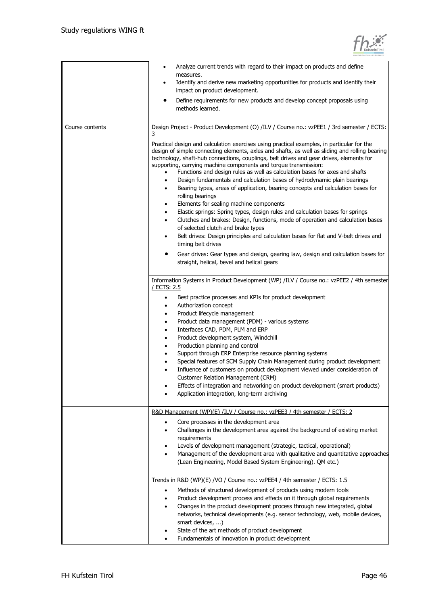

|                 | Analyze current trends with regard to their impact on products and define<br>measures.<br>Identify and derive new marketing opportunities for products and identify their<br>٠<br>impact on product development.<br>Define requirements for new products and develop concept proposals using<br>methods learned.                                                                                                                                                                                                                                                                                                                                                                                                                                                                                                                                                                                                                                                                                                                                                                                                                                                                                                                                                           |
|-----------------|----------------------------------------------------------------------------------------------------------------------------------------------------------------------------------------------------------------------------------------------------------------------------------------------------------------------------------------------------------------------------------------------------------------------------------------------------------------------------------------------------------------------------------------------------------------------------------------------------------------------------------------------------------------------------------------------------------------------------------------------------------------------------------------------------------------------------------------------------------------------------------------------------------------------------------------------------------------------------------------------------------------------------------------------------------------------------------------------------------------------------------------------------------------------------------------------------------------------------------------------------------------------------|
| Course contents | Design Project - Product Development (O) /ILV / Course no.: vzPEE1 / 3rd semester / ECTS:<br>3<br>Practical design and calculation exercises using practical examples, in particular for the<br>design of simple connecting elements, axles and shafts, as well as sliding and rolling bearing<br>technology, shaft-hub connections, couplings, belt drives and gear drives, elements for<br>supporting, carrying machine components and torque transmission:<br>Functions and design rules as well as calculation bases for axes and shafts<br>Design fundamentals and calculation bases of hydrodynamic plain bearings<br>$\bullet$<br>Bearing types, areas of application, bearing concepts and calculation bases for<br>٠<br>rolling bearings<br>Elements for sealing machine components<br>٠<br>Elastic springs: Spring types, design rules and calculation bases for springs<br>٠<br>Clutches and brakes: Design, functions, mode of operation and calculation bases<br>٠<br>of selected clutch and brake types<br>Belt drives: Design principles and calculation bases for flat and V-belt drives and<br>٠<br>timing belt drives<br>Gear drives: Gear types and design, gearing law, design and calculation bases for<br>straight, helical, bevel and helical gears |
|                 | Information Systems in Product Development (WP) /ILV / Course no.: vzPEE2 / 4th semester<br>/ ECTS: 2.5<br>Best practice processes and KPIs for product development<br>$\bullet$<br>Authorization concept<br>٠<br>Product lifecycle management<br>٠<br>Product data management (PDM) - various systems<br>٠<br>Interfaces CAD, PDM, PLM and ERP<br>$\bullet$<br>Product development system, Windchill<br>٠<br>Production planning and control<br>٠<br>Support through ERP Enterprise resource planning systems<br>٠<br>Special features of SCM Supply Chain Management during product development<br>Influence of customers on product development viewed under consideration of<br><b>Customer Relation Management (CRM)</b><br>Effects of integration and networking on product development (smart products)<br>Application integration, long-term archiving                                                                                                                                                                                                                                                                                                                                                                                                             |
|                 | R&D Management (WP)(E) /ILV / Course no.: vzPEE3 / 4th semester / ECTS: 2<br>Core processes in the development area<br>Challenges in the development area against the background of existing market<br>requirements<br>Levels of development management (strategic, tactical, operational)<br>٠<br>Management of the development area with qualitative and quantitative approaches<br>٠<br>(Lean Engineering, Model Based System Engineering). QM etc.)                                                                                                                                                                                                                                                                                                                                                                                                                                                                                                                                                                                                                                                                                                                                                                                                                    |
|                 | Trends in R&D (WP)(E) /VO / Course no.: vzPEE4 / 4th semester / ECTS: 1.5<br>Methods of structured development of products using modern tools<br>$\bullet$<br>Product development process and effects on it through global requirements<br>٠<br>Changes in the product development process through new integrated, global<br>٠<br>networks, technical developments (e.g. sensor technology, web, mobile devices,<br>smart devices, )<br>State of the art methods of product development<br>Fundamentals of innovation in product development                                                                                                                                                                                                                                                                                                                                                                                                                                                                                                                                                                                                                                                                                                                               |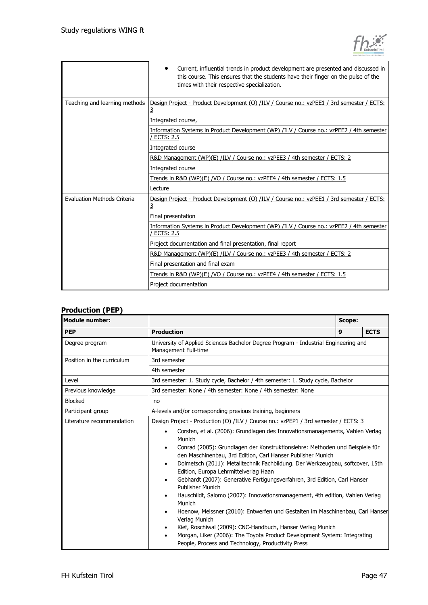|                               | Current, influential trends in product development are presented and discussed in<br>this course. This ensures that the students have their finger on the pulse of the<br>times with their respective specialization. |
|-------------------------------|-----------------------------------------------------------------------------------------------------------------------------------------------------------------------------------------------------------------------|
| Teaching and learning methods | Design Project - Product Development (O) /ILV / Course no.: vzPEE1 / 3rd semester / ECTS:<br>3<br>Integrated course,                                                                                                  |
|                               | Information Systems in Product Development (WP) /ILV / Course no.: vzPEE2 / 4th semester<br>/ ECTS: 2.5<br>Integrated course                                                                                          |
|                               | R&D Management (WP)(E) /ILV / Course no.: vzPEE3 / 4th semester / ECTS: 2<br>Integrated course                                                                                                                        |
|                               | Trends in R&D (WP)(E) /VO / Course no.: vzPEE4 / 4th semester / ECTS: 1.5<br>Lecture                                                                                                                                  |
| Evaluation Methods Criteria   | Design Project - Product Development (O) /ILV / Course no.: vzPEE1 / 3rd semester / ECTS:<br>3<br>Final presentation                                                                                                  |
|                               | Information Systems in Product Development (WP) /ILV / Course no.: vzPEE2 / 4th semester<br><b>ECTS: 2.5</b><br>Project documentation and final presentation, final report                                            |
|                               | R&D Management (WP)(E) /ILV / Course no.: vzPEE3 / 4th semester / ECTS: 2<br>Final presentation and final exam                                                                                                        |
|                               | Trends in R&D (WP)(E) /VO / Course no.: vzPEE4 / 4th semester / ECTS: 1.5<br>Project documentation                                                                                                                    |

#### **Production (PEP)**

| Module number:             | Scope:                                                                                                                                                                                                                                                                                                                                                                                                                                                                                                                                                                                                                                                                                                                                                                                                                                                                                               |   |             |
|----------------------------|------------------------------------------------------------------------------------------------------------------------------------------------------------------------------------------------------------------------------------------------------------------------------------------------------------------------------------------------------------------------------------------------------------------------------------------------------------------------------------------------------------------------------------------------------------------------------------------------------------------------------------------------------------------------------------------------------------------------------------------------------------------------------------------------------------------------------------------------------------------------------------------------------|---|-------------|
| <b>PEP</b>                 | <b>Production</b>                                                                                                                                                                                                                                                                                                                                                                                                                                                                                                                                                                                                                                                                                                                                                                                                                                                                                    | 9 | <b>ECTS</b> |
| Degree program             | University of Applied Sciences Bachelor Degree Program - Industrial Engineering and<br>Management Full-time                                                                                                                                                                                                                                                                                                                                                                                                                                                                                                                                                                                                                                                                                                                                                                                          |   |             |
| Position in the curriculum | 3rd semester                                                                                                                                                                                                                                                                                                                                                                                                                                                                                                                                                                                                                                                                                                                                                                                                                                                                                         |   |             |
|                            | 4th semester                                                                                                                                                                                                                                                                                                                                                                                                                                                                                                                                                                                                                                                                                                                                                                                                                                                                                         |   |             |
| Level                      | 3rd semester: 1. Study cycle, Bachelor / 4th semester: 1. Study cycle, Bachelor                                                                                                                                                                                                                                                                                                                                                                                                                                                                                                                                                                                                                                                                                                                                                                                                                      |   |             |
| Previous knowledge         | 3rd semester: None / 4th semester: None / 4th semester: None                                                                                                                                                                                                                                                                                                                                                                                                                                                                                                                                                                                                                                                                                                                                                                                                                                         |   |             |
| <b>Blocked</b>             | no                                                                                                                                                                                                                                                                                                                                                                                                                                                                                                                                                                                                                                                                                                                                                                                                                                                                                                   |   |             |
| Participant group          | A-levels and/or corresponding previous training, beginners                                                                                                                                                                                                                                                                                                                                                                                                                                                                                                                                                                                                                                                                                                                                                                                                                                           |   |             |
| Literature recommendation  | Design Project - Production (O) /ILV / Course no.: vzPEP1 / 3rd semester / ECTS: 3                                                                                                                                                                                                                                                                                                                                                                                                                                                                                                                                                                                                                                                                                                                                                                                                                   |   |             |
|                            | Corsten, et al. (2006): Grundlagen des Innovationsmanagements, Vahlen Verlag<br>٠<br>Munich<br>Conrad (2005): Grundlagen der Konstruktionslehre: Methoden und Beispiele für<br>٠<br>den Maschinenbau, 3rd Edition, Carl Hanser Publisher Munich<br>Dolmetsch (2011): Metalltechnik Fachbildung. Der Werkzeugbau, softcover, 15th<br>٠<br>Edition, Europa Lehrmittelverlag Haan<br>Gebhardt (2007): Generative Fertigungsverfahren, 3rd Edition, Carl Hanser<br>$\bullet$<br><b>Publisher Munich</b><br>Hauschildt, Salomo (2007): Innovationsmanagement, 4th edition, Vahlen Verlag<br>Munich<br>Hoenow, Meissner (2010): Entwerfen und Gestalten im Maschinenbau, Carl Hanser<br>Verlag Munich<br>Kief, Roschiwal (2009): CNC-Handbuch, Hanser Verlag Munich<br>Morgan, Liker (2006): The Toyota Product Development System: Integrating<br>٠<br>People, Process and Technology, Productivity Press |   |             |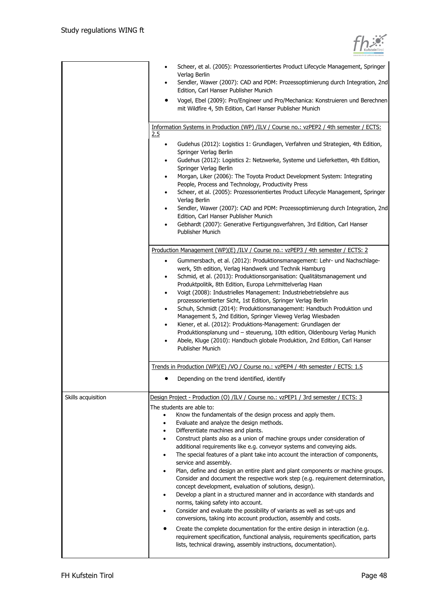

|                    | Scheer, et al. (2005): Prozessorientiertes Product Lifecycle Management, Springer<br>Verlag Berlin                                                                      |
|--------------------|-------------------------------------------------------------------------------------------------------------------------------------------------------------------------|
|                    | Sendler, Wawer (2007): CAD and PDM: Prozessoptimierung durch Integration, 2nd<br>٠<br>Edition, Carl Hanser Publisher Munich                                             |
|                    | Vogel, Ebel (2009): Pro/Engineer und Pro/Mechanica: Konstruieren und Berechnen<br>٠                                                                                     |
|                    | mit Wildfire 4, 5th Edition, Carl Hanser Publisher Munich                                                                                                               |
|                    | Information Systems in Production (WP) /ILV / Course no.: vzPEP2 / 4th semester / ECTS:<br>2.5                                                                          |
|                    | Gudehus (2012): Logistics 1: Grundlagen, Verfahren und Strategien, 4th Edition,<br>$\bullet$                                                                            |
|                    | Springer Verlag Berlin<br>Gudehus (2012): Logistics 2: Netzwerke, Systeme und Lieferketten, 4th Edition,<br>٠                                                           |
|                    | Springer Verlag Berlin<br>Morgan, Liker (2006): The Toyota Product Development System: Integrating<br>٠                                                                 |
|                    | People, Process and Technology, Productivity Press                                                                                                                      |
|                    | Scheer, et al. (2005): Prozessorientiertes Product Lifecycle Management, Springer<br>٠<br>Verlag Berlin                                                                 |
|                    | Sendler, Wawer (2007): CAD and PDM: Prozessoptimierung durch Integration, 2nd<br>$\bullet$<br>Edition, Carl Hanser Publisher Munich                                     |
|                    | Gebhardt (2007): Generative Fertigungsverfahren, 3rd Edition, Carl Hanser<br>٠<br>Publisher Munich                                                                      |
|                    | Production Management (WP)(E) /ILV / Course no.: vzPEP3 / 4th semester / ECTS: 2                                                                                        |
|                    | Gummersbach, et al. (2012): Produktionsmanagement: Lehr- und Nachschlage-<br>$\bullet$<br>werk, 5th edition, Verlag Handwerk und Technik Hamburg                        |
|                    | Schmid, et al. (2013): Produktionsorganisation: Qualitätsmanagement und<br>٠                                                                                            |
|                    | Produktpolitik, 8th Edition, Europa Lehrmittelverlag Haan<br>Voigt (2008): Industrielles Management: Industriebetriebslehre aus<br>$\bullet$                            |
|                    | prozessorientierter Sicht, 1st Edition, Springer Verlag Berlin                                                                                                          |
|                    | Schuh, Schmidt (2014): Produktionsmanagement: Handbuch Produktion und<br>٠                                                                                              |
|                    | Management 5, 2nd Edition, Springer Vieweg Verlag Wiesbaden<br>Kiener, et al. (2012): Produktions-Management: Grundlagen der<br>$\bullet$                               |
|                    | Produktionsplanung und - steuerung, 10th edition, Oldenbourg Verlag Munich                                                                                              |
|                    | Abele, Kluge (2010): Handbuch globale Produktion, 2nd Edition, Carl Hanser<br>٠<br>Publisher Munich                                                                     |
|                    | Trends in Production (WP)(E) /VO / Course no.: vzPEP4 / 4th semester / ECTS: 1.5                                                                                        |
|                    | Depending on the trend identified, identify                                                                                                                             |
| Skills acquisition | Design Project - Production (O) /ILV / Course no.: vzPEP1 / 3rd semester / ECTS: 3                                                                                      |
|                    | The students are able to:                                                                                                                                               |
|                    | Know the fundamentals of the design process and apply them.<br>$\bullet$<br>Evaluate and analyze the design methods.<br>$\bullet$                                       |
|                    | Differentiate machines and plants.<br>٠                                                                                                                                 |
|                    | Construct plants also as a union of machine groups under consideration of<br>٠                                                                                          |
|                    | additional requirements like e.g. conveyor systems and conveying aids.<br>The special features of a plant take into account the interaction of components,<br>$\bullet$ |
|                    | service and assembly.                                                                                                                                                   |
|                    | Plan, define and design an entire plant and plant components or machine groups.<br>٠<br>Consider and document the respective work step (e.g. requirement determination, |
|                    | concept development, evaluation of solutions, design).<br>Develop a plant in a structured manner and in accordance with standards and<br>٠                              |
|                    | norms, taking safety into account.                                                                                                                                      |
|                    | Consider and evaluate the possibility of variants as well as set-ups and                                                                                                |
|                    | conversions, taking into account production, assembly and costs.<br>Create the complete documentation for the entire design in interaction (e.g.                        |
|                    | requirement specification, functional analysis, requirements specification, parts<br>lists, technical drawing, assembly instructions, documentation).                   |
|                    |                                                                                                                                                                         |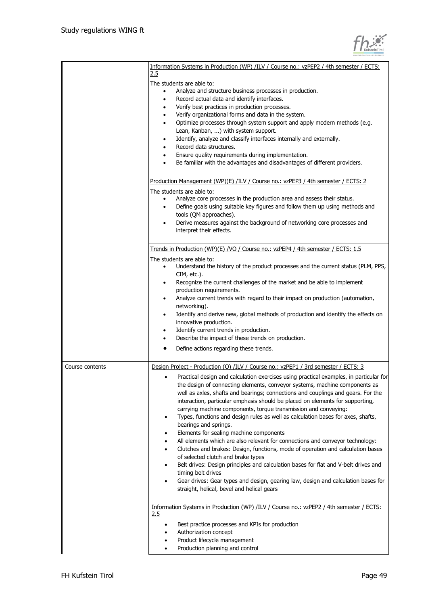|                 | Information Systems in Production (WP) /ILV / Course no.: vzPEP2 / 4th semester / ECTS:<br>2.5                                                                       |
|-----------------|----------------------------------------------------------------------------------------------------------------------------------------------------------------------|
|                 | The students are able to:                                                                                                                                            |
|                 | Analyze and structure business processes in production.<br>$\bullet$                                                                                                 |
|                 | Record actual data and identify interfaces.<br>٠                                                                                                                     |
|                 | Verify best practices in production processes.                                                                                                                       |
|                 | Verify organizational forms and data in the system.<br>٠                                                                                                             |
|                 | Optimize processes through system support and apply modern methods (e.g.<br>٠                                                                                        |
|                 | Lean, Kanban, ) with system support.                                                                                                                                 |
|                 | Identify, analyze and classify interfaces internally and externally.                                                                                                 |
|                 | Record data structures.                                                                                                                                              |
|                 | Ensure quality requirements during implementation.                                                                                                                   |
|                 | Be familiar with the advantages and disadvantages of different providers.                                                                                            |
|                 | Production Management (WP)(E) /ILV / Course no.: vzPEP3 / 4th semester / ECTS: 2                                                                                     |
|                 |                                                                                                                                                                      |
|                 | The students are able to:                                                                                                                                            |
|                 | Analyze core processes in the production area and assess their status.<br>$\bullet$<br>Define goals using suitable key figures and follow them up using methods and  |
|                 | ٠<br>tools (QM approaches).                                                                                                                                          |
|                 | Derive measures against the background of networking core processes and                                                                                              |
|                 | interpret their effects.                                                                                                                                             |
|                 |                                                                                                                                                                      |
|                 | Trends in Production (WP)(E) /VO / Course no.: vzPEP4 / 4th semester / ECTS: 1.5                                                                                     |
|                 | The students are able to:                                                                                                                                            |
|                 | Understand the history of the product processes and the current status (PLM, PPS,<br>$\bullet$                                                                       |
|                 | CIM, etc.).                                                                                                                                                          |
|                 | Recognize the current challenges of the market and be able to implement<br>٠                                                                                         |
|                 | production requirements.                                                                                                                                             |
|                 | Analyze current trends with regard to their impact on production (automation,<br>٠                                                                                   |
|                 | networking).                                                                                                                                                         |
|                 | Identify and derive new, global methods of production and identify the effects on<br>$\bullet$                                                                       |
|                 | innovative production.                                                                                                                                               |
|                 | Identify current trends in production.<br>٠                                                                                                                          |
|                 | Describe the impact of these trends on production.                                                                                                                   |
|                 | Define actions regarding these trends.                                                                                                                               |
| Course contents | Design Project - Production (O) /ILV / Course no.: vzPEP1 / 3rd semester / ECTS: 3                                                                                   |
|                 | Practical design and calculation exercises using practical examples, in particular for<br>the design of connecting elements, conveyor systems, machine components as |
|                 | well as axles, shafts and bearings; connections and couplings and gears. For the<br>interaction, particular emphasis should be placed on elements for supporting,    |
|                 | carrying machine components, torque transmission and conveying:                                                                                                      |
|                 | Types, functions and design rules as well as calculation bases for axes, shafts,                                                                                     |
|                 | bearings and springs.                                                                                                                                                |
|                 | Elements for sealing machine components                                                                                                                              |
|                 | All elements which are also relevant for connections and conveyor technology:                                                                                        |
|                 | Clutches and brakes: Design, functions, mode of operation and calculation bases                                                                                      |
|                 | of selected clutch and brake types                                                                                                                                   |
|                 | Belt drives: Design principles and calculation bases for flat and V-belt drives and                                                                                  |
|                 | timing belt drives                                                                                                                                                   |
|                 | Gear drives: Gear types and design, gearing law, design and calculation bases for                                                                                    |
|                 | straight, helical, bevel and helical gears                                                                                                                           |
|                 | Information Systems in Production (WP) /ILV / Course no.: vzPEP2 / 4th semester / ECTS:                                                                              |
|                 | 2.5                                                                                                                                                                  |
|                 | Best practice processes and KPIs for production                                                                                                                      |
|                 | Authorization concept                                                                                                                                                |
|                 | Product lifecycle management                                                                                                                                         |
|                 | Production planning and control                                                                                                                                      |
|                 |                                                                                                                                                                      |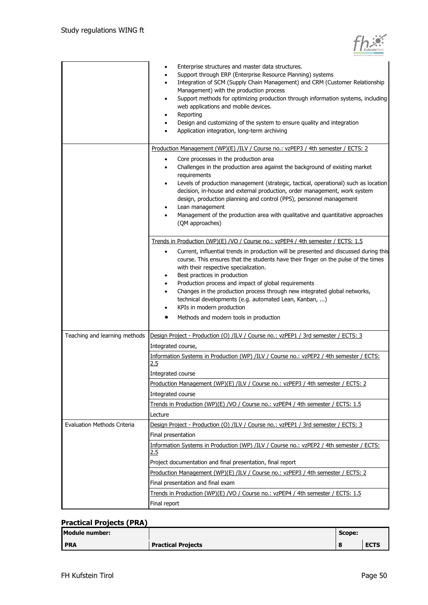

|                                    | Enterprise structures and master data structures.<br>Support through ERP (Enterprise Resource Planning) systems<br>Integration of SCM (Supply Chain Management) and CRM (Customer Relationship<br>Management) with the production process<br>Support methods for optimizing production through information systems, including<br>٠<br>web applications and mobile devices.<br>Reporting<br>Design and customizing of the system to ensure quality and integration<br>Application integration, long-term archiving                                                                                                                               |
|------------------------------------|-------------------------------------------------------------------------------------------------------------------------------------------------------------------------------------------------------------------------------------------------------------------------------------------------------------------------------------------------------------------------------------------------------------------------------------------------------------------------------------------------------------------------------------------------------------------------------------------------------------------------------------------------|
|                                    | Production Management (WP)(E) /ILV / Course no.: vzPEP3 / 4th semester / ECTS: 2<br>Core processes in the production area<br>٠<br>Challenges in the production area against the background of existing market<br>requirements<br>Levels of production management (strategic, tactical, operational) such as location<br>٠<br>decision, in-house and external production, order management, work system<br>design, production planning and control (PPS), personnel management<br>Lean management<br>Management of the production area with qualitative and quantitative approaches<br>(QM approaches)                                           |
|                                    | Trends in Production (WP)(E) /VO / Course no.: vzPEP4 / 4th semester / ECTS: 1.5<br>Current, influential trends in production will be presented and discussed during this<br>$\bullet$<br>course. This ensures that the students have their finger on the pulse of the times<br>with their respective specialization.<br>Best practices in production<br>٠<br>Production process and impact of global requirements<br>٠<br>Changes in the production process through new integrated global networks,<br>٠<br>technical developments (e.g. automated Lean, Kanban, )<br>KPIs in modern production<br>Methods and modern tools in production<br>٠ |
| Teaching and learning methods      | Design Project - Production (O) /ILV / Course no.: vzPEP1 / 3rd semester / ECTS: 3<br>Integrated course,                                                                                                                                                                                                                                                                                                                                                                                                                                                                                                                                        |
|                                    | Information Systems in Production (WP) /ILV / Course no.: vzPEP2 / 4th semester / ECTS:<br>2.5<br>Integrated course<br>Production Management (WP)(E) /ILV / Course no.: vzPEP3 / 4th semester / ECTS: 2<br>Integrated course<br>Trends in Production (WP)(E) /VO / Course no.: vzPEP4 / 4th semester / ECTS: 1.5<br>Lecture                                                                                                                                                                                                                                                                                                                     |
| <b>Evaluation Methods Criteria</b> | Design Project - Production (O) /ILV / Course no.: vzPEP1 / 3rd semester / ECTS: 3<br>Final presentation<br>Information Systems in Production (WP) /ILV / Course no.: vzPEP2 / 4th semester / ECTS:<br><u>2.5</u><br>Project documentation and final presentation, final report                                                                                                                                                                                                                                                                                                                                                                 |
|                                    | Production Management (WP)(E) /ILV / Course no.: vzPEP3 / 4th semester / ECTS: 2<br>Final presentation and final exam<br>Trends in Production (WP)(E) /VO / Course no.: vzPEP4 / 4th semester / ECTS: 1.5<br>Final report                                                                                                                                                                                                                                                                                                                                                                                                                       |

#### **Practical Projects (PRA)**

| Module number: |                           | Scope: |             |
|----------------|---------------------------|--------|-------------|
| <b>PRA</b>     | <b>Practical Projects</b> |        | <b>ECTS</b> |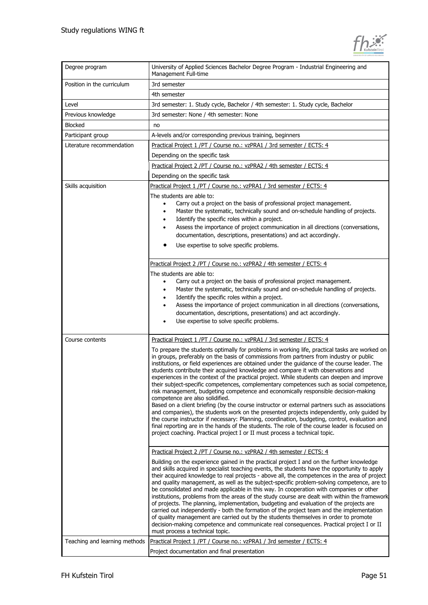| Degree program                | University of Applied Sciences Bachelor Degree Program - Industrial Engineering and<br>Management Full-time                                                                                                                                                                                                                                                                                                                                                                                                                                                                                                                                                                                                                                                                                                                                                                                                                                                                                                                                                                                                                                                                       |
|-------------------------------|-----------------------------------------------------------------------------------------------------------------------------------------------------------------------------------------------------------------------------------------------------------------------------------------------------------------------------------------------------------------------------------------------------------------------------------------------------------------------------------------------------------------------------------------------------------------------------------------------------------------------------------------------------------------------------------------------------------------------------------------------------------------------------------------------------------------------------------------------------------------------------------------------------------------------------------------------------------------------------------------------------------------------------------------------------------------------------------------------------------------------------------------------------------------------------------|
| Position in the curriculum    | 3rd semester                                                                                                                                                                                                                                                                                                                                                                                                                                                                                                                                                                                                                                                                                                                                                                                                                                                                                                                                                                                                                                                                                                                                                                      |
|                               | 4th semester                                                                                                                                                                                                                                                                                                                                                                                                                                                                                                                                                                                                                                                                                                                                                                                                                                                                                                                                                                                                                                                                                                                                                                      |
| Level                         | 3rd semester: 1. Study cycle, Bachelor / 4th semester: 1. Study cycle, Bachelor                                                                                                                                                                                                                                                                                                                                                                                                                                                                                                                                                                                                                                                                                                                                                                                                                                                                                                                                                                                                                                                                                                   |
| Previous knowledge            | 3rd semester: None / 4th semester: None                                                                                                                                                                                                                                                                                                                                                                                                                                                                                                                                                                                                                                                                                                                                                                                                                                                                                                                                                                                                                                                                                                                                           |
| <b>Blocked</b>                | no                                                                                                                                                                                                                                                                                                                                                                                                                                                                                                                                                                                                                                                                                                                                                                                                                                                                                                                                                                                                                                                                                                                                                                                |
| Participant group             | A-levels and/or corresponding previous training, beginners                                                                                                                                                                                                                                                                                                                                                                                                                                                                                                                                                                                                                                                                                                                                                                                                                                                                                                                                                                                                                                                                                                                        |
| Literature recommendation     | Practical Project 1 /PT / Course no.: vzPRA1 / 3rd semester / ECTS: 4                                                                                                                                                                                                                                                                                                                                                                                                                                                                                                                                                                                                                                                                                                                                                                                                                                                                                                                                                                                                                                                                                                             |
|                               | Depending on the specific task                                                                                                                                                                                                                                                                                                                                                                                                                                                                                                                                                                                                                                                                                                                                                                                                                                                                                                                                                                                                                                                                                                                                                    |
|                               | Practical Project 2 /PT / Course no.: vzPRA2 / 4th semester / ECTS: 4                                                                                                                                                                                                                                                                                                                                                                                                                                                                                                                                                                                                                                                                                                                                                                                                                                                                                                                                                                                                                                                                                                             |
|                               | Depending on the specific task                                                                                                                                                                                                                                                                                                                                                                                                                                                                                                                                                                                                                                                                                                                                                                                                                                                                                                                                                                                                                                                                                                                                                    |
| Skills acquisition            | Practical Project 1 /PT / Course no.: vzPRA1 / 3rd semester / ECTS: 4                                                                                                                                                                                                                                                                                                                                                                                                                                                                                                                                                                                                                                                                                                                                                                                                                                                                                                                                                                                                                                                                                                             |
|                               | The students are able to:<br>Carry out a project on the basis of professional project management.<br>Master the systematic, technically sound and on-schedule handling of projects.<br>$\bullet$<br>Identify the specific roles within a project.<br>Assess the importance of project communication in all directions (conversations,<br>$\bullet$<br>documentation, descriptions, presentations) and act accordingly.<br>Use expertise to solve specific problems.                                                                                                                                                                                                                                                                                                                                                                                                                                                                                                                                                                                                                                                                                                               |
|                               | Practical Project 2 /PT / Course no.: vzPRA2 / 4th semester / ECTS: 4<br>The students are able to:<br>Carry out a project on the basis of professional project management.<br>Master the systematic, technically sound and on-schedule handling of projects.<br>$\bullet$<br>Identify the specific roles within a project.<br>٠<br>Assess the importance of project communication in all directions (conversations,<br>٠<br>documentation, descriptions, presentations) and act accordingly.<br>Use expertise to solve specific problems.                                                                                                                                                                                                                                                                                                                                                                                                                                                                                                                                                                                                                                         |
| Course contents               | Practical Project 1 /PT / Course no.: vzPRA1 / 3rd semester / ECTS: 4                                                                                                                                                                                                                                                                                                                                                                                                                                                                                                                                                                                                                                                                                                                                                                                                                                                                                                                                                                                                                                                                                                             |
|                               | To prepare the students optimally for problems in working life, practical tasks are worked on<br>in groups, preferably on the basis of commissions from partners from industry or public<br>institutions, or field experiences are obtained under the guidance of the course leader. The<br>students contribute their acquired knowledge and compare it with observations and<br>experiences in the context of the practical project. While students can deepen and improve<br>their subject-specific competences, complementary competences such as social competence,<br>risk management, budgeting competence and economically responsible decision-making<br>competence are also solidified.<br>Based on a client briefing (by the course instructor or external partners such as associations<br>and companies), the students work on the presented projects independently, only quided by<br>the course instructor if necessary: Planning, coordination, budgeting, control, evaluation and<br>final reporting are in the hands of the students. The role of the course leader is focused on<br>project coaching. Practical project I or II must process a technical topic. |
|                               | Practical Project 2 /PT / Course no.: vzPRA2 / 4th semester / ECTS: 4                                                                                                                                                                                                                                                                                                                                                                                                                                                                                                                                                                                                                                                                                                                                                                                                                                                                                                                                                                                                                                                                                                             |
|                               | Building on the experience gained in the practical project I and on the further knowledge<br>and skills acquired in specialist teaching events, the students have the opportunity to apply<br>their acquired knowledge to real projects - above all, the competences in the area of project<br>and quality management, as well as the subject-specific problem-solving competence, are to<br>be consolidated and made applicable in this way. In cooperation with companies or other<br>institutions, problems from the areas of the study course are dealt with within the framework<br>of projects. The planning, implementation, budgeting and evaluation of the projects are<br>carried out independently - both the formation of the project team and the implementation<br>of quality management are carried out by the students themselves in order to promote<br>decision-making competence and communicate real consequences. Practical project I or II<br>must process a technical topic.                                                                                                                                                                               |
| Teaching and learning methods | Practical Project 1 /PT / Course no.: vzPRA1 / 3rd semester / ECTS: 4                                                                                                                                                                                                                                                                                                                                                                                                                                                                                                                                                                                                                                                                                                                                                                                                                                                                                                                                                                                                                                                                                                             |
|                               | Project documentation and final presentation                                                                                                                                                                                                                                                                                                                                                                                                                                                                                                                                                                                                                                                                                                                                                                                                                                                                                                                                                                                                                                                                                                                                      |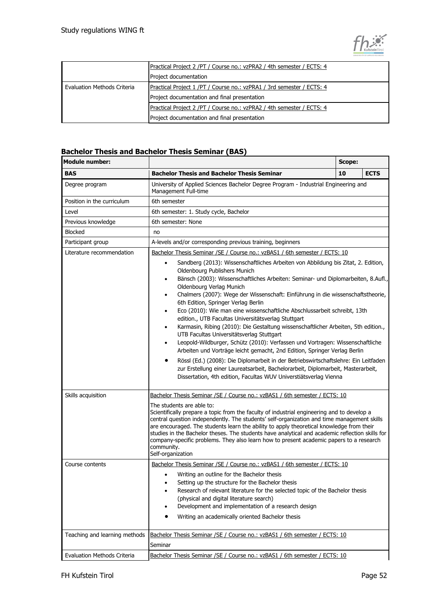

|                             | Practical Project 2 /PT / Course no.: vzPRA2 / 4th semester / ECTS: 4 |
|-----------------------------|-----------------------------------------------------------------------|
|                             | Project documentation                                                 |
| Evaluation Methods Criteria | Practical Project 1/PT / Course no.: vzPRA1 / 3rd semester / ECTS: 4  |
|                             | Project documentation and final presentation                          |
|                             | Practical Project 2 /PT / Course no.: vzPRA2 / 4th semester / ECTS: 4 |
|                             | Project documentation and final presentation                          |

### **Bachelor Thesis and Bachelor Thesis Seminar (BAS)**

| <b>Module number:</b>              |                                                                                                                                                                                                                                                                                                                                                                                                                                                                                                                                                                                                                                                                                                                                                                                                                                                                                                                                                                                                                                                                                                      | Scope: |             |
|------------------------------------|------------------------------------------------------------------------------------------------------------------------------------------------------------------------------------------------------------------------------------------------------------------------------------------------------------------------------------------------------------------------------------------------------------------------------------------------------------------------------------------------------------------------------------------------------------------------------------------------------------------------------------------------------------------------------------------------------------------------------------------------------------------------------------------------------------------------------------------------------------------------------------------------------------------------------------------------------------------------------------------------------------------------------------------------------------------------------------------------------|--------|-------------|
| <b>BAS</b>                         | <b>Bachelor Thesis and Bachelor Thesis Seminar</b>                                                                                                                                                                                                                                                                                                                                                                                                                                                                                                                                                                                                                                                                                                                                                                                                                                                                                                                                                                                                                                                   | 10     | <b>ECTS</b> |
| Degree program                     | University of Applied Sciences Bachelor Degree Program - Industrial Engineering and<br>Management Full-time                                                                                                                                                                                                                                                                                                                                                                                                                                                                                                                                                                                                                                                                                                                                                                                                                                                                                                                                                                                          |        |             |
| Position in the curriculum         | 6th semester                                                                                                                                                                                                                                                                                                                                                                                                                                                                                                                                                                                                                                                                                                                                                                                                                                                                                                                                                                                                                                                                                         |        |             |
| Level                              | 6th semester: 1. Study cycle, Bachelor                                                                                                                                                                                                                                                                                                                                                                                                                                                                                                                                                                                                                                                                                                                                                                                                                                                                                                                                                                                                                                                               |        |             |
| Previous knowledge                 | 6th semester: None                                                                                                                                                                                                                                                                                                                                                                                                                                                                                                                                                                                                                                                                                                                                                                                                                                                                                                                                                                                                                                                                                   |        |             |
| <b>Blocked</b>                     | no                                                                                                                                                                                                                                                                                                                                                                                                                                                                                                                                                                                                                                                                                                                                                                                                                                                                                                                                                                                                                                                                                                   |        |             |
| Participant group                  | A-levels and/or corresponding previous training, beginners                                                                                                                                                                                                                                                                                                                                                                                                                                                                                                                                                                                                                                                                                                                                                                                                                                                                                                                                                                                                                                           |        |             |
| Literature recommendation          | Bachelor Thesis Seminar / SE / Course no.: vzBAS1 / 6th semester / ECTS: 10                                                                                                                                                                                                                                                                                                                                                                                                                                                                                                                                                                                                                                                                                                                                                                                                                                                                                                                                                                                                                          |        |             |
|                                    | Sandberg (2013): Wissenschaftliches Arbeiten von Abbildung bis Zitat, 2. Edition,<br>$\bullet$<br>Oldenbourg Publishers Munich<br>Bänsch (2003): Wissenschaftliches Arbeiten: Seminar- und Diplomarbeiten, 8.Aufl.,<br>٠<br>Oldenbourg Verlag Munich<br>Chalmers (2007): Wege der Wissenschaft: Einführung in die wissenschaftstheorie,<br>٠<br>6th Edition, Springer Verlag Berlin<br>Eco (2010): Wie man eine wissenschaftliche Abschlussarbeit schreibt, 13th<br>٠<br>edition., UTB Facultas Universitätsverlag Stuttgart<br>Karmasin, Ribing (2010): Die Gestaltung wissenschaftlicher Arbeiten, 5th edition.,<br>$\bullet$<br>UTB Facultas Universitätsverlag Stuttgart<br>Leopold-Wildburger, Schütz (2010): Verfassen und Vortragen: Wissenschaftliche<br>٠<br>Arbeiten und Vorträge leicht gemacht, 2nd Edition, Springer Verlag Berlin<br>Rössl (Ed.) (2008): Die Diplomarbeit in der Betriebswirtschaftslehre: Ein Leitfaden<br>٠<br>zur Erstellung einer Laureatsarbeit, Bachelorarbeit, Diplomarbeit, Masterarbeit,<br>Dissertation, 4th edition, Facultas WUV Universtiätsverlag Vienna |        |             |
| Skills acquisition                 | Bachelor Thesis Seminar / SE / Course no.: vzBAS1 / 6th semester / ECTS: 10                                                                                                                                                                                                                                                                                                                                                                                                                                                                                                                                                                                                                                                                                                                                                                                                                                                                                                                                                                                                                          |        |             |
|                                    | The students are able to:<br>Scientifically prepare a topic from the faculty of industrial engineering and to develop a<br>central question independently. The students' self-organization and time management skills<br>are encouraged. The students learn the ability to apply theoretical knowledge from their<br>studies in the Bachelor theses. The students have analytical and academic reflection skills for<br>company-specific problems. They also learn how to present academic papers to a research<br>community.<br>Self-organization                                                                                                                                                                                                                                                                                                                                                                                                                                                                                                                                                   |        |             |
| Course contents                    | Bachelor Thesis Seminar / SE / Course no.: vzBAS1 / 6th semester / ECTS: 10                                                                                                                                                                                                                                                                                                                                                                                                                                                                                                                                                                                                                                                                                                                                                                                                                                                                                                                                                                                                                          |        |             |
|                                    | Writing an outline for the Bachelor thesis<br>$\bullet$<br>Setting up the structure for the Bachelor thesis<br>Research of relevant literature for the selected topic of the Bachelor thesis<br>(physical and digital literature search)<br>Development and implementation of a research design<br>Writing an academically oriented Bachelor thesis                                                                                                                                                                                                                                                                                                                                                                                                                                                                                                                                                                                                                                                                                                                                                  |        |             |
| Teaching and learning methods      | Bachelor Thesis Seminar / SE / Course no.: vzBAS1 / 6th semester / ECTS: 10<br>Seminar                                                                                                                                                                                                                                                                                                                                                                                                                                                                                                                                                                                                                                                                                                                                                                                                                                                                                                                                                                                                               |        |             |
| <b>Evaluation Methods Criteria</b> | Bachelor Thesis Seminar / SE / Course no.: vzBAS1 / 6th semester / ECTS: 10                                                                                                                                                                                                                                                                                                                                                                                                                                                                                                                                                                                                                                                                                                                                                                                                                                                                                                                                                                                                                          |        |             |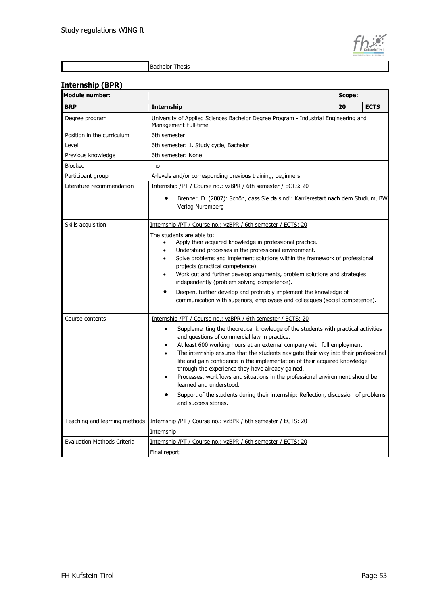

#### **Internship (BPR)**

| <b>Module number:</b>              |                                                                                                                                                                                                                                                                                                                                                                                                                                                                                                                                                                                                                                                                                                         | Scope: |             |
|------------------------------------|---------------------------------------------------------------------------------------------------------------------------------------------------------------------------------------------------------------------------------------------------------------------------------------------------------------------------------------------------------------------------------------------------------------------------------------------------------------------------------------------------------------------------------------------------------------------------------------------------------------------------------------------------------------------------------------------------------|--------|-------------|
| <b>BRP</b>                         | <b>Internship</b>                                                                                                                                                                                                                                                                                                                                                                                                                                                                                                                                                                                                                                                                                       | 20     | <b>ECTS</b> |
| Degree program                     | University of Applied Sciences Bachelor Degree Program - Industrial Engineering and<br>Management Full-time                                                                                                                                                                                                                                                                                                                                                                                                                                                                                                                                                                                             |        |             |
| Position in the curriculum         | 6th semester                                                                                                                                                                                                                                                                                                                                                                                                                                                                                                                                                                                                                                                                                            |        |             |
| Level                              | 6th semester: 1. Study cycle, Bachelor                                                                                                                                                                                                                                                                                                                                                                                                                                                                                                                                                                                                                                                                  |        |             |
| Previous knowledge                 | 6th semester: None                                                                                                                                                                                                                                                                                                                                                                                                                                                                                                                                                                                                                                                                                      |        |             |
| <b>Blocked</b>                     | no                                                                                                                                                                                                                                                                                                                                                                                                                                                                                                                                                                                                                                                                                                      |        |             |
| Participant group                  | A-levels and/or corresponding previous training, beginners                                                                                                                                                                                                                                                                                                                                                                                                                                                                                                                                                                                                                                              |        |             |
| Literature recommendation          | Internship /PT / Course no.: vzBPR / 6th semester / ECTS: 20                                                                                                                                                                                                                                                                                                                                                                                                                                                                                                                                                                                                                                            |        |             |
|                                    | Brenner, D. (2007): Schön, dass Sie da sind!: Karrierestart nach dem Studium, BW<br>Verlag Nuremberg                                                                                                                                                                                                                                                                                                                                                                                                                                                                                                                                                                                                    |        |             |
| Skills acquisition                 | Internship /PT / Course no.: vzBPR / 6th semester / ECTS: 20                                                                                                                                                                                                                                                                                                                                                                                                                                                                                                                                                                                                                                            |        |             |
|                                    | The students are able to:<br>Apply their acquired knowledge in professional practice.<br>Understand processes in the professional environment.<br>$\bullet$<br>Solve problems and implement solutions within the framework of professional<br>٠<br>projects (practical competence).<br>Work out and further develop arguments, problem solutions and strategies<br>independently (problem solving competence).<br>Deepen, further develop and profitably implement the knowledge of<br>communication with superiors, employees and colleagues (social competence).                                                                                                                                      |        |             |
| Course contents                    | Internship /PT / Course no.: vzBPR / 6th semester / ECTS: 20                                                                                                                                                                                                                                                                                                                                                                                                                                                                                                                                                                                                                                            |        |             |
|                                    | Supplementing the theoretical knowledge of the students with practical activities<br>$\bullet$<br>and questions of commercial law in practice.<br>At least 600 working hours at an external company with full employment.<br>$\bullet$<br>The internship ensures that the students navigate their way into their professional<br>$\bullet$<br>life and gain confidence in the implementation of their acquired knowledge<br>through the experience they have already gained.<br>Processes, workflows and situations in the professional environment should be<br>learned and understood.<br>Support of the students during their internship: Reflection, discussion of problems<br>and success stories. |        |             |
|                                    | Teaching and learning methods   Internship / PT / Course no.: vzBPR / 6th semester / ECTS: 20                                                                                                                                                                                                                                                                                                                                                                                                                                                                                                                                                                                                           |        |             |
|                                    | Internship                                                                                                                                                                                                                                                                                                                                                                                                                                                                                                                                                                                                                                                                                              |        |             |
| <b>Evaluation Methods Criteria</b> | Internship /PT / Course no.: vzBPR / 6th semester / ECTS: 20                                                                                                                                                                                                                                                                                                                                                                                                                                                                                                                                                                                                                                            |        |             |
|                                    | Final report                                                                                                                                                                                                                                                                                                                                                                                                                                                                                                                                                                                                                                                                                            |        |             |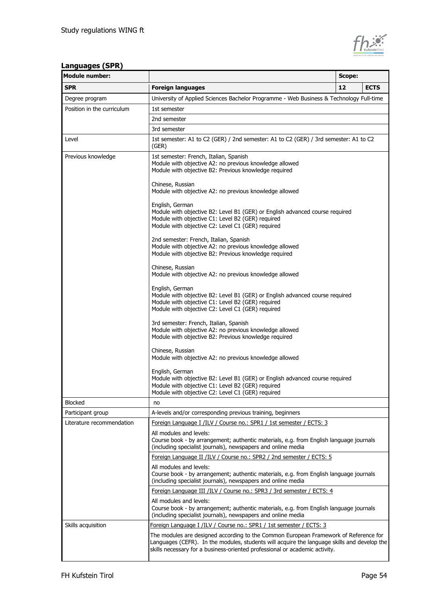

#### **Languages (SPR)**

| <b>Module number:</b>      |                                                                                                                                                                                                                                                                    | Scope: |             |  |
|----------------------------|--------------------------------------------------------------------------------------------------------------------------------------------------------------------------------------------------------------------------------------------------------------------|--------|-------------|--|
| <b>SPR</b>                 | <b>Foreign languages</b>                                                                                                                                                                                                                                           | 12     | <b>ECTS</b> |  |
| Degree program             | University of Applied Sciences Bachelor Programme - Web Business & Technology Full-time                                                                                                                                                                            |        |             |  |
| Position in the curriculum | 1st semester                                                                                                                                                                                                                                                       |        |             |  |
|                            | 2nd semester                                                                                                                                                                                                                                                       |        |             |  |
|                            | 3rd semester                                                                                                                                                                                                                                                       |        |             |  |
| Level                      | 1st semester: A1 to C2 (GER) / 2nd semester: A1 to C2 (GER) / 3rd semester: A1 to C2<br>(GER)                                                                                                                                                                      |        |             |  |
| Previous knowledge         | 1st semester: French, Italian, Spanish<br>Module with objective A2: no previous knowledge allowed<br>Module with objective B2: Previous knowledge required                                                                                                         |        |             |  |
|                            | Chinese, Russian<br>Module with objective A2: no previous knowledge allowed                                                                                                                                                                                        |        |             |  |
|                            | English, German<br>Module with objective B2: Level B1 (GER) or English advanced course required<br>Module with objective C1: Level B2 (GER) required<br>Module with objective C2: Level C1 (GER) required                                                          |        |             |  |
|                            | 2nd semester: French, Italian, Spanish<br>Module with objective A2: no previous knowledge allowed<br>Module with objective B2: Previous knowledge required                                                                                                         |        |             |  |
|                            | Chinese, Russian<br>Module with objective A2: no previous knowledge allowed                                                                                                                                                                                        |        |             |  |
|                            | English, German<br>Module with objective B2: Level B1 (GER) or English advanced course required<br>Module with objective C1: Level B2 (GER) required<br>Module with objective C2: Level C1 (GER) required                                                          |        |             |  |
|                            | 3rd semester: French, Italian, Spanish<br>Module with objective A2: no previous knowledge allowed<br>Module with objective B2: Previous knowledge required                                                                                                         |        |             |  |
|                            | Chinese, Russian<br>Module with objective A2: no previous knowledge allowed                                                                                                                                                                                        |        |             |  |
|                            | English, German<br>Module with objective B2: Level B1 (GER) or English advanced course required<br>Module with objective C1: Level B2 (GER) required<br>Module with objective C2: Level C1 (GER) required                                                          |        |             |  |
| <b>Blocked</b>             | no                                                                                                                                                                                                                                                                 |        |             |  |
| Participant group          | A-levels and/or corresponding previous training, beginners                                                                                                                                                                                                         |        |             |  |
| Literature recommendation  | Foreign Language I /ILV / Course no.: SPR1 / 1st semester / ECTS: 3                                                                                                                                                                                                |        |             |  |
|                            | All modules and levels:<br>Course book - by arrangement; authentic materials, e.g. from English language journals<br>(including specialist journals), newspapers and online media                                                                                  |        |             |  |
|                            | Foreign Language II /ILV / Course no.: SPR2 / 2nd semester / ECTS: 5                                                                                                                                                                                               |        |             |  |
|                            | All modules and levels:<br>Course book - by arrangement; authentic materials, e.g. from English language journals<br>(including specialist journals), newspapers and online media                                                                                  |        |             |  |
|                            | Foreign Language III /ILV / Course no.: SPR3 / 3rd semester / ECTS: 4                                                                                                                                                                                              |        |             |  |
|                            | All modules and levels:<br>Course book - by arrangement; authentic materials, e.g. from English language journals<br>(including specialist journals), newspapers and online media                                                                                  |        |             |  |
| Skills acquisition         | Foreign Language I /ILV / Course no.: SPR1 / 1st semester / ECTS: 3                                                                                                                                                                                                |        |             |  |
|                            | The modules are designed according to the Common European Framework of Reference for<br>Languages (CEFR). In the modules, students will acquire the language skills and develop the<br>skills necessary for a business-oriented professional or academic activity. |        |             |  |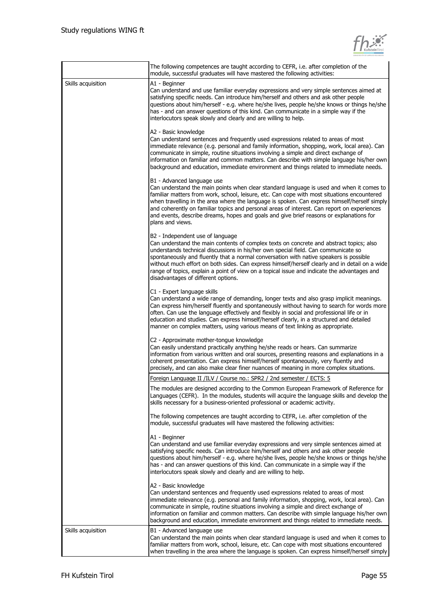| KufsteinTirol |
|---------------|

|                    | The following competences are taught according to CEFR, i.e. after completion of the<br>module, successful graduates will have mastered the following activities:                                                                                                                                                                                                                                                                                                                                                                                   |
|--------------------|-----------------------------------------------------------------------------------------------------------------------------------------------------------------------------------------------------------------------------------------------------------------------------------------------------------------------------------------------------------------------------------------------------------------------------------------------------------------------------------------------------------------------------------------------------|
| Skills acquisition | A1 - Beginner<br>Can understand and use familiar everyday expressions and very simple sentences aimed at<br>satisfying specific needs. Can introduce him/herself and others and ask other people<br>questions about him/herself - e.g. where he/she lives, people he/she knows or things he/she<br>has - and can answer questions of this kind. Can communicate in a simple way if the<br>interlocutors speak slowly and clearly and are willing to help.                                                                                           |
|                    | A2 - Basic knowledge<br>Can understand sentences and frequently used expressions related to areas of most<br>immediate relevance (e.g. personal and family information, shopping, work, local area). Can<br>communicate in simple, routine situations involving a simple and direct exchange of<br>information on familiar and common matters. Can describe with simple language his/her own<br>background and education, immediate environment and things related to immediate needs.                                                              |
|                    | B1 - Advanced language use<br>Can understand the main points when clear standard language is used and when it comes to<br>familiar matters from work, school, leisure, etc. Can cope with most situations encountered<br>when travelling in the area where the language is spoken. Can express himself/herself simply<br>and coherently on familiar topics and personal areas of interest. Can report on experiences<br>and events, describe dreams, hopes and goals and give brief reasons or explanations for<br>plans and views.                 |
|                    | B2 - Independent use of language<br>Can understand the main contents of complex texts on concrete and abstract topics; also<br>understands technical discussions in his/her own special field. Can communicate so<br>spontaneously and fluently that a normal conversation with native speakers is possible<br>without much effort on both sides. Can express himself/herself clearly and in detail on a wide<br>range of topics, explain a point of view on a topical issue and indicate the advantages and<br>disadvantages of different options. |
|                    | C1 - Expert language skills<br>Can understand a wide range of demanding, longer texts and also grasp implicit meanings.<br>Can express him/herself fluently and spontaneously without having to search for words more<br>often. Can use the language effectively and flexibly in social and professional life or in<br>education and studies. Can express himself/herself clearly, in a structured and detailed<br>manner on complex matters, using various means of text linking as appropriate.                                                   |
|                    | C2 - Approximate mother-tongue knowledge<br>Can easily understand practically anything he/she reads or hears. Can summarize<br>information from various written and oral sources, presenting reasons and explanations in a<br>coherent presentation. Can express himself/herself spontaneously, very fluently and<br>precisely, and can also make clear finer nuances of meaning in more complex situations.                                                                                                                                        |
|                    | Foreign Language II /ILV / Course no.: SPR2 / 2nd semester / ECTS: 5                                                                                                                                                                                                                                                                                                                                                                                                                                                                                |
|                    | The modules are designed according to the Common European Framework of Reference for<br>Languages (CEFR). In the modules, students will acquire the language skills and develop the<br>skills necessary for a business-oriented professional or academic activity.                                                                                                                                                                                                                                                                                  |
|                    | The following competences are taught according to CEFR, i.e. after completion of the<br>module, successful graduates will have mastered the following activities:                                                                                                                                                                                                                                                                                                                                                                                   |
|                    | A1 - Beginner<br>Can understand and use familiar everyday expressions and very simple sentences aimed at<br>satisfying specific needs. Can introduce him/herself and others and ask other people<br>questions about him/herself - e.g. where he/she lives, people he/she knows or things he/she<br>has - and can answer questions of this kind. Can communicate in a simple way if the<br>interlocutors speak slowly and clearly and are willing to help.                                                                                           |
|                    | A2 - Basic knowledge<br>Can understand sentences and frequently used expressions related to areas of most<br>immediate relevance (e.g. personal and family information, shopping, work, local area). Can<br>communicate in simple, routine situations involving a simple and direct exchange of<br>information on familiar and common matters. Can describe with simple language his/her own<br>background and education, immediate environment and things related to immediate needs.                                                              |
| Skills acquisition | B1 - Advanced language use<br>Can understand the main points when clear standard language is used and when it comes to<br>familiar matters from work, school, leisure, etc. Can cope with most situations encountered<br>when travelling in the area where the language is spoken. Can express himself/herself simply                                                                                                                                                                                                                               |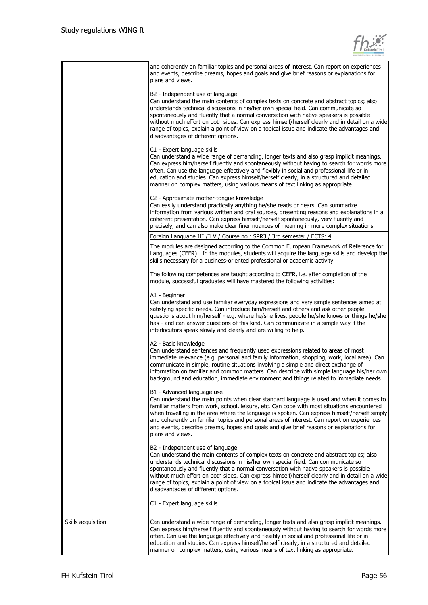

|                    | and coherently on familiar topics and personal areas of interest. Can report on experiences<br>and events, describe dreams, hopes and goals and give brief reasons or explanations for<br>plans and views.                                                                                                                                                                                                                                                                                                                                          |
|--------------------|-----------------------------------------------------------------------------------------------------------------------------------------------------------------------------------------------------------------------------------------------------------------------------------------------------------------------------------------------------------------------------------------------------------------------------------------------------------------------------------------------------------------------------------------------------|
|                    | B2 - Independent use of language<br>Can understand the main contents of complex texts on concrete and abstract topics; also<br>understands technical discussions in his/her own special field. Can communicate so<br>spontaneously and fluently that a normal conversation with native speakers is possible<br>without much effort on both sides. Can express himself/herself clearly and in detail on a wide<br>range of topics, explain a point of view on a topical issue and indicate the advantages and<br>disadvantages of different options. |
|                    | C1 - Expert language skills<br>Can understand a wide range of demanding, longer texts and also grasp implicit meanings.<br>Can express him/herself fluently and spontaneously without having to search for words more<br>often. Can use the language effectively and flexibly in social and professional life or in<br>education and studies. Can express himself/herself clearly, in a structured and detailed<br>manner on complex matters, using various means of text linking as appropriate.                                                   |
|                    | C2 - Approximate mother-tongue knowledge<br>Can easily understand practically anything he/she reads or hears. Can summarize<br>information from various written and oral sources, presenting reasons and explanations in a<br>coherent presentation. Can express himself/herself spontaneously, very fluently and<br>precisely, and can also make clear finer nuances of meaning in more complex situations.                                                                                                                                        |
|                    | Foreign Language III /ILV / Course no.: SPR3 / 3rd semester / ECTS: 4                                                                                                                                                                                                                                                                                                                                                                                                                                                                               |
|                    | The modules are designed according to the Common European Framework of Reference for<br>Languages (CEFR). In the modules, students will acquire the language skills and develop the<br>skills necessary for a business-oriented professional or academic activity.                                                                                                                                                                                                                                                                                  |
|                    | The following competences are taught according to CEFR, i.e. after completion of the<br>module, successful graduates will have mastered the following activities:                                                                                                                                                                                                                                                                                                                                                                                   |
|                    | A1 - Beginner<br>Can understand and use familiar everyday expressions and very simple sentences aimed at<br>satisfying specific needs. Can introduce him/herself and others and ask other people<br>questions about him/herself - e.g. where he/she lives, people he/she knows or things he/she<br>has - and can answer questions of this kind. Can communicate in a simple way if the<br>interlocutors speak slowly and clearly and are willing to help.                                                                                           |
|                    | A2 - Basic knowledge<br>Can understand sentences and frequently used expressions related to areas of most<br>immediate relevance (e.g. personal and family information, shopping, work, local area). Can<br>communicate in simple, routine situations involving a simple and direct exchange of<br>information on familiar and common matters. Can describe with simple language his/her own<br>background and education, immediate environment and things related to immediate needs.                                                              |
|                    | B1 - Advanced language use<br>Can understand the main points when clear standard language is used and when it comes to<br>familiar matters from work, school, leisure, etc. Can cope with most situations encountered<br>when travelling in the area where the language is spoken. Can express himself/herself simply<br>and coherently on familiar topics and personal areas of interest. Can report on experiences<br>and events, describe dreams, hopes and goals and give brief reasons or explanations for<br>plans and views.                 |
|                    | B2 - Independent use of language<br>Can understand the main contents of complex texts on concrete and abstract topics; also<br>understands technical discussions in his/her own special field. Can communicate so<br>spontaneously and fluently that a normal conversation with native speakers is possible<br>without much effort on both sides. Can express himself/herself clearly and in detail on a wide<br>range of topics, explain a point of view on a topical issue and indicate the advantages and<br>disadvantages of different options. |
|                    | C1 - Expert language skills                                                                                                                                                                                                                                                                                                                                                                                                                                                                                                                         |
| Skills acquisition | Can understand a wide range of demanding, longer texts and also grasp implicit meanings.<br>Can express him/herself fluently and spontaneously without having to search for words more<br>often. Can use the language effectively and flexibly in social and professional life or in<br>education and studies. Can express himself/herself clearly, in a structured and detailed<br>manner on complex matters, using various means of text linking as appropriate.                                                                                  |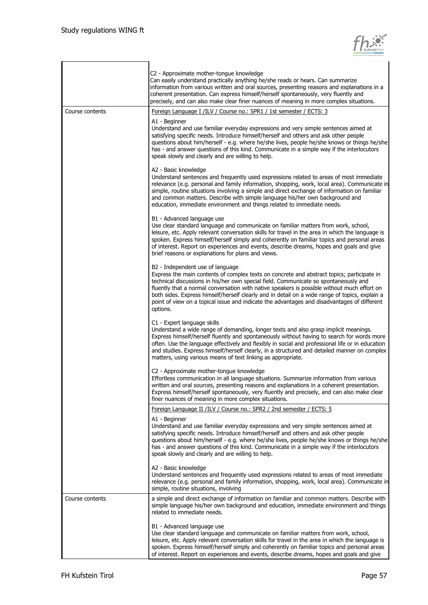

|                 | C2 - Approximate mother-tongue knowledge<br>Can easily understand practically anything he/she reads or hears. Can summarize<br>information from various written and oral sources, presenting reasons and explanations in a<br>coherent presentation. Can express himself/herself spontaneously, very fluently and<br>precisely, and can also make clear finer nuances of meaning in more complex situations.                                                                                                                       |
|-----------------|------------------------------------------------------------------------------------------------------------------------------------------------------------------------------------------------------------------------------------------------------------------------------------------------------------------------------------------------------------------------------------------------------------------------------------------------------------------------------------------------------------------------------------|
| Course contents | Foreign Language I /ILV / Course no.: SPR1 / 1st semester / ECTS: 3                                                                                                                                                                                                                                                                                                                                                                                                                                                                |
|                 | A1 - Beginner<br>Understand and use familiar everyday expressions and very simple sentences aimed at<br>satisfying specific needs. Introduce himself/herself and others and ask other people<br>questions about him/herself - e.g. where he/she lives, people he/she knows or things he/she<br>has - and answer questions of this kind. Communicate in a simple way if the interlocutors<br>speak slowly and clearly and are willing to help.                                                                                      |
|                 | A2 - Basic knowledge<br>Understand sentences and frequently used expressions related to areas of most immediate<br>relevance (e.g. personal and family information, shopping, work, local area). Communicate in<br>simple, routine situations involving a simple and direct exchange of information on familiar<br>and common matters. Describe with simple language his/her own background and<br>education, immediate environment and things related to immediate needs.                                                         |
|                 | B1 - Advanced language use<br>Use clear standard language and communicate on familiar matters from work, school,<br>leisure, etc. Apply relevant conversation skills for travel in the area in which the language is<br>spoken. Express himself/herself simply and coherently on familiar topics and personal areas<br>of interest. Report on experiences and events, describe dreams, hopes and goals and give<br>brief reasons or explanations for plans and views.                                                              |
|                 | B2 - Independent use of language<br>Express the main contents of complex texts on concrete and abstract topics; participate in<br>technical discussions in his/her own special field. Communicate so spontaneously and<br>fluently that a normal conversation with native speakers is possible without much effort on<br>both sides. Express himself/herself clearly and in detail on a wide range of topics, explain a<br>point of view on a topical issue and indicate the advantages and disadvantages of different<br>options. |
|                 | C1 - Expert language skills<br>Understand a wide range of demanding, longer texts and also grasp implicit meanings.<br>Express himself/herself fluently and spontaneously without having to search for words more<br>often. Use the language effectively and flexibly in social and professional life or in education<br>and studies. Express himself/herself clearly, in a structured and detailed manner on complex<br>matters, using various means of text linking as appropriate.                                              |
|                 | C2 - Approximate mother-tongue knowledge<br>Effortless communication in all language situations. Summarize information from various<br>written and oral sources, presenting reasons and explanations in a coherent presentation.<br>Express himself/herself spontaneously, very fluently and precisely, and can also make clear<br>finer nuances of meaning in more complex situations.                                                                                                                                            |
|                 | Foreign Language II /ILV / Course no.: SPR2 / 2nd semester / ECTS: 5<br>A1 - Beginner<br>Understand and use familiar everyday expressions and very simple sentences aimed at<br>satisfying specific needs. Introduce himself/herself and others and ask other people<br>questions about him/herself - e.g. where he/she lives, people he/she knows or things he/she<br>has - and answer questions of this kind. Communicate in a simple way if the interlocutors<br>speak slowly and clearly and are willing to help.              |
|                 | A2 - Basic knowledge<br>Understand sentences and frequently used expressions related to areas of most immediate<br>relevance (e.g. personal and family information, shopping, work, local area). Communicate in<br>simple, routine situations, involving                                                                                                                                                                                                                                                                           |
| Course contents | a simple and direct exchange of information on familiar and common matters. Describe with<br>simple language his/her own background and education, immediate environment and things<br>related to immediate needs.                                                                                                                                                                                                                                                                                                                 |
|                 | B1 - Advanced language use<br>Use clear standard language and communicate on familiar matters from work, school,<br>leisure, etc. Apply relevant conversation skills for travel in the area in which the language is<br>spoken. Express himself/herself simply and coherently on familiar topics and personal areas<br>of interest. Report on experiences and events, describe dreams, hopes and goals and give                                                                                                                    |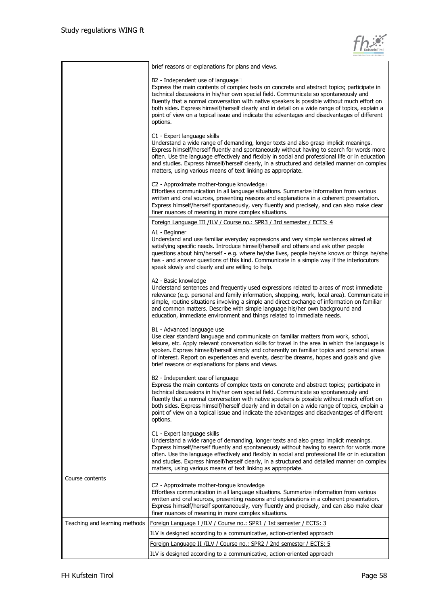

|                               | brief reasons or explanations for plans and views.                                                                                                                                                                                                                                                                                                                                                                                                                                                                                             |
|-------------------------------|------------------------------------------------------------------------------------------------------------------------------------------------------------------------------------------------------------------------------------------------------------------------------------------------------------------------------------------------------------------------------------------------------------------------------------------------------------------------------------------------------------------------------------------------|
|                               | B2 - Independent use of language□<br>Express the main contents of complex texts on concrete and abstract topics; participate in<br>technical discussions in his/her own special field. Communicate so spontaneously and<br>fluently that a normal conversation with native speakers is possible without much effort on<br>both sides. Express himself/herself clearly and in detail on a wide range of topics, explain a<br>point of view on a topical issue and indicate the advantages and disadvantages of different<br>options.            |
|                               | C1 - Expert language skills<br>Understand a wide range of demanding, longer texts and also grasp implicit meanings.<br>Express himself/herself fluently and spontaneously without having to search for words more<br>often. Use the language effectively and flexibly in social and professional life or in education<br>and studies. Express himself/herself clearly, in a structured and detailed manner on complex<br>matters, using various means of text linking as appropriate.                                                          |
|                               | C2 - Approximate mother-tongue knowledge<br>Effortless communication in all language situations. Summarize information from various<br>written and oral sources, presenting reasons and explanations in a coherent presentation.<br>Express himself/herself spontaneously, very fluently and precisely, and can also make clear<br>finer nuances of meaning in more complex situations.                                                                                                                                                        |
|                               | Foreign Language III /ILV / Course no.: SPR3 / 3rd semester / ECTS: 4                                                                                                                                                                                                                                                                                                                                                                                                                                                                          |
|                               | A1 - Beginner<br>Understand and use familiar everyday expressions and very simple sentences aimed at<br>satisfying specific needs. Introduce himself/herself and others and ask other people<br>questions about him/herself - e.g. where he/she lives, people he/she knows or things he/she<br>has - and answer questions of this kind. Communicate in a simple way if the interlocutors<br>speak slowly and clearly and are willing to help.                                                                                                  |
|                               | A2 - Basic knowledge<br>Understand sentences and frequently used expressions related to areas of most immediate<br>relevance (e.g. personal and family information, shopping, work, local area). Communicate in<br>simple, routine situations involving a simple and direct exchange of information on familiar<br>and common matters. Describe with simple language his/her own background and<br>education, immediate environment and things related to immediate needs.                                                                     |
|                               | B1 - Advanced language use<br>Use clear standard language and communicate on familiar matters from work, school,<br>leisure, etc. Apply relevant conversation skills for travel in the area in which the language is<br>spoken. Express himself/herself simply and coherently on familiar topics and personal areas<br>of interest. Report on experiences and events, describe dreams, hopes and goals and give<br>brief reasons or explanations for plans and views.                                                                          |
|                               | B <sub>2</sub> - Independent use of language<br>Express the main contents of complex texts on concrete and abstract topics; participate in<br>technical discussions in his/her own special field. Communicate so spontaneously and<br>fluently that a normal conversation with native speakers is possible without much effort on<br>both sides. Express himself/herself clearly and in detail on a wide range of topics, explain a<br>point of view on a topical issue and indicate the advantages and disadvantages of different<br>options. |
|                               | C1 - Expert language skills<br>Understand a wide range of demanding, longer texts and also grasp implicit meanings.<br>Express himself/herself fluently and spontaneously without having to search for words more<br>often. Use the language effectively and flexibly in social and professional life or in education<br>and studies. Express himself/herself clearly, in a structured and detailed manner on complex<br>matters, using various means of text linking as appropriate.                                                          |
| Course contents               | C2 - Approximate mother-tongue knowledge<br>Effortless communication in all language situations. Summarize information from various<br>written and oral sources, presenting reasons and explanations in a coherent presentation.<br>Express himself/herself spontaneously, very fluently and precisely, and can also make clear<br>finer nuances of meaning in more complex situations.                                                                                                                                                        |
| Teaching and learning methods | <u>Foreign Language I /ILV / Course no.: SPR1 / 1st semester / ECTS: 3</u>                                                                                                                                                                                                                                                                                                                                                                                                                                                                     |
|                               | ILV is designed according to a communicative, action-oriented approach                                                                                                                                                                                                                                                                                                                                                                                                                                                                         |
|                               | Foreign Language II /ILV / Course no.: SPR2 / 2nd semester / ECTS: 5                                                                                                                                                                                                                                                                                                                                                                                                                                                                           |
|                               | ILV is designed according to a communicative, action-oriented approach                                                                                                                                                                                                                                                                                                                                                                                                                                                                         |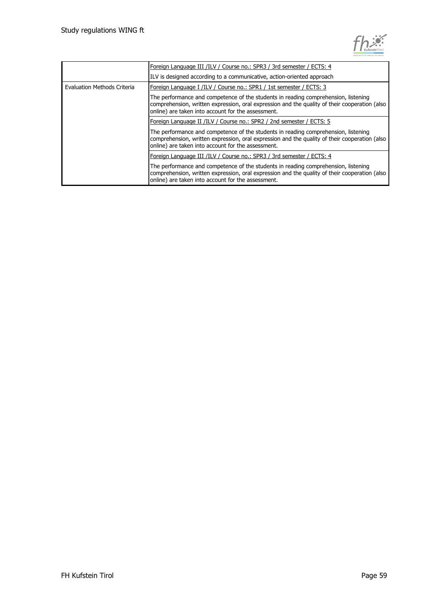

|                             | Foreign Language III /ILV / Course no.: SPR3 / 3rd semester / ECTS: 4                                                                                                                                                                     |
|-----------------------------|-------------------------------------------------------------------------------------------------------------------------------------------------------------------------------------------------------------------------------------------|
|                             | ILV is designed according to a communicative, action-oriented approach                                                                                                                                                                    |
| Evaluation Methods Criteria | Foreign Language I /ILV / Course no.: SPR1 / 1st semester / ECTS: 3                                                                                                                                                                       |
|                             | The performance and competence of the students in reading comprehension, listening<br>comprehension, written expression, oral expression and the quality of their cooperation (also<br>online) are taken into account for the assessment. |
|                             | Foreign Language II /ILV / Course no.: SPR2 / 2nd semester / ECTS: 5                                                                                                                                                                      |
|                             | The performance and competence of the students in reading comprehension, listening<br>comprehension, written expression, oral expression and the quality of their cooperation (also<br>online) are taken into account for the assessment. |
|                             | Foreign Language III /ILV / Course no.: SPR3 / 3rd semester / ECTS: 4                                                                                                                                                                     |
|                             | The performance and competence of the students in reading comprehension, listening<br>comprehension, written expression, oral expression and the quality of their cooperation (also<br>online) are taken into account for the assessment. |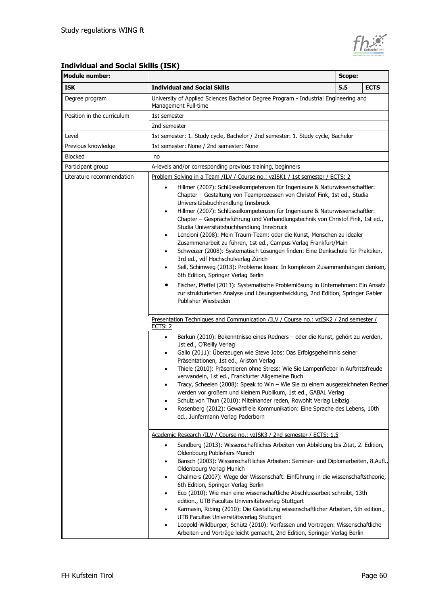

### **Individual and Social Skills (ISK)**

| <b>Module number:</b>                                                                                                                                                                                                                                                                                   | Scope:                                                                                                                                                                                                                                                                                                                                                                                                                                                                                                                                                                                                                                                                                                                                                                                                                                                                                                                                                                                                                                                                                                                                                                                                                                                                                                                              |     |             |
|---------------------------------------------------------------------------------------------------------------------------------------------------------------------------------------------------------------------------------------------------------------------------------------------------------|-------------------------------------------------------------------------------------------------------------------------------------------------------------------------------------------------------------------------------------------------------------------------------------------------------------------------------------------------------------------------------------------------------------------------------------------------------------------------------------------------------------------------------------------------------------------------------------------------------------------------------------------------------------------------------------------------------------------------------------------------------------------------------------------------------------------------------------------------------------------------------------------------------------------------------------------------------------------------------------------------------------------------------------------------------------------------------------------------------------------------------------------------------------------------------------------------------------------------------------------------------------------------------------------------------------------------------------|-----|-------------|
| <b>ISK</b>                                                                                                                                                                                                                                                                                              | <b>Individual and Social Skills</b>                                                                                                                                                                                                                                                                                                                                                                                                                                                                                                                                                                                                                                                                                                                                                                                                                                                                                                                                                                                                                                                                                                                                                                                                                                                                                                 | 5.5 | <b>ECTS</b> |
| Degree program                                                                                                                                                                                                                                                                                          | University of Applied Sciences Bachelor Degree Program - Industrial Engineering and<br>Management Full-time                                                                                                                                                                                                                                                                                                                                                                                                                                                                                                                                                                                                                                                                                                                                                                                                                                                                                                                                                                                                                                                                                                                                                                                                                         |     |             |
| Position in the curriculum                                                                                                                                                                                                                                                                              | 1st semester                                                                                                                                                                                                                                                                                                                                                                                                                                                                                                                                                                                                                                                                                                                                                                                                                                                                                                                                                                                                                                                                                                                                                                                                                                                                                                                        |     |             |
|                                                                                                                                                                                                                                                                                                         | 2nd semester                                                                                                                                                                                                                                                                                                                                                                                                                                                                                                                                                                                                                                                                                                                                                                                                                                                                                                                                                                                                                                                                                                                                                                                                                                                                                                                        |     |             |
| Level                                                                                                                                                                                                                                                                                                   | 1st semester: 1. Study cycle, Bachelor / 2nd semester: 1. Study cycle, Bachelor                                                                                                                                                                                                                                                                                                                                                                                                                                                                                                                                                                                                                                                                                                                                                                                                                                                                                                                                                                                                                                                                                                                                                                                                                                                     |     |             |
| Previous knowledge                                                                                                                                                                                                                                                                                      | 1st semester: None / 2nd semester: None                                                                                                                                                                                                                                                                                                                                                                                                                                                                                                                                                                                                                                                                                                                                                                                                                                                                                                                                                                                                                                                                                                                                                                                                                                                                                             |     |             |
| <b>Blocked</b>                                                                                                                                                                                                                                                                                          | no                                                                                                                                                                                                                                                                                                                                                                                                                                                                                                                                                                                                                                                                                                                                                                                                                                                                                                                                                                                                                                                                                                                                                                                                                                                                                                                                  |     |             |
| Participant group                                                                                                                                                                                                                                                                                       | A-levels and/or corresponding previous training, beginners                                                                                                                                                                                                                                                                                                                                                                                                                                                                                                                                                                                                                                                                                                                                                                                                                                                                                                                                                                                                                                                                                                                                                                                                                                                                          |     |             |
| Literature recommendation                                                                                                                                                                                                                                                                               | Problem Solving in a Team /ILV / Course no.: vzISK1 / 1st semester / ECTS: 2<br>Hillmer (2007): Schlüsselkompetenzen für Ingenieure & Naturwissenschaftler:<br>Chapter - Gestaltung von Teamprozessen von Christof Fink, 1st ed., Studia<br>Universitätsbuchhandlung Innsbruck<br>Hillmer (2007): Schlüsselkompetenzen für Ingenieure & Naturwissenschaftler:<br>٠<br>Chapter - Gesprächsführung und Verhandlungstechnik von Christof Fink, 1st ed.,<br>Studia Universitätsbuchhandlung Innsbruck<br>Lencioni (2008): Mein Traum-Team: oder die Kunst, Menschen zu idealer<br>٠<br>Zusammenarbeit zu führen, 1st ed., Campus Verlag Frankfurt/Main<br>Schweizer (2008): Systematisch Lösungen finden: Eine Denkschule für Praktiker,<br>٠<br>3rd ed., vdf Hochschulverlag Zürich<br>Sell, Schimweg (2013): Probleme lösen: In komplexen Zusammenhängen denken,<br>٠<br>6th Edition, Springer Verlag Berlin<br>Fischer, Pfeffel (2013): Systematische Problemlösung in Unternehmen: Ein Ansatz<br>zur strukturierten Analyse und Lösungsentwicklung, 2nd Edition, Springer Gabler<br>Publisher Wiesbaden<br>Presentation Techniques and Communication /ILV / Course no.: vzISK2 / 2nd semester /<br><u>ECTS: 2</u><br>Berkun (2010): Bekenntnisse eines Redners - oder die Kunst, gehört zu werden,<br>٠<br>1st ed., O'Reilly Verlag |     |             |
|                                                                                                                                                                                                                                                                                                         | Gallo (2011): Überzeugen wie Steve Jobs: Das Erfolgsgeheimnis seiner<br>$\bullet$<br>Präsentationen, 1st ed., Ariston Verlag<br>Thiele (2010): Präsentieren ohne Stress: Wie Sie Lampenfieber in Auftrittsfreude<br>٠<br>verwandeln, 1st ed., Frankfurter Allgemeine Buch<br>Tracy, Scheelen (2008): Speak to Win - Wie Sie zu einem ausgezeichneten Redner<br>werden vor großem und kleinem Publikum, 1st ed., GABAL Verlag<br>Schulz von Thun (2010): Miteinander reden, Rowohlt Verlag Leibzig<br>Rosenberg (2012): Gewaltfreie Kommunikation: Eine Sprache des Lebens, 10th<br>ed., Junfermann Verlag Paderborn                                                                                                                                                                                                                                                                                                                                                                                                                                                                                                                                                                                                                                                                                                                 |     |             |
|                                                                                                                                                                                                                                                                                                         | Academic Research /ILV / Course no.: vzISK3 / 2nd semester / ECTS: 1.5                                                                                                                                                                                                                                                                                                                                                                                                                                                                                                                                                                                                                                                                                                                                                                                                                                                                                                                                                                                                                                                                                                                                                                                                                                                              |     |             |
|                                                                                                                                                                                                                                                                                                         | Sandberg (2013): Wissenschaftliches Arbeiten von Abbildung bis Zitat, 2. Edition,<br>٠<br>Oldenbourg Publishers Munich<br>Bänsch (2003): Wissenschaftliches Arbeiten: Seminar- und Diplomarbeiten, 8.Aufl.,<br>٠<br>Oldenbourg Verlag Munich<br>Chalmers (2007): Wege der Wissenschaft: Einführung in die wissenschaftstheorie,<br>٠<br>6th Edition, Springer Verlag Berlin<br>Eco (2010): Wie man eine wissenschaftliche Abschlussarbeit schreibt, 13th<br>٠<br>edition., UTB Facultas Universitätsverlag Stuttgart                                                                                                                                                                                                                                                                                                                                                                                                                                                                                                                                                                                                                                                                                                                                                                                                                |     |             |
| Karmasin, Ribing (2010): Die Gestaltung wissenschaftlicher Arbeiten, 5th edition.,<br>٠<br>UTB Facultas Universitätsverlag Stuttgart<br>Leopold-Wildburger, Schütz (2010): Verfassen und Vortragen: Wissenschaftliche<br>٠<br>Arbeiten und Vorträge leicht gemacht, 2nd Edition, Springer Verlag Berlin |                                                                                                                                                                                                                                                                                                                                                                                                                                                                                                                                                                                                                                                                                                                                                                                                                                                                                                                                                                                                                                                                                                                                                                                                                                                                                                                                     |     |             |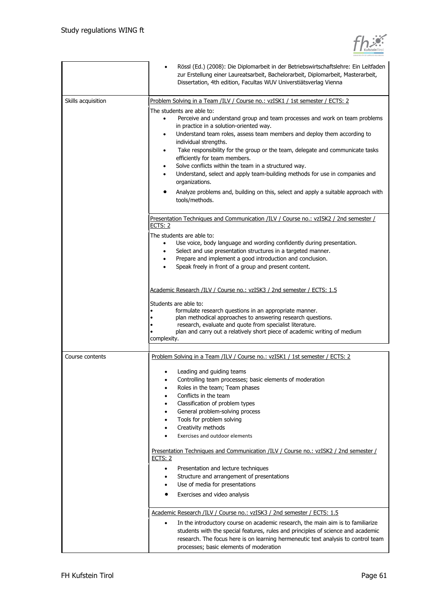

|                    | Rössl (Ed.) (2008): Die Diplomarbeit in der Betriebswirtschaftslehre: Ein Leitfaden<br>$\bullet$<br>zur Erstellung einer Laureatsarbeit, Bachelorarbeit, Diplomarbeit, Masterarbeit,<br>Dissertation, 4th edition, Facultas WUV Universtiätsverlag Vienna                                                                                                                                                                                                                                                                                                                                                                                                            |
|--------------------|----------------------------------------------------------------------------------------------------------------------------------------------------------------------------------------------------------------------------------------------------------------------------------------------------------------------------------------------------------------------------------------------------------------------------------------------------------------------------------------------------------------------------------------------------------------------------------------------------------------------------------------------------------------------|
| Skills acquisition | Problem Solving in a Team /ILV / Course no.: vzISK1 / 1st semester / ECTS: 2                                                                                                                                                                                                                                                                                                                                                                                                                                                                                                                                                                                         |
|                    | The students are able to:<br>Perceive and understand group and team processes and work on team problems<br>$\bullet$<br>in practice in a solution-oriented way.<br>Understand team roles, assess team members and deploy them according to<br>٠<br>individual strengths.<br>Take responsibility for the group or the team, delegate and communicate tasks<br>٠<br>efficiently for team members.<br>Solve conflicts within the team in a structured way.<br>٠<br>Understand, select and apply team-building methods for use in companies and<br>organizations.<br>Analyze problems and, building on this, select and apply a suitable approach with<br>tools/methods. |
|                    | Presentation Techniques and Communication /ILV / Course no.: vzISK2 / 2nd semester /                                                                                                                                                                                                                                                                                                                                                                                                                                                                                                                                                                                 |
|                    | <b>ECTS: 2</b>                                                                                                                                                                                                                                                                                                                                                                                                                                                                                                                                                                                                                                                       |
|                    | The students are able to:<br>Use voice, body language and wording confidently during presentation.<br>Select and use presentation structures in a targeted manner.<br>Prepare and implement a good introduction and conclusion.<br>Speak freely in front of a group and present content.                                                                                                                                                                                                                                                                                                                                                                             |
|                    | Academic Research /ILV / Course no.: vzISK3 / 2nd semester / ECTS: 1.5                                                                                                                                                                                                                                                                                                                                                                                                                                                                                                                                                                                               |
|                    | Students are able to:<br>formulate research questions in an appropriate manner.<br>plan methodical approaches to answering research questions.<br>research, evaluate and quote from specialist literature.<br>plan and carry out a relatively short piece of academic writing of medium<br>complexity.                                                                                                                                                                                                                                                                                                                                                               |
| Course contents    | Problem Solving in a Team /ILV / Course no.: vzISK1 / 1st semester / ECTS: 2                                                                                                                                                                                                                                                                                                                                                                                                                                                                                                                                                                                         |
|                    | Leading and guiding teams<br>Controlling team processes; basic elements of moderation<br>Roles in the team; Team phases<br>٠<br>Conflicts in the team<br>٠<br>Classification of problem types<br>٠<br>General problem-solving process<br>٠<br>Tools for problem solving<br>٠<br>Creativity methods<br>٠<br>Exercises and outdoor elements<br>Presentation Techniques and Communication /ILV / Course no.: vzISK2 / 2nd semester /<br><b>ECTS: 2</b><br>Presentation and lecture techniques<br>$\bullet$<br>Structure and arrangement of presentations<br>٠<br>Use of media for presentations<br>٠<br>Exercises and video analysis<br>$\bullet$                       |
|                    | Academic Research /ILV / Course no.: vzISK3 / 2nd semester / ECTS: 1.5                                                                                                                                                                                                                                                                                                                                                                                                                                                                                                                                                                                               |
|                    | In the introductory course on academic research, the main aim is to familiarize<br>$\bullet$<br>students with the special features, rules and principles of science and academic<br>research. The focus here is on learning hermeneutic text analysis to control team<br>processes; basic elements of moderation                                                                                                                                                                                                                                                                                                                                                     |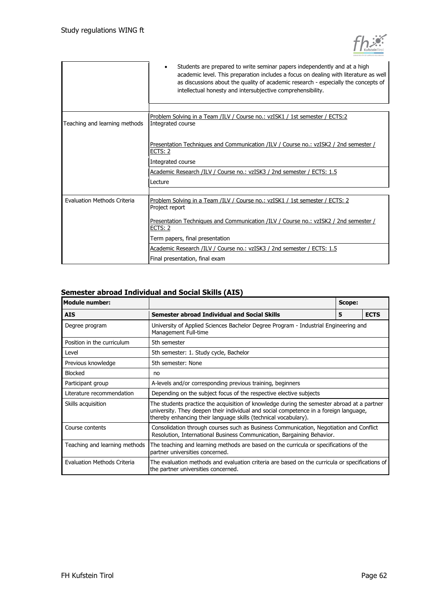

|                               | Students are prepared to write seminar papers independently and at a high<br>academic level. This preparation includes a focus on dealing with literature as well<br>as discussions about the quality of academic research - especially the concepts of<br>intellectual honesty and intersubjective comprehensibility. |  |  |
|-------------------------------|------------------------------------------------------------------------------------------------------------------------------------------------------------------------------------------------------------------------------------------------------------------------------------------------------------------------|--|--|
|                               |                                                                                                                                                                                                                                                                                                                        |  |  |
| Teaching and learning methods | Problem Solving in a Team /ILV / Course no.: vzISK1 / 1st semester / ECTS:2<br>Integrated course                                                                                                                                                                                                                       |  |  |
|                               | Presentation Techniques and Communication /ILV / Course no.: vzISK2 / 2nd semester /<br>ECTS: 2                                                                                                                                                                                                                        |  |  |
|                               | Integrated course                                                                                                                                                                                                                                                                                                      |  |  |
|                               | Academic Research /ILV / Course no.: vzISK3 / 2nd semester / ECTS: 1.5                                                                                                                                                                                                                                                 |  |  |
|                               | Lecture                                                                                                                                                                                                                                                                                                                |  |  |
|                               |                                                                                                                                                                                                                                                                                                                        |  |  |
| Evaluation Methods Criteria   | Problem Solving in a Team /ILV / Course no.: vzISK1 / 1st semester / ECTS: 2<br>Project report                                                                                                                                                                                                                         |  |  |
|                               | Presentation Techniques and Communication /ILV / Course no.: vzISK2 / 2nd semester /<br>ECTS: 2                                                                                                                                                                                                                        |  |  |
|                               | Term papers, final presentation                                                                                                                                                                                                                                                                                        |  |  |
|                               | Academic Research /ILV / Course no.: vzISK3 / 2nd semester / ECTS: 1.5                                                                                                                                                                                                                                                 |  |  |
|                               | Final presentation, final exam                                                                                                                                                                                                                                                                                         |  |  |

#### **Semester abroad Individual and Social Skills (AIS)**

| <b>Module number:</b>              | Scope:                                                                                                                                                                                                                                                 |   |             |
|------------------------------------|--------------------------------------------------------------------------------------------------------------------------------------------------------------------------------------------------------------------------------------------------------|---|-------------|
| <b>AIS</b>                         | <b>Semester abroad Individual and Social Skills</b>                                                                                                                                                                                                    | 5 | <b>ECTS</b> |
| Degree program                     | University of Applied Sciences Bachelor Degree Program - Industrial Engineering and<br>Management Full-time                                                                                                                                            |   |             |
| Position in the curriculum         | 5th semester                                                                                                                                                                                                                                           |   |             |
| Level                              | 5th semester: 1. Study cycle, Bachelor                                                                                                                                                                                                                 |   |             |
| Previous knowledge                 | 5th semester: None                                                                                                                                                                                                                                     |   |             |
| Blocked                            | no                                                                                                                                                                                                                                                     |   |             |
| Participant group                  | A-levels and/or corresponding previous training, beginners                                                                                                                                                                                             |   |             |
| Literature recommendation          | Depending on the subject focus of the respective elective subjects                                                                                                                                                                                     |   |             |
| Skills acquisition                 | The students practice the acquisition of knowledge during the semester abroad at a partner<br>university. They deepen their individual and social competence in a foreign language,<br>thereby enhancing their language skills (technical vocabulary). |   |             |
| Course contents                    | Consolidation through courses such as Business Communication, Negotiation and Conflict<br>Resolution, International Business Communication, Bargaining Behavior.                                                                                       |   |             |
| Teaching and learning methods      | The teaching and learning methods are based on the curricula or specifications of the<br>partner universities concerned.                                                                                                                               |   |             |
| <b>Evaluation Methods Criteria</b> | The evaluation methods and evaluation criteria are based on the curricula or specifications of<br>the partner universities concerned.                                                                                                                  |   |             |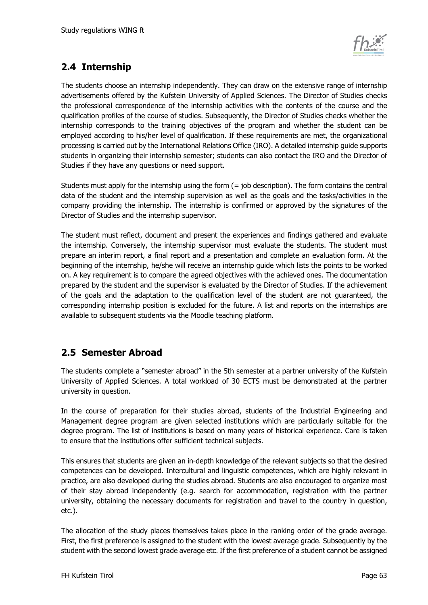

## <span id="page-62-0"></span>**2.4 Internship**

The students choose an internship independently. They can draw on the extensive range of internship advertisements offered by the Kufstein University of Applied Sciences. The Director of Studies checks the professional correspondence of the internship activities with the contents of the course and the qualification profiles of the course of studies. Subsequently, the Director of Studies checks whether the internship corresponds to the training objectives of the program and whether the student can be employed according to his/her level of qualification. If these requirements are met, the organizational processing is carried out by the International Relations Office (IRO). A detailed internship guide supports students in organizing their internship semester; students can also contact the IRO and the Director of Studies if they have any questions or need support.

Students must apply for the internship using the form  $(=$  job description). The form contains the central data of the student and the internship supervision as well as the goals and the tasks/activities in the company providing the internship. The internship is confirmed or approved by the signatures of the Director of Studies and the internship supervisor.

The student must reflect, document and present the experiences and findings gathered and evaluate the internship. Conversely, the internship supervisor must evaluate the students. The student must prepare an interim report, a final report and a presentation and complete an evaluation form. At the beginning of the internship, he/she will receive an internship guide which lists the points to be worked on. A key requirement is to compare the agreed objectives with the achieved ones. The documentation prepared by the student and the supervisor is evaluated by the Director of Studies. If the achievement of the goals and the adaptation to the qualification level of the student are not guaranteed, the corresponding internship position is excluded for the future. A list and reports on the internships are available to subsequent students via the Moodle teaching platform.

## <span id="page-62-1"></span>**2.5 Semester Abroad**

The students complete a "semester abroad" in the 5th semester at a partner university of the Kufstein University of Applied Sciences. A total workload of 30 ECTS must be demonstrated at the partner university in question.

In the course of preparation for their studies abroad, students of the Industrial Engineering and Management degree program are given selected institutions which are particularly suitable for the degree program. The list of institutions is based on many years of historical experience. Care is taken to ensure that the institutions offer sufficient technical subjects.

This ensures that students are given an in-depth knowledge of the relevant subjects so that the desired competences can be developed. Intercultural and linguistic competences, which are highly relevant in practice, are also developed during the studies abroad. Students are also encouraged to organize most of their stay abroad independently (e.g. search for accommodation, registration with the partner university, obtaining the necessary documents for registration and travel to the country in question, etc.).

The allocation of the study places themselves takes place in the ranking order of the grade average. First, the first preference is assigned to the student with the lowest average grade. Subsequently by the student with the second lowest grade average etc. If the first preference of a student cannot be assigned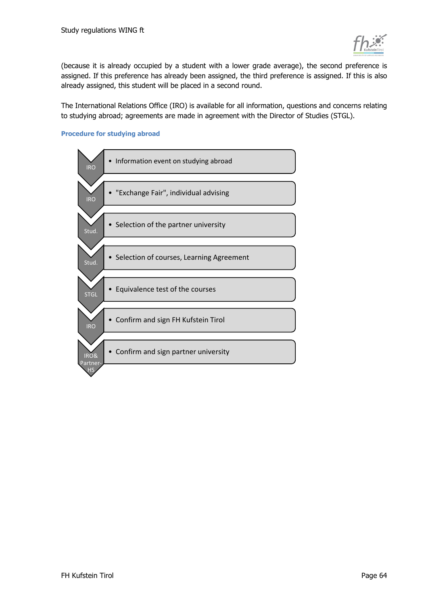

(because it is already occupied by a student with a lower grade average), the second preference is assigned. If this preference has already been assigned, the third preference is assigned. If this is also already assigned, this student will be placed in a second round.

The International Relations Office (IRO) is available for all information, questions and concerns relating to studying abroad; agreements are made in agreement with the Director of Studies (STGL).

#### **Procedure for studying abroad**

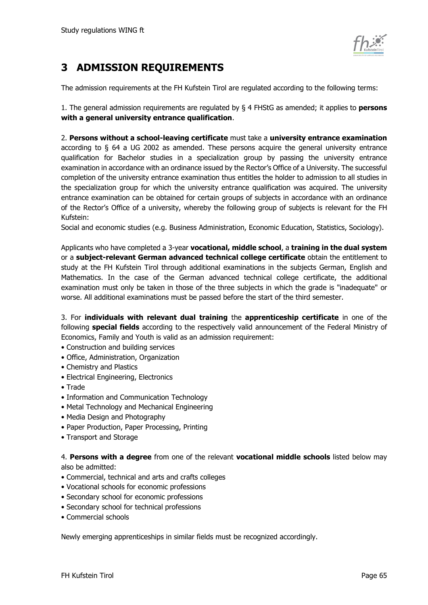

## <span id="page-64-0"></span>**3 ADMISSION REQUIREMENTS**

The admission requirements at the FH Kufstein Tirol are regulated according to the following terms:

1. The general admission requirements are regulated by § 4 FHStG as amended; it applies to **persons with a general university entrance qualification**.

2. **Persons without a school-leaving certificate** must take a **university entrance examination** according to § 64 a UG 2002 as amended. These persons acquire the general university entrance qualification for Bachelor studies in a specialization group by passing the university entrance examination in accordance with an ordinance issued by the Rector's Office of a University. The successful completion of the university entrance examination thus entitles the holder to admission to all studies in the specialization group for which the university entrance qualification was acquired. The university entrance examination can be obtained for certain groups of subjects in accordance with an ordinance of the Rector's Office of a university, whereby the following group of subjects is relevant for the FH Kufstein:

Social and economic studies (e.g. Business Administration, Economic Education, Statistics, Sociology).

Applicants who have completed a 3-year **vocational, middle school**, a **training in the dual system** or a **subject-relevant German advanced technical college certificate** obtain the entitlement to study at the FH Kufstein Tirol through additional examinations in the subjects German, English and Mathematics. In the case of the German advanced technical college certificate, the additional examination must only be taken in those of the three subjects in which the grade is "inadequate" or worse. All additional examinations must be passed before the start of the third semester.

3. For **individuals with relevant dual training** the **apprenticeship certificate** in one of the following **special fields** according to the respectively valid announcement of the Federal Ministry of Economics, Family and Youth is valid as an admission requirement:

- Construction and building services
- Office, Administration, Organization
- Chemistry and Plastics
- Electrical Engineering, Electronics
- Trade
- Information and Communication Technology
- Metal Technology and Mechanical Engineering
- Media Design and Photography
- Paper Production, Paper Processing, Printing
- Transport and Storage

4. **Persons with a degree** from one of the relevant **vocational middle schools** listed below may also be admitted:

- Commercial, technical and arts and crafts colleges
- Vocational schools for economic professions
- Secondary school for economic professions
- Secondary school for technical professions
- Commercial schools

Newly emerging apprenticeships in similar fields must be recognized accordingly.